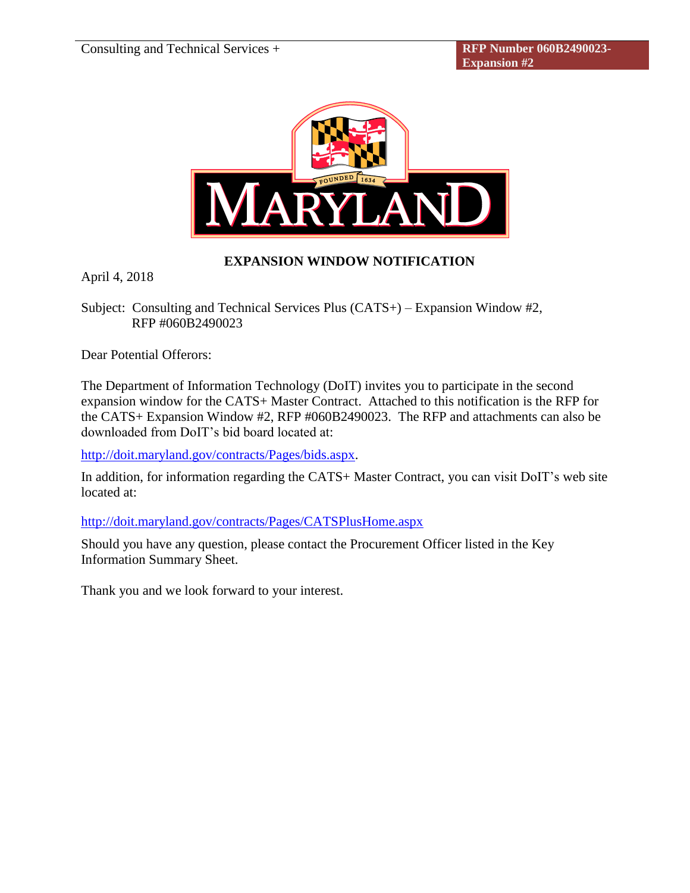

# **EXPANSION WINDOW NOTIFICATION**

April 4, 2018

Subject: Consulting and Technical Services Plus (CATS+) – Expansion Window #2, RFP #060B2490023

Dear Potential Offerors:

The Department of Information Technology (DoIT) invites you to participate in the second expansion window for the CATS+ Master Contract. Attached to this notification is the RFP for the CATS+ Expansion Window #2, RFP #060B2490023. The RFP and attachments can also be downloaded from DoIT's bid board located at:

[http://doit.maryland.gov/contracts/Pages/bids.aspx.](http://doit.maryland.gov/contracts/Pages/bids.aspx)

In addition, for information regarding the CATS+ Master Contract, you can visit DoIT's web site located at:

<http://doit.maryland.gov/contracts/Pages/CATSPlusHome.aspx>

Should you have any question, please contact the Procurement Officer listed in the Key Information Summary Sheet.

Thank you and we look forward to your interest.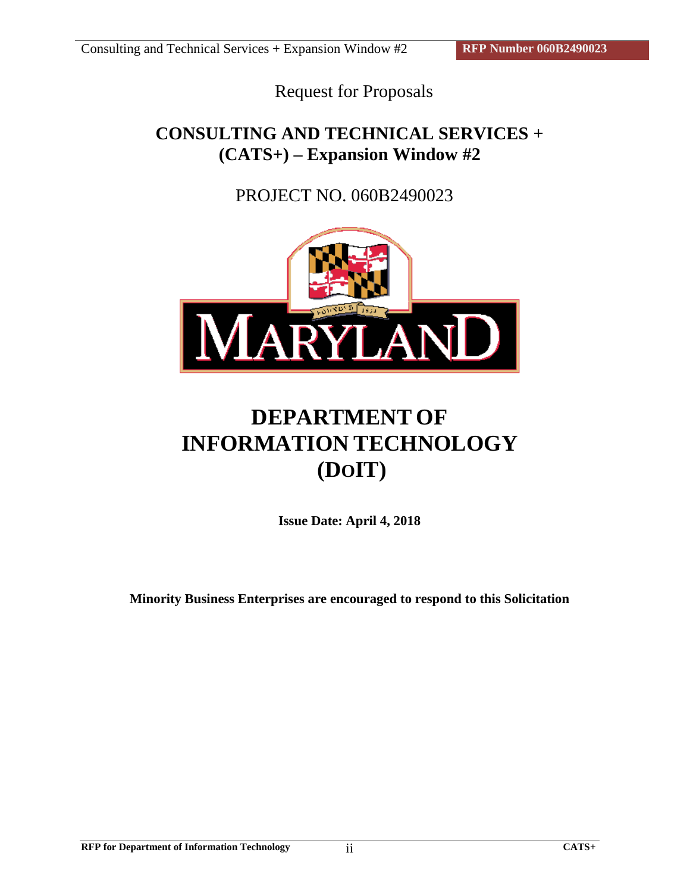# Request for Proposals

# **CONSULTING AND TECHNICAL SERVICES + (CATS+) – Expansion Window #2**

# PROJECT NO. 060B2490023



# **DEPARTMENT OF INFORMATION TECHNOLOGY (DOIT)**

**Issue Date: April 4, 2018**

**Minority Business Enterprises are encouraged to respond to this Solicitation**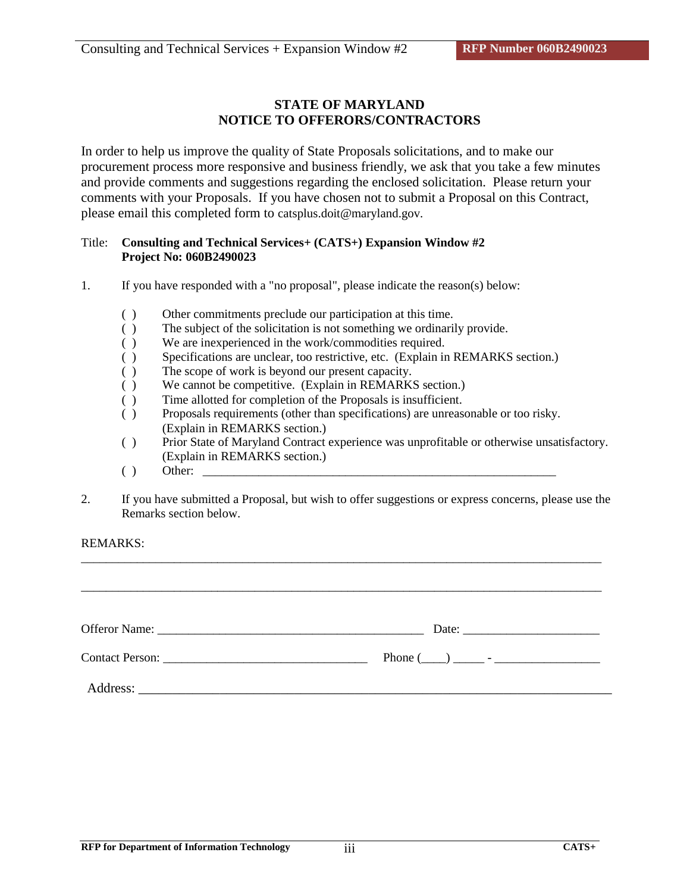# **STATE OF MARYLAND NOTICE TO OFFERORS/CONTRACTORS**

In order to help us improve the quality of State Proposals solicitations, and to make our procurement process more responsive and business friendly, we ask that you take a few minutes and provide comments and suggestions regarding the enclosed solicitation. Please return your comments with your Proposals. If you have chosen not to submit a Proposal on this Contract, please email this completed form to catsplus.doit@maryland.gov.

# Title: **Consulting and Technical Services+ (CATS+) Expansion Window #2 Project No: 060B2490023**

- 1. If you have responded with a "no proposal", please indicate the reason(s) below:
	- ( ) Other commitments preclude our participation at this time.
	- ( ) The subject of the solicitation is not something we ordinarily provide.
	- ( ) We are inexperienced in the work/commodities required.
	- ( ) Specifications are unclear, too restrictive, etc. (Explain in REMARKS section.)
	- ( ) The scope of work is beyond our present capacity.
	- ( ) We cannot be competitive. (Explain in REMARKS section.)
	- ( ) Time allotted for completion of the Proposals is insufficient.
	- ( ) Proposals requirements (other than specifications) are unreasonable or too risky. (Explain in REMARKS section.)
	- ( ) Prior State of Maryland Contract experience was unprofitable or otherwise unsatisfactory. (Explain in REMARKS section.)
	- ( ) Other: \_\_\_\_\_\_\_\_\_\_\_\_\_\_\_\_\_\_\_\_\_\_\_\_\_\_\_\_\_\_\_\_\_\_\_\_\_\_\_\_\_\_\_\_\_\_\_\_\_\_\_\_\_\_\_\_\_
- 2. If you have submitted a Proposal, but wish to offer suggestions or express concerns, please use the Remarks section below.

\_\_\_\_\_\_\_\_\_\_\_\_\_\_\_\_\_\_\_\_\_\_\_\_\_\_\_\_\_\_\_\_\_\_\_\_\_\_\_\_\_\_\_\_\_\_\_\_\_\_\_\_\_\_\_\_\_\_\_\_\_\_\_\_\_\_\_\_\_\_\_\_\_\_\_\_\_\_\_\_\_\_\_\_

REMARKS:

| Phone $(\_\_)$ $\_\_$ - $\_\_$ |
|--------------------------------|
|                                |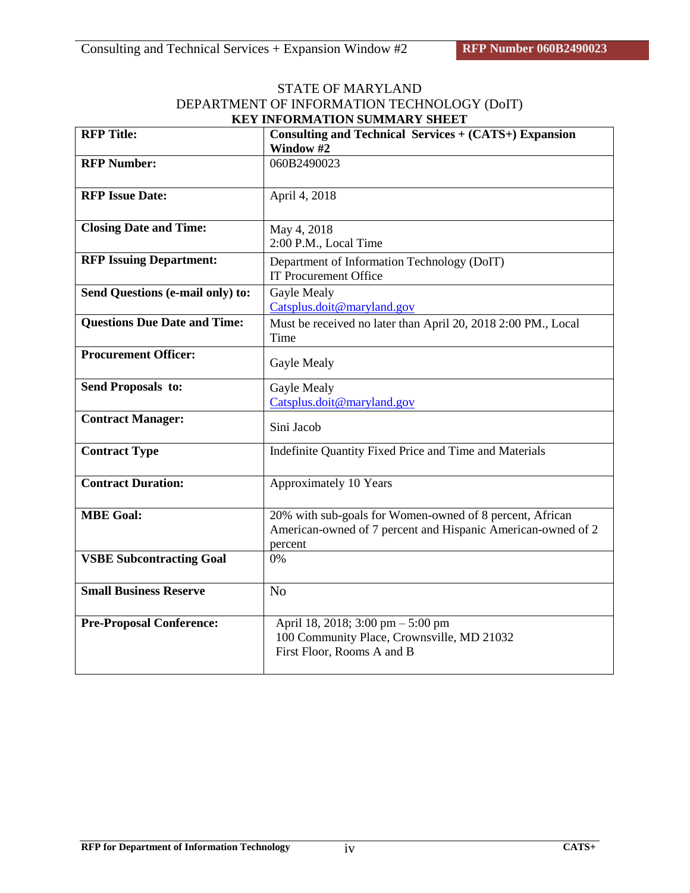# STATE OF MARYLAND DEPARTMENT OF INFORMATION TECHNOLOGY (DoIT) **KEY INFORMATION SUMMARY SHEET**

| <b>RFP Title:</b>                   | <b>Consulting and Technical Services + (CATS+) Expansion</b><br>Window #2                                                           |  |
|-------------------------------------|-------------------------------------------------------------------------------------------------------------------------------------|--|
| <b>RFP Number:</b>                  | 060B2490023                                                                                                                         |  |
| <b>RFP Issue Date:</b>              | April 4, 2018                                                                                                                       |  |
| <b>Closing Date and Time:</b>       | May 4, 2018<br>2:00 P.M., Local Time                                                                                                |  |
| <b>RFP Issuing Department:</b>      | Department of Information Technology (DoIT)<br><b>IT Procurement Office</b>                                                         |  |
| Send Questions (e-mail only) to:    | Gayle Mealy<br>Catsplus.doit@maryland.gov                                                                                           |  |
| <b>Questions Due Date and Time:</b> | Must be received no later than April 20, 2018 2:00 PM., Local<br>Time                                                               |  |
| <b>Procurement Officer:</b>         | Gayle Mealy                                                                                                                         |  |
| Send Proposals to:                  | Gayle Mealy<br>Catsplus.doit@maryland.gov                                                                                           |  |
| <b>Contract Manager:</b>            | Sini Jacob                                                                                                                          |  |
| <b>Contract Type</b>                | Indefinite Quantity Fixed Price and Time and Materials                                                                              |  |
| <b>Contract Duration:</b>           | Approximately 10 Years                                                                                                              |  |
| <b>MBE Goal:</b>                    | 20% with sub-goals for Women-owned of 8 percent, African<br>American-owned of 7 percent and Hispanic American-owned of 2<br>percent |  |
| <b>VSBE Subcontracting Goal</b>     | 0%                                                                                                                                  |  |
| <b>Small Business Reserve</b>       | N <sub>o</sub>                                                                                                                      |  |
| <b>Pre-Proposal Conference:</b>     | April 18, 2018; 3:00 pm - 5:00 pm<br>100 Community Place, Crownsville, MD 21032<br>First Floor, Rooms A and B                       |  |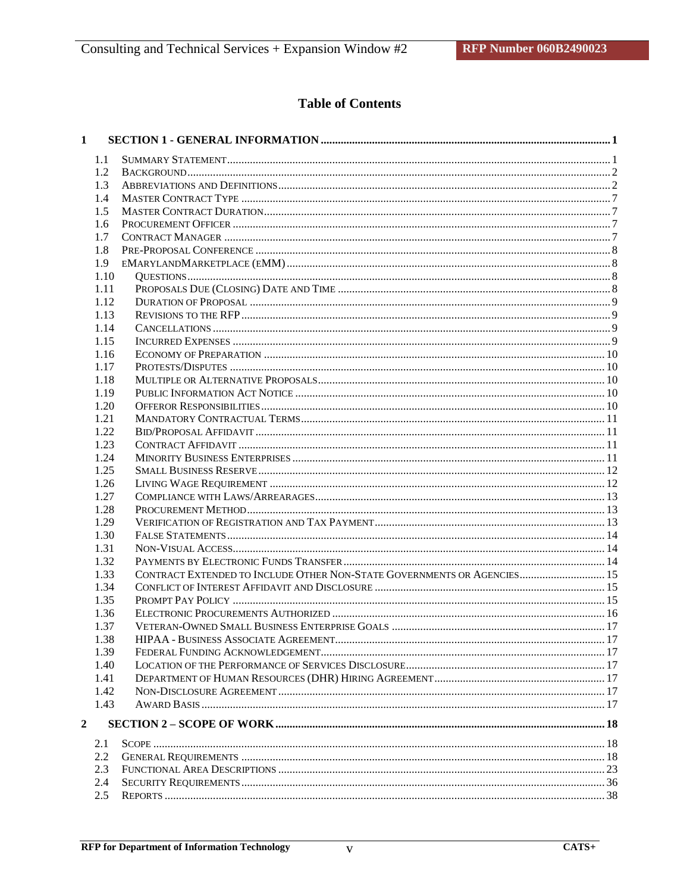# **Table of Contents**

| 1                |      |                                                                         |  |
|------------------|------|-------------------------------------------------------------------------|--|
|                  | 1.1  |                                                                         |  |
|                  | 1.2  |                                                                         |  |
|                  | 1.3  |                                                                         |  |
|                  | 1.4  |                                                                         |  |
|                  | 1.5  |                                                                         |  |
|                  | 1.6  |                                                                         |  |
|                  | 1.7  |                                                                         |  |
|                  | 1.8  |                                                                         |  |
|                  | 1.9  |                                                                         |  |
|                  | 1.10 |                                                                         |  |
|                  | 1.11 |                                                                         |  |
|                  | 1.12 |                                                                         |  |
|                  | 1.13 |                                                                         |  |
|                  | 1.14 |                                                                         |  |
|                  | 1.15 |                                                                         |  |
|                  | 1.16 |                                                                         |  |
|                  | 1.17 |                                                                         |  |
|                  | 1.18 |                                                                         |  |
|                  | 1.19 |                                                                         |  |
|                  | 1.20 |                                                                         |  |
|                  | 1.21 |                                                                         |  |
|                  | 1.22 |                                                                         |  |
|                  | 1.23 |                                                                         |  |
|                  | 1.24 |                                                                         |  |
|                  | 1.25 |                                                                         |  |
|                  | 1.26 |                                                                         |  |
|                  | 1.27 |                                                                         |  |
|                  | 1.28 |                                                                         |  |
|                  | 1.29 |                                                                         |  |
|                  | 1.30 |                                                                         |  |
|                  | 1.31 |                                                                         |  |
|                  | 1.32 |                                                                         |  |
|                  | 1.33 | CONTRACT EXTENDED TO INCLUDE OTHER NON-STATE GOVERNMENTS OR AGENCIES 15 |  |
|                  | 1.34 |                                                                         |  |
|                  | 1.35 |                                                                         |  |
|                  | 1.36 |                                                                         |  |
|                  | 1.37 |                                                                         |  |
|                  | 1.38 |                                                                         |  |
|                  | 1.39 |                                                                         |  |
|                  | 1.40 |                                                                         |  |
|                  | 1.41 |                                                                         |  |
|                  | 1.42 |                                                                         |  |
|                  | 1.43 |                                                                         |  |
| $\boldsymbol{2}$ |      |                                                                         |  |
|                  | 2.1  |                                                                         |  |
|                  | 2.2  |                                                                         |  |
|                  | 2.3  |                                                                         |  |
|                  | 2.4  |                                                                         |  |
|                  | 2.5  |                                                                         |  |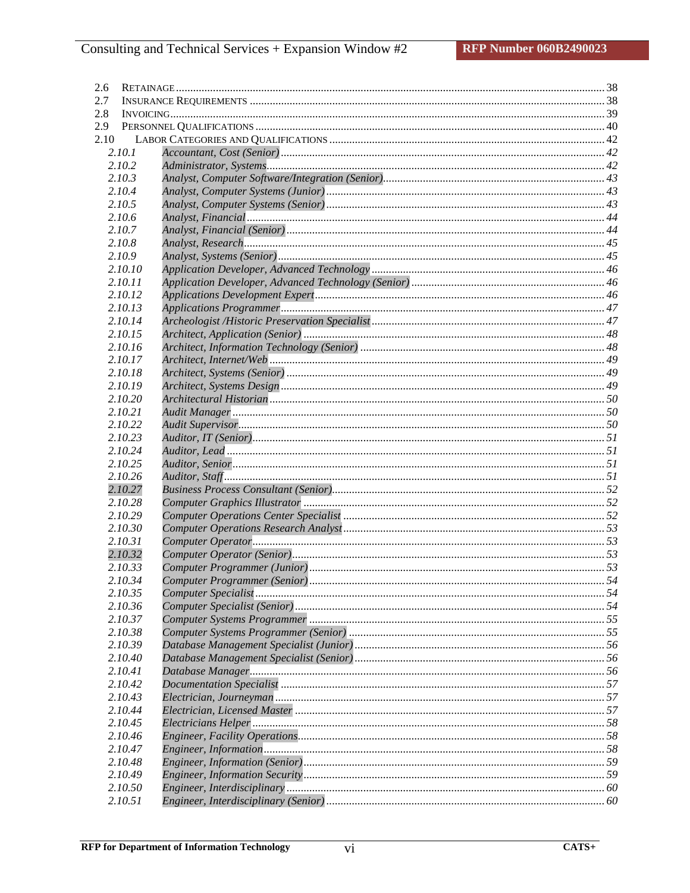| 2.6  |         |  |
|------|---------|--|
| 2.7  |         |  |
| 2.8  |         |  |
| 2.9  |         |  |
| 2.10 |         |  |
|      | 2.10.1  |  |
|      | 2.10.2  |  |
|      | 2.10.3  |  |
|      | 2.10.4  |  |
|      | 2.10.5  |  |
|      | 2.10.6  |  |
|      | 2.10.7  |  |
|      | 2.10.8  |  |
|      | 2.10.9  |  |
|      | 2.10.10 |  |
|      | 2.10.11 |  |
|      | 2.10.12 |  |
|      | 2.10.13 |  |
|      | 2.10.14 |  |
|      | 2.10.15 |  |
|      | 2.10.16 |  |
|      | 2.10.17 |  |
|      | 2.10.18 |  |
|      | 2.10.19 |  |
|      | 2.10.20 |  |
|      | 2.10.21 |  |
|      | 2.10.22 |  |
|      | 2.10.23 |  |
|      | 2.10.24 |  |
|      | 2.10.25 |  |
|      | 2.10.26 |  |
|      | 2.10.27 |  |
|      | 2.10.28 |  |
|      | 2.10.29 |  |
|      | 2.10.30 |  |
|      | 2.10.31 |  |
|      | 2.10.32 |  |
|      | 2.10.33 |  |
|      | 2.10.34 |  |
|      | 2.10.35 |  |
|      | 2.10.36 |  |
|      | 2.10.37 |  |
|      | 2.10.38 |  |
|      | 2.10.39 |  |
|      | 2.10.40 |  |
|      | 2.10.41 |  |
|      | 2.10.42 |  |
|      | 2.10.43 |  |
|      | 2.10.44 |  |
|      | 2.10.45 |  |
|      | 2.10.46 |  |
|      | 2.10.47 |  |
|      | 2.10.48 |  |
|      | 2.10.49 |  |
|      | 2.10.50 |  |
|      | 2.10.51 |  |
|      |         |  |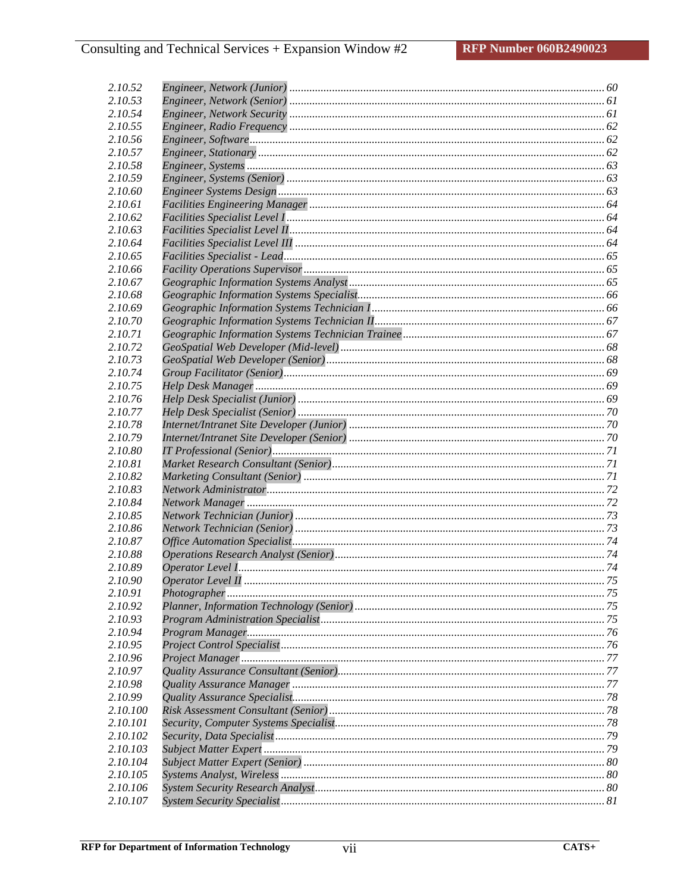| 2.10.52  |  |
|----------|--|
| 2.10.53  |  |
| 2.10.54  |  |
| 2.10.55  |  |
| 2.10.56  |  |
| 2.10.57  |  |
| 2.10.58  |  |
| 2.10.59  |  |
| 2.10.60  |  |
| 2.10.61  |  |
| 2.10.62  |  |
| 2.10.63  |  |
| 2.10.64  |  |
| 2.10.65  |  |
| 2.10.66  |  |
| 2.10.67  |  |
| 2.10.68  |  |
| 2.10.69  |  |
| 2.10.70  |  |
| 2.10.71  |  |
| 2.10.72  |  |
| 2.10.73  |  |
| 2.10.74  |  |
| 2.10.75  |  |
| 2.10.76  |  |
| 2.10.77  |  |
| 2.10.78  |  |
| 2.10.79  |  |
| 2.10.80  |  |
| 2.10.81  |  |
| 2.10.82  |  |
| 2.10.83  |  |
| 2.10.84  |  |
| 2.10.85  |  |
| 2.10.86  |  |
| 2.10.87  |  |
| 2.10.88  |  |
| 2.10.89  |  |
| 2.10.90  |  |
| 2.10.91  |  |
| 2.10.92  |  |
| 2.10.93  |  |
| 2.10.94  |  |
| 2.10.95  |  |
| 2.10.96  |  |
| 2.10.97  |  |
| 2.10.98  |  |
| 2.10.99  |  |
| 2.10.100 |  |
| 2.10.101 |  |
| 2.10.102 |  |
| 2.10.103 |  |
| 2.10.104 |  |
| 2.10.105 |  |
| 2.10.106 |  |
| 2.10.107 |  |
|          |  |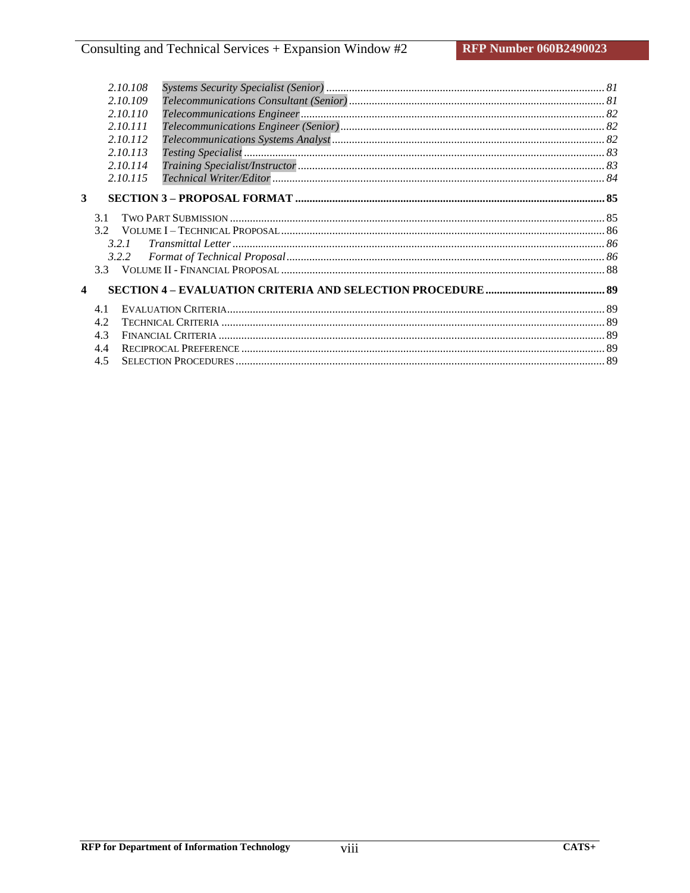|                         | 2.10.108<br>2.10.109<br>2.10.110<br>2.10.111<br>2.10.112<br>2.10.113<br>2.10.114<br>2.10.115 |  |
|-------------------------|----------------------------------------------------------------------------------------------|--|
| 3                       |                                                                                              |  |
|                         | 31<br>32<br>3.2.1<br>3.2.2<br>3.3                                                            |  |
| $\overline{\mathbf{4}}$ |                                                                                              |  |
|                         | 41<br>4.2<br>4.3<br>44<br>4.5                                                                |  |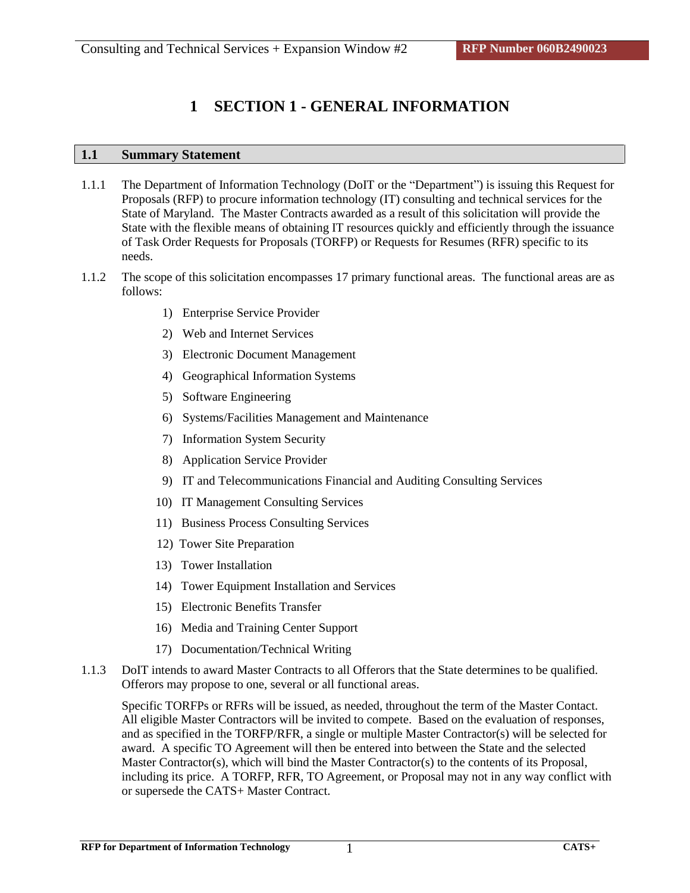# **1 SECTION 1 - GENERAL INFORMATION**

# <span id="page-8-1"></span><span id="page-8-0"></span>**1.1 Summary Statement**

- 1.1.1 The Department of Information Technology (DoIT or the "Department") is issuing this Request for Proposals (RFP) to procure information technology (IT) consulting and technical services for the State of Maryland. The Master Contracts awarded as a result of this solicitation will provide the State with the flexible means of obtaining IT resources quickly and efficiently through the issuance of Task Order Requests for Proposals (TORFP) or Requests for Resumes (RFR) specific to its needs.
- 1.1.2 The scope of this solicitation encompasses 17 primary functional areas. The functional areas are as follows:
	- 1) Enterprise Service Provider
	- 2) Web and Internet Services
	- 3) Electronic Document Management
	- 4) Geographical Information Systems
	- 5) Software Engineering
	- 6) Systems/Facilities Management and Maintenance
	- 7) Information System Security
	- 8) Application Service Provider
	- 9) IT and Telecommunications Financial and Auditing Consulting Services
	- 10) IT Management Consulting Services
	- 11) Business Process Consulting Services
	- 12) Tower Site Preparation
	- 13) Tower Installation
	- 14) Tower Equipment Installation and Services
	- 15) Electronic Benefits Transfer
	- 16) Media and Training Center Support
	- 17) Documentation/Technical Writing
- 1.1.3 DoIT intends to award Master Contracts to all Offerors that the State determines to be qualified. Offerors may propose to one, several or all functional areas.

Specific TORFPs or RFRs will be issued, as needed, throughout the term of the Master Contact. All eligible Master Contractors will be invited to compete. Based on the evaluation of responses, and as specified in the TORFP/RFR, a single or multiple Master Contractor(s) will be selected for award. A specific TO Agreement will then be entered into between the State and the selected Master Contractor(s), which will bind the Master Contractor(s) to the contents of its Proposal, including its price. A TORFP, RFR, TO Agreement, or Proposal may not in any way conflict with or supersede the CATS+ Master Contract.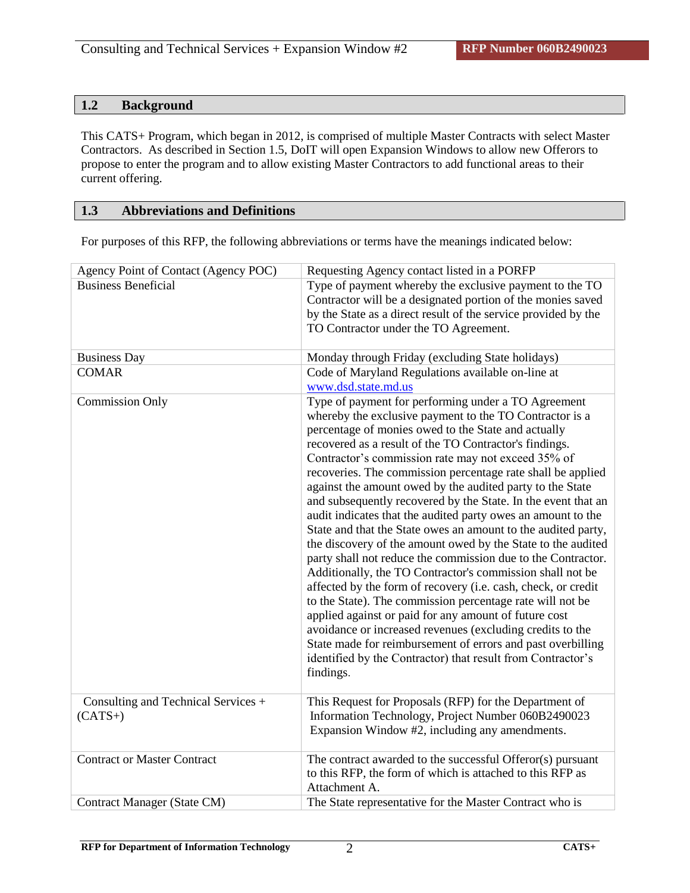# <span id="page-9-0"></span>**1.2 Background**

This CATS+ Program, which began in 2012, is comprised of multiple Master Contracts with select Master Contractors. As described in Section 1.5, DoIT will open Expansion Windows to allow new Offerors to propose to enter the program and to allow existing Master Contractors to add functional areas to their current offering.

# <span id="page-9-1"></span>**1.3 Abbreviations and Definitions**

For purposes of this RFP, the following abbreviations or terms have the meanings indicated below:

| Agency Point of Contact (Agency POC)             | Requesting Agency contact listed in a PORFP                                                                                                                                                                                                                                                                                                                                                                                                                                                                                                                                                                                                                                                                                                                                                                                                                                                                                                                                                                                                                                                                                                                                                                     |
|--------------------------------------------------|-----------------------------------------------------------------------------------------------------------------------------------------------------------------------------------------------------------------------------------------------------------------------------------------------------------------------------------------------------------------------------------------------------------------------------------------------------------------------------------------------------------------------------------------------------------------------------------------------------------------------------------------------------------------------------------------------------------------------------------------------------------------------------------------------------------------------------------------------------------------------------------------------------------------------------------------------------------------------------------------------------------------------------------------------------------------------------------------------------------------------------------------------------------------------------------------------------------------|
| <b>Business Beneficial</b>                       | Type of payment whereby the exclusive payment to the TO<br>Contractor will be a designated portion of the monies saved<br>by the State as a direct result of the service provided by the<br>TO Contractor under the TO Agreement.                                                                                                                                                                                                                                                                                                                                                                                                                                                                                                                                                                                                                                                                                                                                                                                                                                                                                                                                                                               |
| <b>Business Day</b>                              | Monday through Friday (excluding State holidays)                                                                                                                                                                                                                                                                                                                                                                                                                                                                                                                                                                                                                                                                                                                                                                                                                                                                                                                                                                                                                                                                                                                                                                |
| <b>COMAR</b>                                     | Code of Maryland Regulations available on-line at<br>www.dsd.state.md.us                                                                                                                                                                                                                                                                                                                                                                                                                                                                                                                                                                                                                                                                                                                                                                                                                                                                                                                                                                                                                                                                                                                                        |
| <b>Commission Only</b>                           | Type of payment for performing under a TO Agreement<br>whereby the exclusive payment to the TO Contractor is a<br>percentage of monies owed to the State and actually<br>recovered as a result of the TO Contractor's findings.<br>Contractor's commission rate may not exceed 35% of<br>recoveries. The commission percentage rate shall be applied<br>against the amount owed by the audited party to the State<br>and subsequently recovered by the State. In the event that an<br>audit indicates that the audited party owes an amount to the<br>State and that the State owes an amount to the audited party,<br>the discovery of the amount owed by the State to the audited<br>party shall not reduce the commission due to the Contractor.<br>Additionally, the TO Contractor's commission shall not be<br>affected by the form of recovery (i.e. cash, check, or credit<br>to the State). The commission percentage rate will not be<br>applied against or paid for any amount of future cost<br>avoidance or increased revenues (excluding credits to the<br>State made for reimbursement of errors and past overbilling<br>identified by the Contractor) that result from Contractor's<br>findings. |
| Consulting and Technical Services +<br>$(CATS+)$ | This Request for Proposals (RFP) for the Department of<br>Information Technology, Project Number 060B2490023<br>Expansion Window #2, including any amendments.                                                                                                                                                                                                                                                                                                                                                                                                                                                                                                                                                                                                                                                                                                                                                                                                                                                                                                                                                                                                                                                  |
| <b>Contract or Master Contract</b>               | The contract awarded to the successful Offeror(s) pursuant<br>to this RFP, the form of which is attached to this RFP as<br>Attachment A.                                                                                                                                                                                                                                                                                                                                                                                                                                                                                                                                                                                                                                                                                                                                                                                                                                                                                                                                                                                                                                                                        |
| Contract Manager (State CM)                      | The State representative for the Master Contract who is                                                                                                                                                                                                                                                                                                                                                                                                                                                                                                                                                                                                                                                                                                                                                                                                                                                                                                                                                                                                                                                                                                                                                         |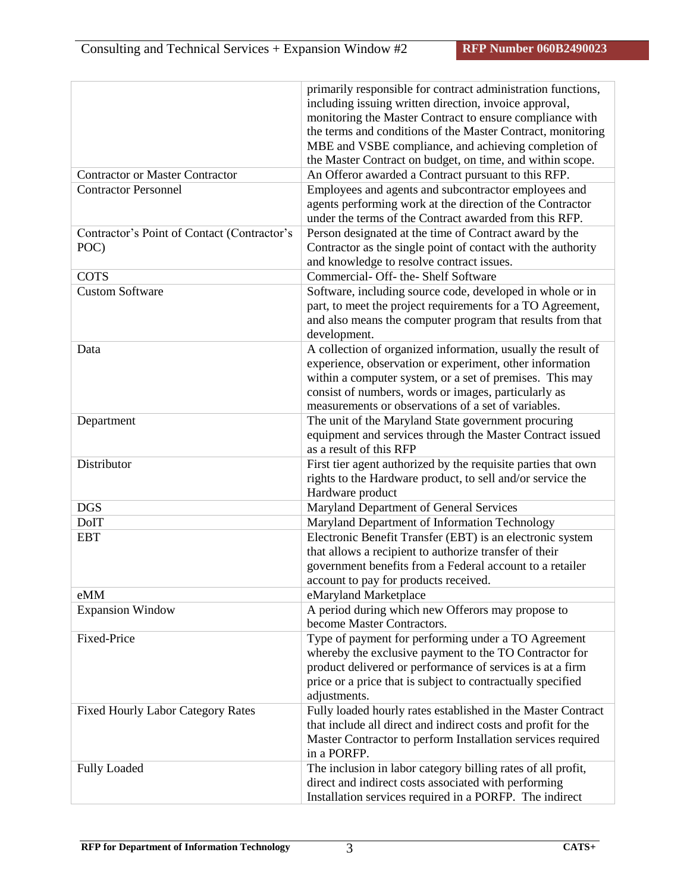|                                             | primarily responsible for contract administration functions,  |
|---------------------------------------------|---------------------------------------------------------------|
|                                             | including issuing written direction, invoice approval,        |
|                                             | monitoring the Master Contract to ensure compliance with      |
|                                             | the terms and conditions of the Master Contract, monitoring   |
|                                             | MBE and VSBE compliance, and achieving completion of          |
|                                             | the Master Contract on budget, on time, and within scope.     |
| <b>Contractor or Master Contractor</b>      | An Offeror awarded a Contract pursuant to this RFP.           |
| <b>Contractor Personnel</b>                 | Employees and agents and subcontractor employees and          |
|                                             |                                                               |
|                                             | agents performing work at the direction of the Contractor     |
|                                             | under the terms of the Contract awarded from this RFP.        |
| Contractor's Point of Contact (Contractor's | Person designated at the time of Contract award by the        |
| POC)                                        | Contractor as the single point of contact with the authority  |
|                                             | and knowledge to resolve contract issues.                     |
| <b>COTS</b>                                 | Commercial- Off- the- Shelf Software                          |
| <b>Custom Software</b>                      | Software, including source code, developed in whole or in     |
|                                             | part, to meet the project requirements for a TO Agreement,    |
|                                             | and also means the computer program that results from that    |
|                                             | development.                                                  |
| Data                                        | A collection of organized information, usually the result of  |
|                                             | experience, observation or experiment, other information      |
|                                             | within a computer system, or a set of premises. This may      |
|                                             | consist of numbers, words or images, particularly as          |
|                                             | measurements or observations of a set of variables.           |
| Department                                  | The unit of the Maryland State government procuring           |
|                                             | equipment and services through the Master Contract issued     |
|                                             | as a result of this RFP                                       |
| Distributor                                 | First tier agent authorized by the requisite parties that own |
|                                             | rights to the Hardware product, to sell and/or service the    |
|                                             | Hardware product                                              |
| <b>DGS</b>                                  | Maryland Department of General Services                       |
|                                             |                                                               |
| DoIT                                        | Maryland Department of Information Technology                 |
| <b>EBT</b>                                  | Electronic Benefit Transfer (EBT) is an electronic system     |
|                                             | that allows a recipient to authorize transfer of their        |
|                                             | government benefits from a Federal account to a retailer      |
|                                             | account to pay for products received.                         |
| eMM                                         | eMaryland Marketplace                                         |
| <b>Expansion Window</b>                     | A period during which new Offerors may propose to             |
|                                             | become Master Contractors.                                    |
| Fixed-Price                                 | Type of payment for performing under a TO Agreement           |
|                                             | whereby the exclusive payment to the TO Contractor for        |
|                                             | product delivered or performance of services is at a firm     |
|                                             | price or a price that is subject to contractually specified   |
|                                             | adjustments.                                                  |
| <b>Fixed Hourly Labor Category Rates</b>    | Fully loaded hourly rates established in the Master Contract  |
|                                             | that include all direct and indirect costs and profit for the |
|                                             | Master Contractor to perform Installation services required   |
|                                             | in a PORFP.                                                   |
| <b>Fully Loaded</b>                         | The inclusion in labor category billing rates of all profit,  |
|                                             | direct and indirect costs associated with performing          |
|                                             | Installation services required in a PORFP. The indirect       |
|                                             |                                                               |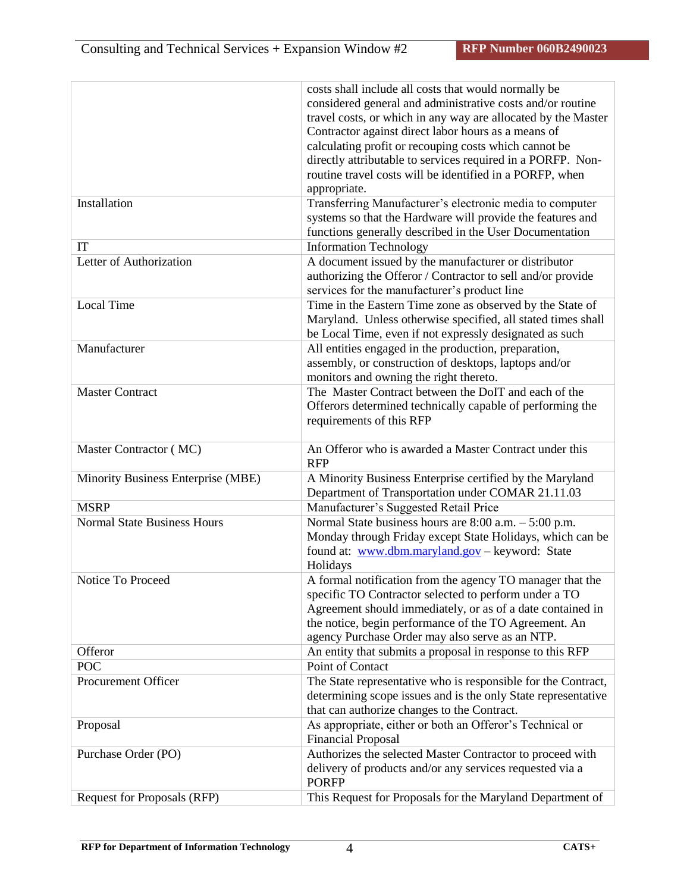|                                    | costs shall include all costs that would normally be                      |
|------------------------------------|---------------------------------------------------------------------------|
|                                    | considered general and administrative costs and/or routine                |
|                                    | travel costs, or which in any way are allocated by the Master             |
|                                    | Contractor against direct labor hours as a means of                       |
|                                    | calculating profit or recouping costs which cannot be                     |
|                                    | directly attributable to services required in a PORFP. Non-               |
|                                    | routine travel costs will be identified in a PORFP, when                  |
|                                    | appropriate.                                                              |
| Installation                       | Transferring Manufacturer's electronic media to computer                  |
|                                    | systems so that the Hardware will provide the features and                |
|                                    | functions generally described in the User Documentation                   |
| IT                                 | <b>Information Technology</b>                                             |
| Letter of Authorization            | A document issued by the manufacturer or distributor                      |
|                                    | authorizing the Offeror / Contractor to sell and/or provide               |
|                                    | services for the manufacturer's product line                              |
| <b>Local Time</b>                  | Time in the Eastern Time zone as observed by the State of                 |
|                                    | Maryland. Unless otherwise specified, all stated times shall              |
|                                    | be Local Time, even if not expressly designated as such                   |
| Manufacturer                       | All entities engaged in the production, preparation,                      |
|                                    | assembly, or construction of desktops, laptops and/or                     |
|                                    | monitors and owning the right thereto.                                    |
| <b>Master Contract</b>             | The Master Contract between the DoIT and each of the                      |
|                                    | Offerors determined technically capable of performing the                 |
|                                    | requirements of this RFP                                                  |
|                                    |                                                                           |
| Master Contractor (MC)             | An Offeror who is awarded a Master Contract under this                    |
|                                    | <b>RFP</b>                                                                |
| Minority Business Enterprise (MBE) | A Minority Business Enterprise certified by the Maryland                  |
|                                    | Department of Transportation under COMAR 21.11.03                         |
| <b>MSRP</b>                        | Manufacturer's Suggested Retail Price                                     |
| <b>Normal State Business Hours</b> | Normal State business hours are 8:00 a.m. - 5:00 p.m.                     |
|                                    | Monday through Friday except State Holidays, which can be                 |
|                                    | found at: www.dbm.maryland.gov - keyword: State                           |
|                                    | Holidays                                                                  |
| Notice To Proceed                  | A formal notification from the agency TO manager that the                 |
|                                    | specific TO Contractor selected to perform under a TO                     |
|                                    | Agreement should immediately, or as of a date contained in                |
|                                    | the notice, begin performance of the TO Agreement. An                     |
|                                    | agency Purchase Order may also serve as an NTP.                           |
| Offeror                            | An entity that submits a proposal in response to this RFP                 |
| <b>POC</b>                         | Point of Contact                                                          |
| Procurement Officer                | The State representative who is responsible for the Contract,             |
|                                    | determining scope issues and is the only State representative             |
|                                    | that can authorize changes to the Contract.                               |
| Proposal                           | As appropriate, either or both an Offeror's Technical or                  |
|                                    |                                                                           |
|                                    | <b>Financial Proposal</b>                                                 |
| Purchase Order (PO)                | Authorizes the selected Master Contractor to proceed with                 |
|                                    | delivery of products and/or any services requested via a                  |
| Request for Proposals (RFP)        | <b>PORFP</b><br>This Request for Proposals for the Maryland Department of |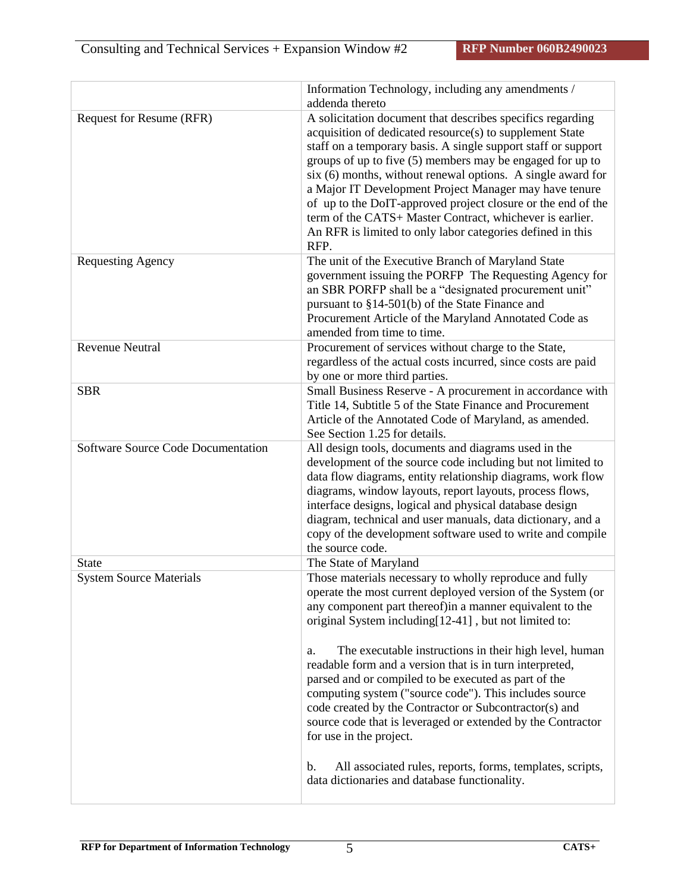|                                    | Information Technology, including any amendments /<br>addenda thereto                                                                                                                                                                                                                                                                                                                                                                                                                                                                                                           |
|------------------------------------|---------------------------------------------------------------------------------------------------------------------------------------------------------------------------------------------------------------------------------------------------------------------------------------------------------------------------------------------------------------------------------------------------------------------------------------------------------------------------------------------------------------------------------------------------------------------------------|
| Request for Resume (RFR)           | A solicitation document that describes specifics regarding<br>acquisition of dedicated resource(s) to supplement State<br>staff on a temporary basis. A single support staff or support<br>groups of up to five (5) members may be engaged for up to<br>six (6) months, without renewal options. A single award for<br>a Major IT Development Project Manager may have tenure<br>of up to the DoIT-approved project closure or the end of the<br>term of the CATS+ Master Contract, whichever is earlier.<br>An RFR is limited to only labor categories defined in this<br>RFP. |
| <b>Requesting Agency</b>           | The unit of the Executive Branch of Maryland State<br>government issuing the PORFP The Requesting Agency for<br>an SBR PORFP shall be a "designated procurement unit"<br>pursuant to $§14-501(b)$ of the State Finance and<br>Procurement Article of the Maryland Annotated Code as<br>amended from time to time.                                                                                                                                                                                                                                                               |
| <b>Revenue Neutral</b>             | Procurement of services without charge to the State,<br>regardless of the actual costs incurred, since costs are paid<br>by one or more third parties.                                                                                                                                                                                                                                                                                                                                                                                                                          |
| <b>SBR</b>                         | Small Business Reserve - A procurement in accordance with<br>Title 14, Subtitle 5 of the State Finance and Procurement<br>Article of the Annotated Code of Maryland, as amended.<br>See Section 1.25 for details.                                                                                                                                                                                                                                                                                                                                                               |
| Software Source Code Documentation | All design tools, documents and diagrams used in the<br>development of the source code including but not limited to<br>data flow diagrams, entity relationship diagrams, work flow<br>diagrams, window layouts, report layouts, process flows,<br>interface designs, logical and physical database design<br>diagram, technical and user manuals, data dictionary, and a<br>copy of the development software used to write and compile<br>the source code.                                                                                                                      |
| <b>State</b>                       | The State of Maryland                                                                                                                                                                                                                                                                                                                                                                                                                                                                                                                                                           |
| <b>System Source Materials</b>     | Those materials necessary to wholly reproduce and fully<br>operate the most current deployed version of the System (or<br>any component part thereof) in a manner equivalent to the<br>original System including[12-41], but not limited to:<br>The executable instructions in their high level, human<br>a.<br>readable form and a version that is in turn interpreted,<br>parsed and or compiled to be executed as part of the                                                                                                                                                |
|                                    | computing system ("source code"). This includes source<br>code created by the Contractor or Subcontractor(s) and<br>source code that is leveraged or extended by the Contractor<br>for use in the project.<br>All associated rules, reports, forms, templates, scripts,<br>$\mathbf{b}$ .                                                                                                                                                                                                                                                                                       |
|                                    | data dictionaries and database functionality.                                                                                                                                                                                                                                                                                                                                                                                                                                                                                                                                   |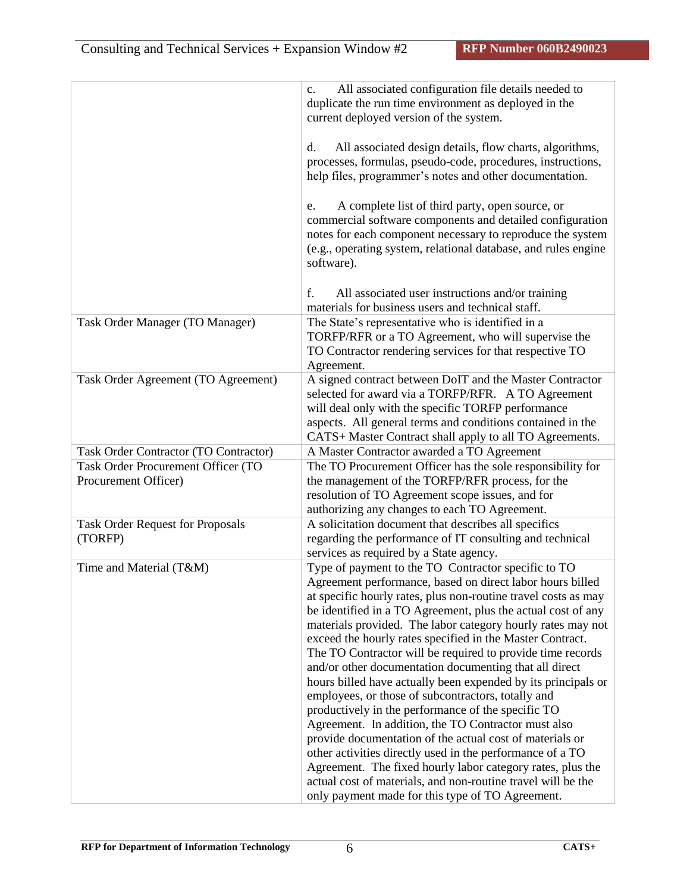|                                                    | All associated configuration file details needed to<br>$\mathbf{c}$ .<br>duplicate the run time environment as deployed in the                                                                                                                                                                                                                                                                                                                                                                                                                                                                                                                                                                                                                                                                                                                                                                                                                                                                                                                                                                   |
|----------------------------------------------------|--------------------------------------------------------------------------------------------------------------------------------------------------------------------------------------------------------------------------------------------------------------------------------------------------------------------------------------------------------------------------------------------------------------------------------------------------------------------------------------------------------------------------------------------------------------------------------------------------------------------------------------------------------------------------------------------------------------------------------------------------------------------------------------------------------------------------------------------------------------------------------------------------------------------------------------------------------------------------------------------------------------------------------------------------------------------------------------------------|
|                                                    | current deployed version of the system.                                                                                                                                                                                                                                                                                                                                                                                                                                                                                                                                                                                                                                                                                                                                                                                                                                                                                                                                                                                                                                                          |
|                                                    | All associated design details, flow charts, algorithms,<br>d.<br>processes, formulas, pseudo-code, procedures, instructions,<br>help files, programmer's notes and other documentation.                                                                                                                                                                                                                                                                                                                                                                                                                                                                                                                                                                                                                                                                                                                                                                                                                                                                                                          |
|                                                    | A complete list of third party, open source, or<br>e.<br>commercial software components and detailed configuration<br>notes for each component necessary to reproduce the system<br>(e.g., operating system, relational database, and rules engine<br>software).                                                                                                                                                                                                                                                                                                                                                                                                                                                                                                                                                                                                                                                                                                                                                                                                                                 |
|                                                    | All associated user instructions and/or training<br>f.<br>materials for business users and technical staff.                                                                                                                                                                                                                                                                                                                                                                                                                                                                                                                                                                                                                                                                                                                                                                                                                                                                                                                                                                                      |
| Task Order Manager (TO Manager)                    | The State's representative who is identified in a<br>TORFP/RFR or a TO Agreement, who will supervise the<br>TO Contractor rendering services for that respective TO<br>Agreement.                                                                                                                                                                                                                                                                                                                                                                                                                                                                                                                                                                                                                                                                                                                                                                                                                                                                                                                |
| Task Order Agreement (TO Agreement)                | A signed contract between DoIT and the Master Contractor<br>selected for award via a TORFP/RFR. A TO Agreement<br>will deal only with the specific TORFP performance<br>aspects. All general terms and conditions contained in the<br>CATS+ Master Contract shall apply to all TO Agreements.                                                                                                                                                                                                                                                                                                                                                                                                                                                                                                                                                                                                                                                                                                                                                                                                    |
| Task Order Contractor (TO Contractor)              | A Master Contractor awarded a TO Agreement                                                                                                                                                                                                                                                                                                                                                                                                                                                                                                                                                                                                                                                                                                                                                                                                                                                                                                                                                                                                                                                       |
| Task Order Procurement Officer (TO                 | The TO Procurement Officer has the sole responsibility for                                                                                                                                                                                                                                                                                                                                                                                                                                                                                                                                                                                                                                                                                                                                                                                                                                                                                                                                                                                                                                       |
| Procurement Officer)                               | the management of the TORFP/RFR process, for the<br>resolution of TO Agreement scope issues, and for<br>authorizing any changes to each TO Agreement.                                                                                                                                                                                                                                                                                                                                                                                                                                                                                                                                                                                                                                                                                                                                                                                                                                                                                                                                            |
| <b>Task Order Request for Proposals</b><br>(TORFP) | A solicitation document that describes all specifics<br>regarding the performance of IT consulting and technical                                                                                                                                                                                                                                                                                                                                                                                                                                                                                                                                                                                                                                                                                                                                                                                                                                                                                                                                                                                 |
| Time and Material (T&M)                            | services as required by a State agency.<br>Type of payment to the TO Contractor specific to TO<br>Agreement performance, based on direct labor hours billed<br>at specific hourly rates, plus non-routine travel costs as may<br>be identified in a TO Agreement, plus the actual cost of any<br>materials provided. The labor category hourly rates may not<br>exceed the hourly rates specified in the Master Contract.<br>The TO Contractor will be required to provide time records<br>and/or other documentation documenting that all direct<br>hours billed have actually been expended by its principals or<br>employees, or those of subcontractors, totally and<br>productively in the performance of the specific TO<br>Agreement. In addition, the TO Contractor must also<br>provide documentation of the actual cost of materials or<br>other activities directly used in the performance of a TO<br>Agreement. The fixed hourly labor category rates, plus the<br>actual cost of materials, and non-routine travel will be the<br>only payment made for this type of TO Agreement. |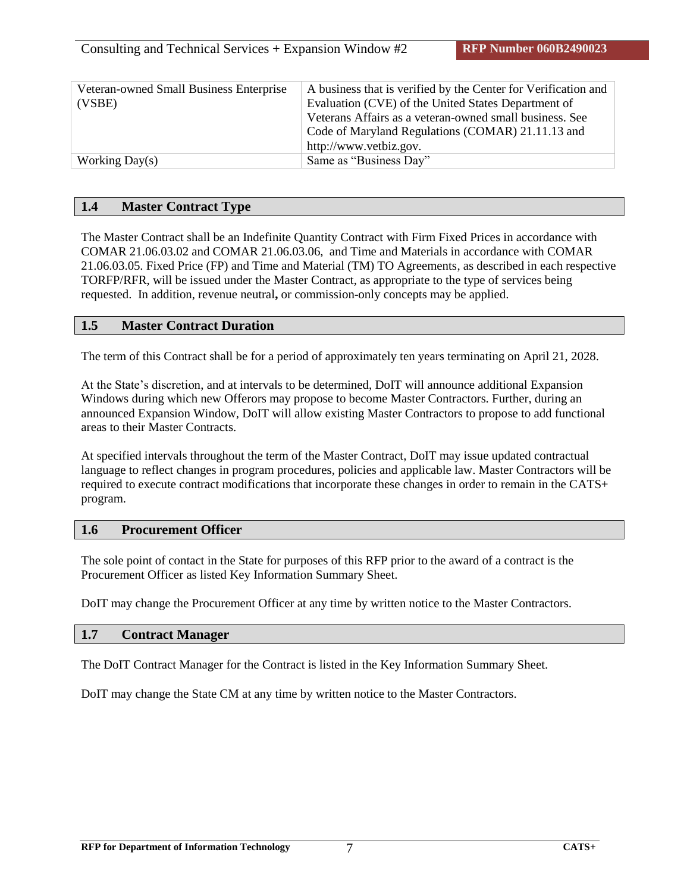| Veteran-owned Small Business Enterprise | A business that is verified by the Center for Verification and |
|-----------------------------------------|----------------------------------------------------------------|
| (VSBE)                                  | Evaluation (CVE) of the United States Department of            |
|                                         | Veterans Affairs as a veteran-owned small business. See        |
|                                         | Code of Maryland Regulations (COMAR) 21.11.13 and              |
|                                         | http://www.vetbiz.gov.                                         |
| Working $Day(s)$                        | Same as "Business Day"                                         |

# <span id="page-14-0"></span>**1.4 Master Contract Type**

The Master Contract shall be an Indefinite Quantity Contract with Firm Fixed Prices in accordance with COMAR 21.06.03.02 and COMAR 21.06.03.06, and Time and Materials in accordance with COMAR 21.06.03.05. Fixed Price (FP) and Time and Material (TM) TO Agreements, as described in each respective TORFP/RFR, will be issued under the Master Contract, as appropriate to the type of services being requested. In addition, revenue neutral**,** or commission-only concepts may be applied.

# <span id="page-14-1"></span>**1.5 Master Contract Duration**

The term of this Contract shall be for a period of approximately ten years terminating on April 21, 2028.

At the State's discretion, and at intervals to be determined, DoIT will announce additional Expansion Windows during which new Offerors may propose to become Master Contractors. Further, during an announced Expansion Window, DoIT will allow existing Master Contractors to propose to add functional areas to their Master Contracts.

At specified intervals throughout the term of the Master Contract, DoIT may issue updated contractual language to reflect changes in program procedures, policies and applicable law. Master Contractors will be required to execute contract modifications that incorporate these changes in order to remain in the CATS+ program.

# <span id="page-14-2"></span>**1.6 Procurement Officer**

The sole point of contact in the State for purposes of this RFP prior to the award of a contract is the Procurement Officer as listed Key Information Summary Sheet.

DoIT may change the Procurement Officer at any time by written notice to the Master Contractors.

#### <span id="page-14-3"></span>**1.7 Contract Manager**

The DoIT Contract Manager for the Contract is listed in the Key Information Summary Sheet.

DoIT may change the State CM at any time by written notice to the Master Contractors.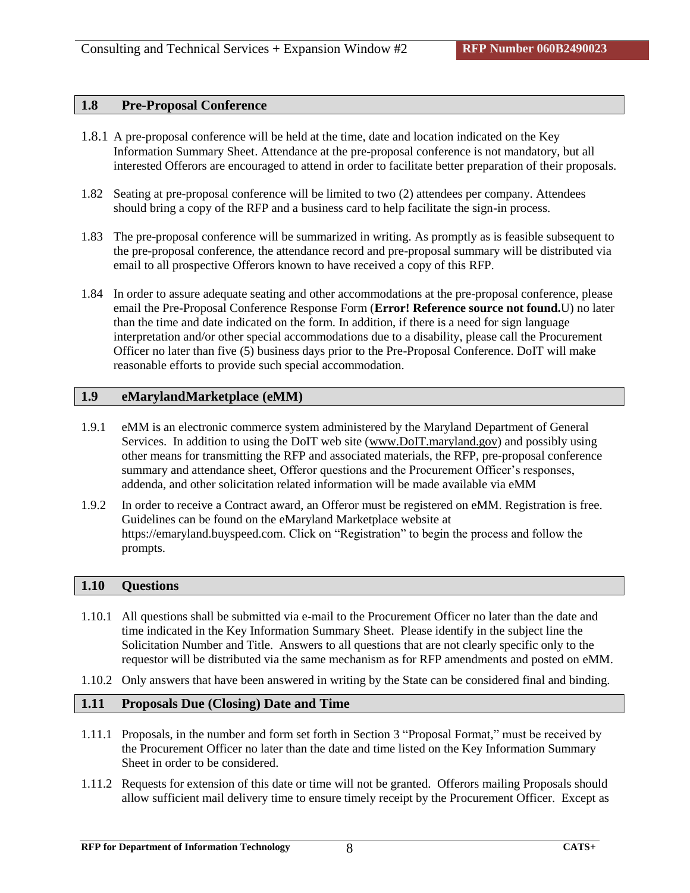# <span id="page-15-0"></span>**1.8 Pre-Proposal Conference**

- 1.8.1 A pre-proposal conference will be held at the time, date and location indicated on the Key Information Summary Sheet. Attendance at the pre-proposal conference is not mandatory, but all interested Offerors are encouraged to attend in order to facilitate better preparation of their proposals.
- 1.82 Seating at pre-proposal conference will be limited to two (2) attendees per company. Attendees should bring a copy of the RFP and a business card to help facilitate the sign-in process.
- 1.83 The pre-proposal conference will be summarized in writing. As promptly as is feasible subsequent to the pre-proposal conference, the attendance record and pre-proposal summary will be distributed via email to all prospective Offerors known to have received a copy of this RFP.
- 1.84 In order to assure adequate seating and other accommodations at the pre-proposal conference, please email the Pre-Proposal Conference Response Form (**Error! Reference source not found.**U) no later than the time and date indicated on the form. In addition, if there is a need for sign language interpretation and/or other special accommodations due to a disability, please call the Procurement Officer no later than five (5) business days prior to the Pre-Proposal Conference. DoIT will make reasonable efforts to provide such special accommodation.

### <span id="page-15-1"></span>**1.9 eMarylandMarketplace (eMM)**

- 1.9.1 eMM is an electronic commerce system administered by the Maryland Department of General Services. In addition to using the DoIT web site (www.DoIT.maryland.gov) and possibly using other means for transmitting the RFP and associated materials, the RFP, pre-proposal conference summary and attendance sheet, Offeror questions and the Procurement Officer's responses, addenda, and other solicitation related information will be made available via eMM
- 1.9.2 In order to receive a Contract award, an Offeror must be registered on eMM. Registration is free. Guidelines can be found on the eMaryland Marketplace website at [https://emaryland.buyspeed.com.](https://emaryland.buyspeed.com/bso/) Click on "Registration" to begin the process and follow the prompts.

#### <span id="page-15-2"></span>**1.10 Questions**

- 1.10.1 All questions shall be submitted via e-mail to the Procurement Officer no later than the date and time indicated in the Key Information Summary Sheet. Please identify in the subject line the Solicitation Number and Title. Answers to all questions that are not clearly specific only to the requestor will be distributed via the same mechanism as for RFP amendments and posted on eMM.
- 1.10.2 Only answers that have been answered in writing by the State can be considered final and binding.

### <span id="page-15-3"></span>**1.11 Proposals Due (Closing) Date and Time**

- 1.11.1 Proposals, in the number and form set forth in Section 3 "Proposal Format," must be received by the Procurement Officer no later than the date and time listed on the Key Information Summary Sheet in order to be considered.
- 1.11.2 Requests for extension of this date or time will not be granted. Offerors mailing Proposals should allow sufficient mail delivery time to ensure timely receipt by the Procurement Officer. Except as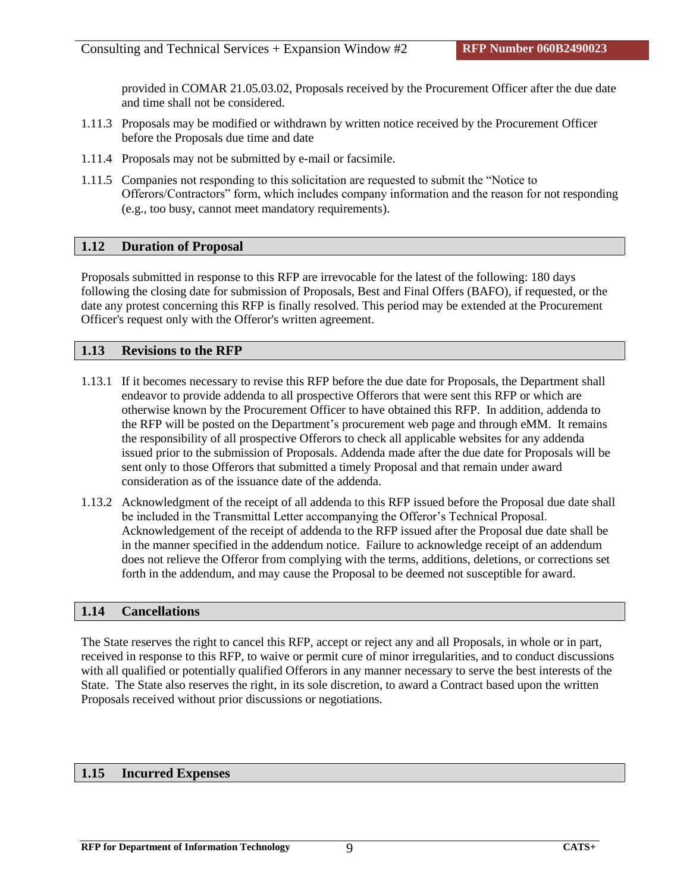provided in COMAR 21.05.03.02, Proposals received by the Procurement Officer after the due date and time shall not be considered.

- 1.11.3 Proposals may be modified or withdrawn by written notice received by the Procurement Officer before the Proposals due time and date
- 1.11.4 Proposals may not be submitted by e-mail or facsimile.
- 1.11.5 Companies not responding to this solicitation are requested to submit the "Notice to Offerors/Contractors" form, which includes company information and the reason for not responding (e.g., too busy, cannot meet mandatory requirements).

# <span id="page-16-0"></span>**1.12 Duration of Proposal**

Proposals submitted in response to this RFP are irrevocable for the latest of the following: 180 days following the closing date for submission of Proposals, Best and Final Offers (BAFO), if requested, or the date any protest concerning this RFP is finally resolved. This period may be extended at the Procurement Officer's request only with the Offeror's written agreement.

# <span id="page-16-1"></span>**1.13 Revisions to the RFP**

- 1.13.1 If it becomes necessary to revise this RFP before the due date for Proposals, the Department shall endeavor to provide addenda to all prospective Offerors that were sent this RFP or which are otherwise known by the Procurement Officer to have obtained this RFP. In addition, addenda to the RFP will be posted on the Department's procurement web page and through eMM. It remains the responsibility of all prospective Offerors to check all applicable websites for any addenda issued prior to the submission of Proposals. Addenda made after the due date for Proposals will be sent only to those Offerors that submitted a timely Proposal and that remain under award consideration as of the issuance date of the addenda.
- 1.13.2 Acknowledgment of the receipt of all addenda to this RFP issued before the Proposal due date shall be included in the Transmittal Letter accompanying the Offeror's Technical Proposal. Acknowledgement of the receipt of addenda to the RFP issued after the Proposal due date shall be in the manner specified in the addendum notice. Failure to acknowledge receipt of an addendum does not relieve the Offeror from complying with the terms, additions, deletions, or corrections set forth in the addendum, and may cause the Proposal to be deemed not susceptible for award.

# <span id="page-16-2"></span>**1.14 Cancellations**

The State reserves the right to cancel this RFP, accept or reject any and all Proposals, in whole or in part, received in response to this RFP, to waive or permit cure of minor irregularities, and to conduct discussions with all qualified or potentially qualified Offerors in any manner necessary to serve the best interests of the State. The State also reserves the right, in its sole discretion, to award a Contract based upon the written Proposals received without prior discussions or negotiations.

# <span id="page-16-3"></span>**1.15 Incurred Expenses**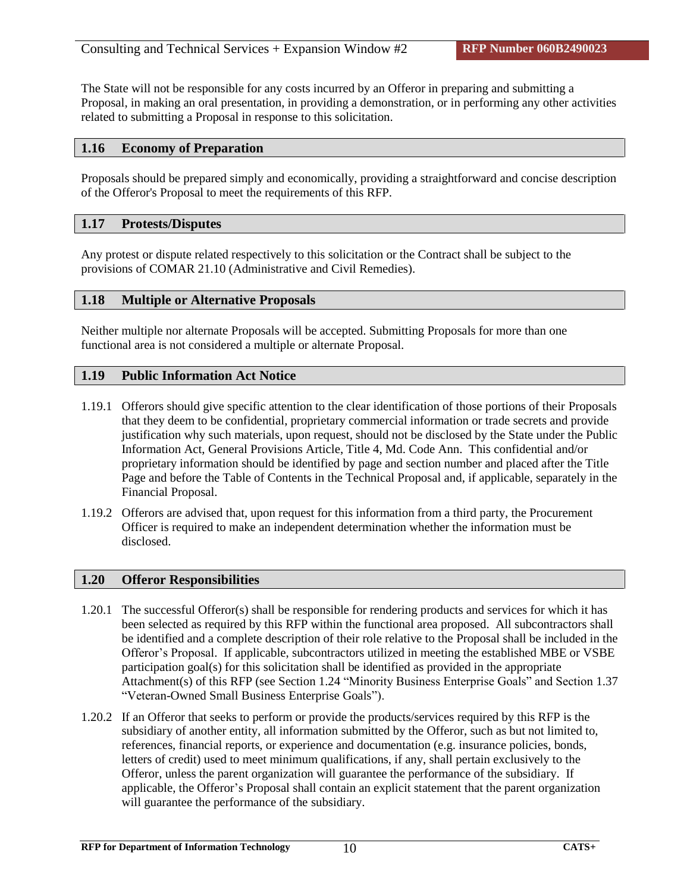The State will not be responsible for any costs incurred by an Offeror in preparing and submitting a Proposal, in making an oral presentation, in providing a demonstration, or in performing any other activities related to submitting a Proposal in response to this solicitation.

# <span id="page-17-0"></span>**1.16 Economy of Preparation**

Proposals should be prepared simply and economically, providing a straightforward and concise description of the Offeror's Proposal to meet the requirements of this RFP.

# <span id="page-17-1"></span>**1.17 Protests/Disputes**

Any protest or dispute related respectively to this solicitation or the Contract shall be subject to the provisions of COMAR 21.10 (Administrative and Civil Remedies).

# <span id="page-17-2"></span>**1.18 Multiple or Alternative Proposals**

Neither multiple nor alternate Proposals will be accepted. Submitting Proposals for more than one functional area is not considered a multiple or alternate Proposal.

# <span id="page-17-3"></span>**1.19 Public Information Act Notice**

- 1.19.1 Offerors should give specific attention to the clear identification of those portions of their Proposals that they deem to be confidential, proprietary commercial information or trade secrets and provide justification why such materials, upon request, should not be disclosed by the State under the Public Information Act, General Provisions Article, Title 4, Md. Code Ann. This confidential and/or proprietary information should be identified by page and section number and placed after the Title Page and before the Table of Contents in the Technical Proposal and, if applicable, separately in the Financial Proposal.
- 1.19.2 Offerors are advised that, upon request for this information from a third party, the Procurement Officer is required to make an independent determination whether the information must be disclosed.

# <span id="page-17-4"></span>**1.20 Offeror Responsibilities**

- 1.20.1 The successful Offeror(s) shall be responsible for rendering products and services for which it has been selected as required by this RFP within the functional area proposed. All subcontractors shall be identified and a complete description of their role relative to the Proposal shall be included in the Offeror's Proposal. If applicable, subcontractors utilized in meeting the established MBE or VSBE participation goal(s) for this solicitation shall be identified as provided in the appropriate Attachment(s) of this RFP (see Section 1.24 "Minority Business Enterprise Goals" and Section 1.37 "Veteran-Owned Small Business Enterprise Goals").
- 1.20.2 If an Offeror that seeks to perform or provide the products/services required by this RFP is the subsidiary of another entity, all information submitted by the Offeror, such as but not limited to, references, financial reports, or experience and documentation (e.g. insurance policies, bonds, letters of credit) used to meet minimum qualifications, if any, shall pertain exclusively to the Offeror, unless the parent organization will guarantee the performance of the subsidiary. If applicable, the Offeror's Proposal shall contain an explicit statement that the parent organization will guarantee the performance of the subsidiary.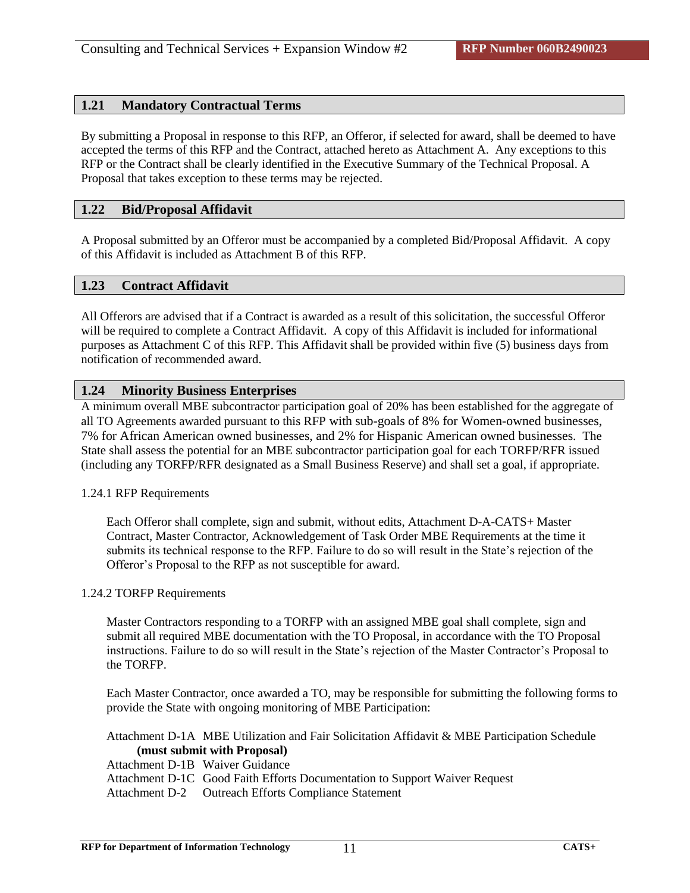# <span id="page-18-0"></span>**1.21 Mandatory Contractual Terms**

By submitting a Proposal in response to this RFP, an Offeror, if selected for award, shall be deemed to have accepted the terms of this RFP and the Contract, attached hereto as Attachment A. Any exceptions to this RFP or the Contract shall be clearly identified in the Executive Summary of the Technical Proposal. A Proposal that takes exception to these terms may be rejected.

### <span id="page-18-1"></span>**1.22 Bid/Proposal Affidavit**

A Proposal submitted by an Offeror must be accompanied by a completed Bid/Proposal Affidavit. A copy of this Affidavit is included as Attachment B of this RFP.

# <span id="page-18-2"></span>**1.23 Contract Affidavit**

All Offerors are advised that if a Contract is awarded as a result of this solicitation, the successful Offeror will be required to complete a Contract Affidavit. A copy of this Affidavit is included for informational purposes as Attachment C of this RFP. This Affidavit shall be provided within five (5) business days from notification of recommended award.

# <span id="page-18-3"></span>**1.24 Minority Business Enterprises**

A minimum overall MBE subcontractor participation goal of 20% has been established for the aggregate of all TO Agreements awarded pursuant to this RFP with sub-goals of 8% for Women-owned businesses, 7% for African American owned businesses, and 2% for Hispanic American owned businesses. The State shall assess the potential for an MBE subcontractor participation goal for each TORFP/RFR issued (including any TORFP/RFR designated as a Small Business Reserve) and shall set a goal, if appropriate.

#### 1.24.1 RFP Requirements

Each Offeror shall complete, sign and submit, without edits, Attachment D-A-CATS+ Master Contract, Master Contractor, Acknowledgement of Task Order MBE Requirements at the time it submits its technical response to the RFP. Failure to do so will result in the State's rejection of the Offeror's Proposal to the RFP as not susceptible for award.

#### 1.24.2 TORFP Requirements

Master Contractors responding to a TORFP with an assigned MBE goal shall complete, sign and submit all required MBE documentation with the TO Proposal, in accordance with the TO Proposal instructions. Failure to do so will result in the State's rejection of the Master Contractor's Proposal to the TORFP.

Each Master Contractor, once awarded a TO, may be responsible for submitting the following forms to provide the State with ongoing monitoring of MBE Participation:

Attachment D-1A MBE Utilization and Fair Solicitation Affidavit & MBE Participation Schedule **(must submit with Proposal)**

Attachment D-1B Waiver Guidance Attachment D-1C Good Faith Efforts Documentation to Support Waiver Request Attachment D-2 Outreach Efforts Compliance Statement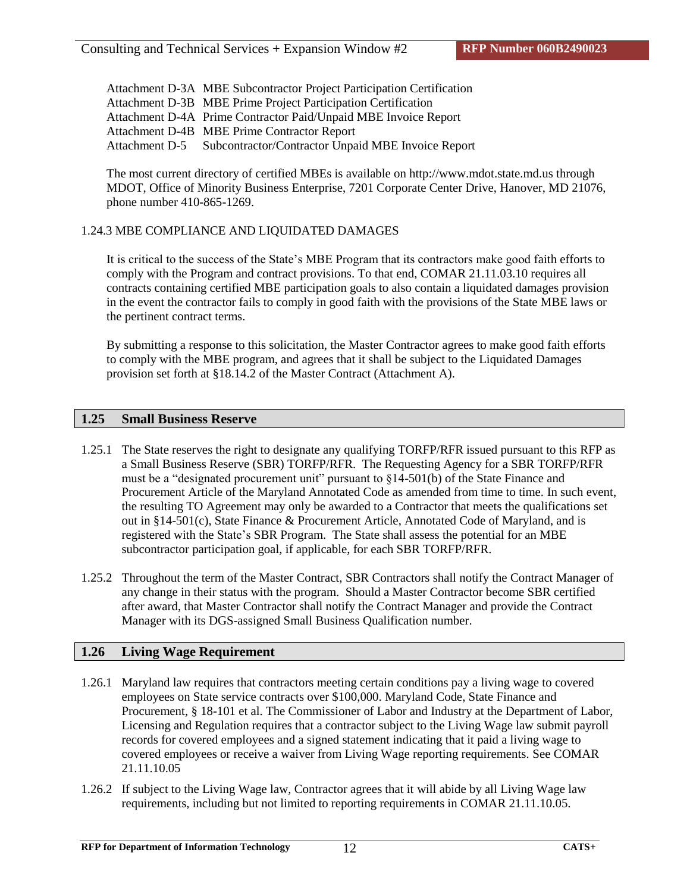Attachment D-3A MBE Subcontractor Project Participation Certification Attachment D-3B MBE Prime Project Participation Certification Attachment D-4A Prime Contractor Paid/Unpaid MBE Invoice Report Attachment D-4B MBE Prime Contractor Report Attachment D-5 Subcontractor/Contractor Unpaid MBE Invoice Report

The most current directory of certified MBEs is available on http://www.mdot.state.md.us through MDOT, Office of Minority Business Enterprise, 7201 Corporate Center Drive, Hanover, MD 21076, phone number 410-865-1269.

# 1.24.3 MBE COMPLIANCE AND LIQUIDATED DAMAGES

It is critical to the success of the State's MBE Program that its contractors make good faith efforts to comply with the Program and contract provisions. To that end, COMAR 21.11.03.10 requires all contracts containing certified MBE participation goals to also contain a liquidated damages provision in the event the contractor fails to comply in good faith with the provisions of the State MBE laws or the pertinent contract terms.

By submitting a response to this solicitation, the Master Contractor agrees to make good faith efforts to comply with the MBE program, and agrees that it shall be subject to the Liquidated Damages provision set forth at §18.14.2 of the Master Contract (Attachment A).

# <span id="page-19-0"></span>**1.25 Small Business Reserve**

- 1.25.1 The State reserves the right to designate any qualifying TORFP/RFR issued pursuant to this RFP as a Small Business Reserve (SBR) TORFP/RFR. The Requesting Agency for a SBR TORFP/RFR must be a "designated procurement unit" pursuant to §14-501(b) of the State Finance and Procurement Article of the Maryland Annotated Code as amended from time to time. In such event, the resulting TO Agreement may only be awarded to a Contractor that meets the qualifications set out in §14-501(c), State Finance & Procurement Article, Annotated Code of Maryland, and is registered with the State's SBR Program. The State shall assess the potential for an MBE subcontractor participation goal, if applicable, for each SBR TORFP/RFR.
- 1.25.2 Throughout the term of the Master Contract, SBR Contractors shall notify the Contract Manager of any change in their status with the program. Should a Master Contractor become SBR certified after award, that Master Contractor shall notify the Contract Manager and provide the Contract Manager with its DGS-assigned Small Business Qualification number.

# <span id="page-19-1"></span>**1.26 Living Wage Requirement**

- 1.26.1 Maryland law requires that contractors meeting certain conditions pay a living wage to covered employees on State service contracts over \$100,000. Maryland Code, State Finance and Procurement, § 18-101 et al. The Commissioner of Labor and Industry at the Department of Labor, Licensing and Regulation requires that a contractor subject to the Living Wage law submit payroll records for covered employees and a signed statement indicating that it paid a living wage to covered employees or receive a waiver from Living Wage reporting requirements. See COMAR 21.11.10.05
- 1.26.2 If subject to the Living Wage law, Contractor agrees that it will abide by all Living Wage law requirements, including but not limited to reporting requirements in COMAR 21.11.10.05.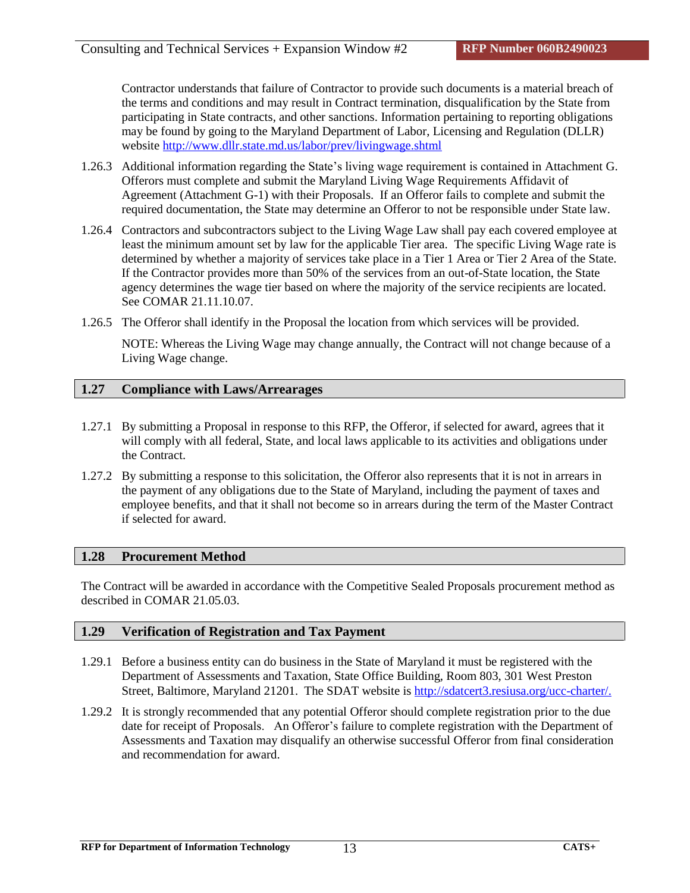Contractor understands that failure of Contractor to provide such documents is a material breach of the terms and conditions and may result in Contract termination, disqualification by the State from participating in State contracts, and other sanctions. Information pertaining to reporting obligations may be found by going to the Maryland Department of Labor, Licensing and Regulation (DLLR) website<http://www.dllr.state.md.us/labor/prev/livingwage.shtml>

- 1.26.3 Additional information regarding the State's living wage requirement is contained in Attachment G. Offerors must complete and submit the Maryland Living Wage Requirements Affidavit of Agreement (Attachment G-1) with their Proposals. If an Offeror fails to complete and submit the required documentation, the State may determine an Offeror to not be responsible under State law.
- 1.26.4 Contractors and subcontractors subject to the Living Wage Law shall pay each covered employee at least the minimum amount set by law for the applicable Tier area. The specific Living Wage rate is determined by whether a majority of services take place in a Tier 1 Area or Tier 2 Area of the State. If the Contractor provides more than 50% of the services from an out-of-State location, the State agency determines the wage tier based on where the majority of the service recipients are located. See COMAR 21.11.10.07.
- 1.26.5 The Offeror shall identify in the Proposal the location from which services will be provided.

NOTE: Whereas the Living Wage may change annually, the Contract will not change because of a Living Wage change.

# <span id="page-20-0"></span>**1.27 Compliance with Laws/Arrearages**

- 1.27.1 By submitting a Proposal in response to this RFP, the Offeror, if selected for award, agrees that it will comply with all federal, State, and local laws applicable to its activities and obligations under the Contract.
- 1.27.2 By submitting a response to this solicitation, the Offeror also represents that it is not in arrears in the payment of any obligations due to the State of Maryland, including the payment of taxes and employee benefits, and that it shall not become so in arrears during the term of the Master Contract if selected for award.

# <span id="page-20-1"></span>**1.28 Procurement Method**

The Contract will be awarded in accordance with the Competitive Sealed Proposals procurement method as described in COMAR 21.05.03.

# <span id="page-20-2"></span>**1.29 Verification of Registration and Tax Payment**

- 1.29.1 Before a business entity can do business in the State of Maryland it must be registered with the Department of Assessments and Taxation, State Office Building, Room 803, 301 West Preston Street, Baltimore, Maryland 21201. The SDAT website i[s http://sdatcert3.resiusa.org/ucc-charter/.](http://sdatcert3.resiusa.org/ucc-charter/)
- 1.29.2 It is strongly recommended that any potential Offeror should complete registration prior to the due date for receipt of Proposals. An Offeror's failure to complete registration with the Department of Assessments and Taxation may disqualify an otherwise successful Offeror from final consideration and recommendation for award.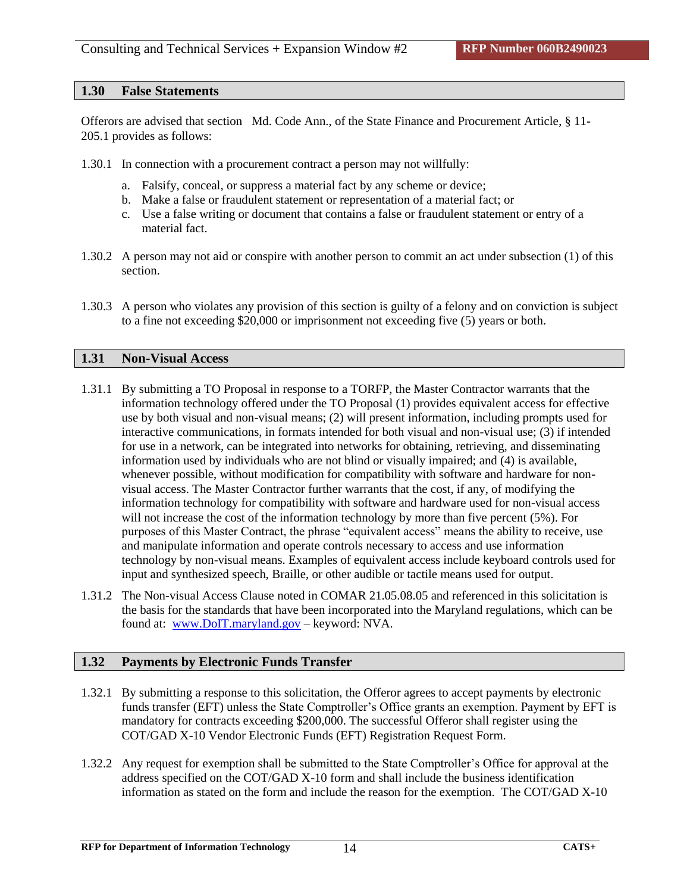#### <span id="page-21-0"></span>**1.30 False Statements**

Offerors are advised that section Md. Code Ann., of the State Finance and Procurement Article, § 11- 205.1 provides as follows:

- 1.30.1 In connection with a procurement contract a person may not willfully:
	- a. Falsify, conceal, or suppress a material fact by any scheme or device;
	- b. Make a false or fraudulent statement or representation of a material fact; or
	- c. Use a false writing or document that contains a false or fraudulent statement or entry of a material fact.
- 1.30.2 A person may not aid or conspire with another person to commit an act under subsection (1) of this section.
- 1.30.3 A person who violates any provision of this section is guilty of a felony and on conviction is subject to a fine not exceeding \$20,000 or imprisonment not exceeding five (5) years or both.

#### <span id="page-21-1"></span>**1.31 Non-Visual Access**

- 1.31.1 By submitting a TO Proposal in response to a TORFP, the Master Contractor warrants that the information technology offered under the TO Proposal (1) provides equivalent access for effective use by both visual and non-visual means; (2) will present information, including prompts used for interactive communications, in formats intended for both visual and non-visual use; (3) if intended for use in a network, can be integrated into networks for obtaining, retrieving, and disseminating information used by individuals who are not blind or visually impaired; and (4) is available, whenever possible, without modification for compatibility with software and hardware for nonvisual access. The Master Contractor further warrants that the cost, if any, of modifying the information technology for compatibility with software and hardware used for non-visual access will not increase the cost of the information technology by more than five percent (5%). For purposes of this Master Contract, the phrase "equivalent access" means the ability to receive, use and manipulate information and operate controls necessary to access and use information technology by non-visual means. Examples of equivalent access include keyboard controls used for input and synthesized speech, Braille, or other audible or tactile means used for output.
- 1.31.2 The Non-visual Access Clause noted in COMAR 21.05.08.05 and referenced in this solicitation is the basis for the standards that have been incorporated into the Maryland regulations, which can be found at: [www.DoIT.maryland.gov](http://www.dbm.maryland.gov/) – keyword: NVA.

#### <span id="page-21-2"></span>**1.32 Payments by Electronic Funds Transfer**

- 1.32.1 By submitting a response to this solicitation, the Offeror agrees to accept payments by electronic funds transfer (EFT) unless the State Comptroller's Office grants an exemption. Payment by EFT is mandatory for contracts exceeding \$200,000. The successful Offeror shall register using the COT/GAD X-10 Vendor Electronic Funds (EFT) Registration Request Form.
- 1.32.2 Any request for exemption shall be submitted to the State Comptroller's Office for approval at the address specified on the COT/GAD X-10 form and shall include the business identification information as stated on the form and include the reason for the exemption. The COT/GAD X-10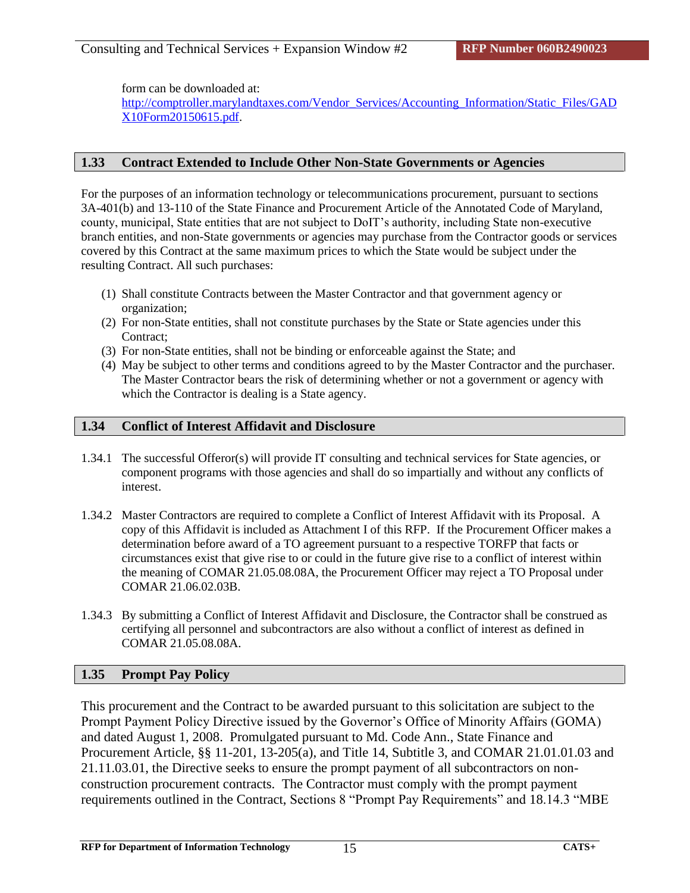form can be downloaded at:

[http://comptroller.marylandtaxes.com/Vendor\\_Services/Accounting\\_Information/Static\\_Files/GAD](http://comptroller.marylandtaxes.com/Vendor_Services/Accounting_Information/Static_Files/GADX10Form20150615.pdf) [X10Form20150615.pdf.](http://comptroller.marylandtaxes.com/Vendor_Services/Accounting_Information/Static_Files/GADX10Form20150615.pdf)

# <span id="page-22-0"></span>**1.33 Contract Extended to Include Other Non-State Governments or Agencies**

For the purposes of an information technology or telecommunications procurement, pursuant to sections 3A-401(b) and 13-110 of the State Finance and Procurement Article of the Annotated Code of Maryland, county, municipal, State entities that are not subject to DoIT's authority, including State non-executive branch entities, and non-State governments or agencies may purchase from the Contractor goods or services covered by this Contract at the same maximum prices to which the State would be subject under the resulting Contract. All such purchases:

- (1) Shall constitute Contracts between the Master Contractor and that government agency or organization;
- (2) For non-State entities, shall not constitute purchases by the State or State agencies under this Contract;
- (3) For non-State entities, shall not be binding or enforceable against the State; and
- (4) May be subject to other terms and conditions agreed to by the Master Contractor and the purchaser. The Master Contractor bears the risk of determining whether or not a government or agency with which the Contractor is dealing is a State agency.

# <span id="page-22-1"></span>**1.34 Conflict of Interest Affidavit and Disclosure**

- 1.34.1 The successful Offeror(s) will provide IT consulting and technical services for State agencies, or component programs with those agencies and shall do so impartially and without any conflicts of interest.
- 1.34.2 Master Contractors are required to complete a Conflict of Interest Affidavit with its Proposal. A copy of this Affidavit is included as Attachment I of this RFP. If the Procurement Officer makes a determination before award of a TO agreement pursuant to a respective TORFP that facts or circumstances exist that give rise to or could in the future give rise to a conflict of interest within the meaning of COMAR 21.05.08.08A, the Procurement Officer may reject a TO Proposal under COMAR 21.06.02.03B.
- 1.34.3 By submitting a Conflict of Interest Affidavit and Disclosure, the Contractor shall be construed as certifying all personnel and subcontractors are also without a conflict of interest as defined in COMAR 21.05.08.08A.

# <span id="page-22-2"></span>**1.35 Prompt Pay Policy**

This procurement and the Contract to be awarded pursuant to this solicitation are subject to the Prompt Payment Policy Directive issued by the Governor's Office of Minority Affairs (GOMA) and dated August 1, 2008. Promulgated pursuant to Md. Code Ann., State Finance and Procurement Article, §§ 11-201, 13-205(a), and Title 14, Subtitle 3, and COMAR 21.01.01.03 and 21.11.03.01, the Directive seeks to ensure the prompt payment of all subcontractors on nonconstruction procurement contracts. The Contractor must comply with the prompt payment requirements outlined in the Contract, Sections 8 "Prompt Pay Requirements" and 18.14.3 "MBE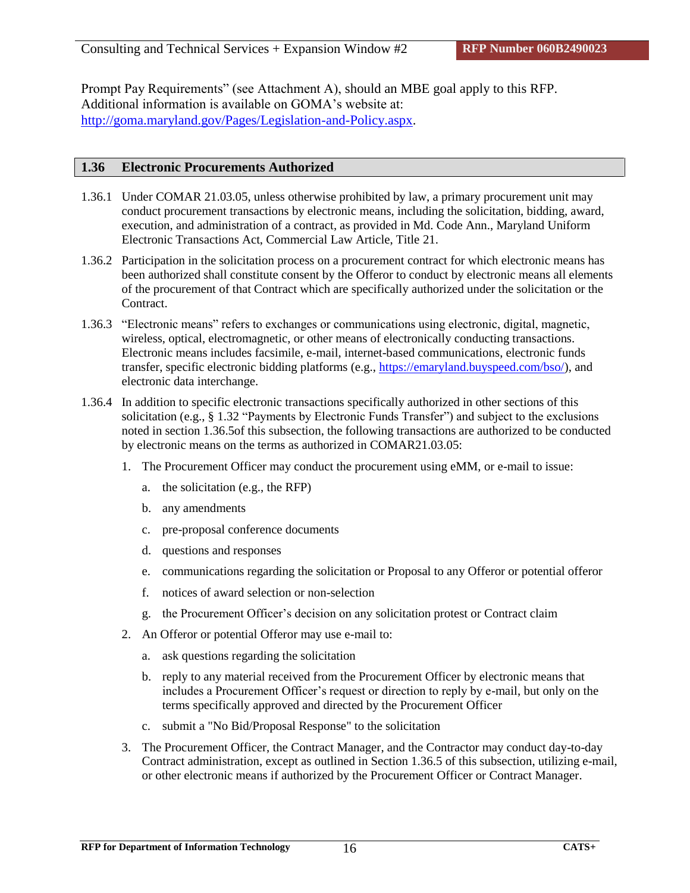Prompt Pay Requirements" (see Attachment A), should an MBE goal apply to this RFP. Additional information is available on GOMA's website at: [http://goma.maryland.gov/Pages/Legislation-and-Policy.aspx.](http://goma.maryland.gov/Pages/Legislation-and-Policy.aspx)

# <span id="page-23-0"></span>**1.36 Electronic Procurements Authorized**

- 1.36.1 Under COMAR 21.03.05, unless otherwise prohibited by law, a primary procurement unit may conduct procurement transactions by electronic means, including the solicitation, bidding, award, execution, and administration of a contract, as provided in Md. Code Ann., Maryland Uniform Electronic Transactions Act, Commercial Law Article, Title 21.
- 1.36.2 Participation in the solicitation process on a procurement contract for which electronic means has been authorized shall constitute consent by the Offeror to conduct by electronic means all elements of the procurement of that Contract which are specifically authorized under the solicitation or the Contract.
- 1.36.3 "Electronic means" refers to exchanges or communications using electronic, digital, magnetic, wireless, optical, electromagnetic, or other means of electronically conducting transactions. Electronic means includes facsimile, e-mail, internet-based communications, electronic funds transfer, specific electronic bidding platforms (e.g., https://emaryland.buyspeed.com/bso/), and electronic data interchange.
- 1.36.4 In addition to specific electronic transactions specifically authorized in other sections of this solicitation (e.g., § 1.32 "Payments by Electronic Funds Transfer") and subject to the exclusions noted in section 1.36.5of this subsection, the following transactions are authorized to be conducted by electronic means on the terms as authorized in COMAR21.03.05:
	- 1. The Procurement Officer may conduct the procurement using eMM, or e-mail to issue:
		- a. the solicitation (e.g., the RFP)
		- b. any amendments
		- c. pre-proposal conference documents
		- d. questions and responses
		- e. communications regarding the solicitation or Proposal to any Offeror or potential offeror
		- f. notices of award selection or non-selection
		- g. the Procurement Officer's decision on any solicitation protest or Contract claim
	- 2. An Offeror or potential Offeror may use e-mail to:
		- a. ask questions regarding the solicitation
		- b. reply to any material received from the Procurement Officer by electronic means that includes a Procurement Officer's request or direction to reply by e-mail, but only on the terms specifically approved and directed by the Procurement Officer
		- c. submit a "No Bid/Proposal Response" to the solicitation
	- 3. The Procurement Officer, the Contract Manager, and the Contractor may conduct day-to-day Contract administration, except as outlined in Section 1.36.5 of this subsection, utilizing e-mail, or other electronic means if authorized by the Procurement Officer or Contract Manager.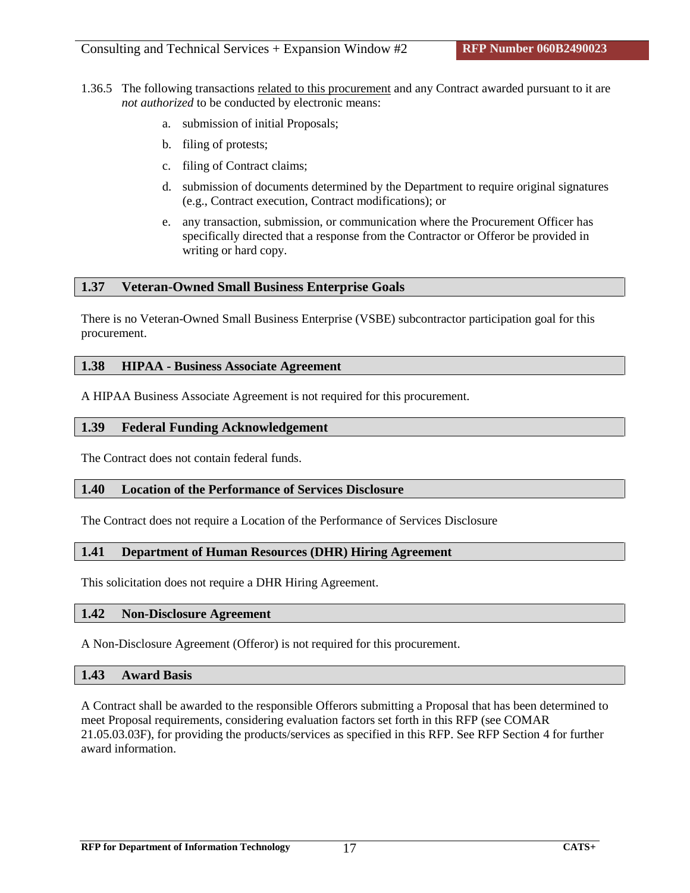Consulting and Technical Services + Expansion Window #2 **RFP Number 060B2490023**

- 1.36.5 The following transactions related to this procurement and any Contract awarded pursuant to it are *not authorized* to be conducted by electronic means:
	- a. submission of initial Proposals;
	- b. filing of protests;
	- c. filing of Contract claims;
	- d. submission of documents determined by the Department to require original signatures (e.g., Contract execution, Contract modifications); or
	- e. any transaction, submission, or communication where the Procurement Officer has specifically directed that a response from the Contractor or Offeror be provided in writing or hard copy.

#### <span id="page-24-0"></span>**1.37 Veteran-Owned Small Business Enterprise Goals**

There is no Veteran-Owned Small Business Enterprise (VSBE) subcontractor participation goal for this procurement.

### <span id="page-24-1"></span>**1.38 HIPAA - Business Associate Agreement**

A HIPAA Business Associate Agreement is not required for this procurement.

## <span id="page-24-2"></span>**1.39 Federal Funding Acknowledgement**

The Contract does not contain federal funds.

#### <span id="page-24-3"></span>**1.40 Location of the Performance of Services Disclosure**

The Contract does not require a Location of the Performance of Services Disclosure

## <span id="page-24-4"></span>**1.41 Department of Human Resources (DHR) Hiring Agreement**

This solicitation does not require a DHR Hiring Agreement.

#### <span id="page-24-5"></span>**1.42 Non-Disclosure Agreement**

A Non-Disclosure Agreement (Offeror) is not required for this procurement.

#### <span id="page-24-6"></span>**1.43 Award Basis**

A Contract shall be awarded to the responsible Offerors submitting a Proposal that has been determined to meet Proposal requirements, considering evaluation factors set forth in this RFP (see COMAR 21.05.03.03F), for providing the products/services as specified in this RFP. See RFP Section 4 for further award information.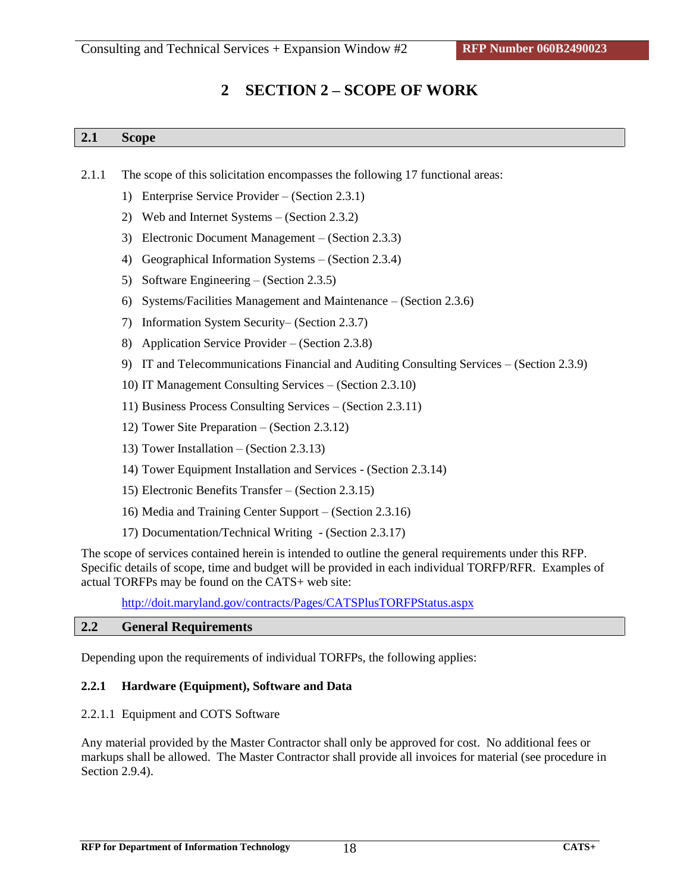# **2 SECTION 2 – SCOPE OF WORK**

# <span id="page-25-1"></span><span id="page-25-0"></span>**2.1 Scope**

- 2.1.1 The scope of this solicitation encompasses the following 17 functional areas:
	- 1) Enterprise Service Provider (Section 2.3.1)
	- 2) Web and Internet Systems (Section 2.3.2)
	- 3) Electronic Document Management (Section 2.3.3)
	- 4) Geographical Information Systems (Section 2.3.4)
	- 5) Software Engineering (Section 2.3.5)
	- 6) Systems/Facilities Management and Maintenance (Section 2.3.6)
	- 7) Information System Security– (Section 2.3.7)
	- 8) Application Service Provider (Section 2.3.8)
	- 9) IT and Telecommunications Financial and Auditing Consulting Services (Section 2.3.9)
	- 10) IT Management Consulting Services (Section 2.3.10)
	- 11) Business Process Consulting Services (Section 2.3.11)
	- 12) Tower Site Preparation (Section 2.3.12)
	- 13) Tower Installation (Section 2.3.13)
	- 14) Tower Equipment Installation and Services (Section 2.3.14)
	- 15) Electronic Benefits Transfer (Section 2.3.15)
	- 16) Media and Training Center Support (Section 2.3.16)
	- 17) Documentation/Technical Writing (Section 2.3.17)

The scope of services contained herein is intended to outline the general requirements under this RFP. Specific details of scope, time and budget will be provided in each individual TORFP/RFR. Examples of actual TORFPs may be found on the CATS+ web site:

<span id="page-25-2"></span><http://doit.maryland.gov/contracts/Pages/CATSPlusTORFPStatus.aspx>

# **2.2 General Requirements**

Depending upon the requirements of individual TORFPs, the following applies:

# **2.2.1 Hardware (Equipment), Software and Data**

2.2.1.1 Equipment and COTS Software

Any material provided by the Master Contractor shall only be approved for cost. No additional fees or markups shall be allowed. The Master Contractor shall provide all invoices for material (see procedure in Section 2.9.4).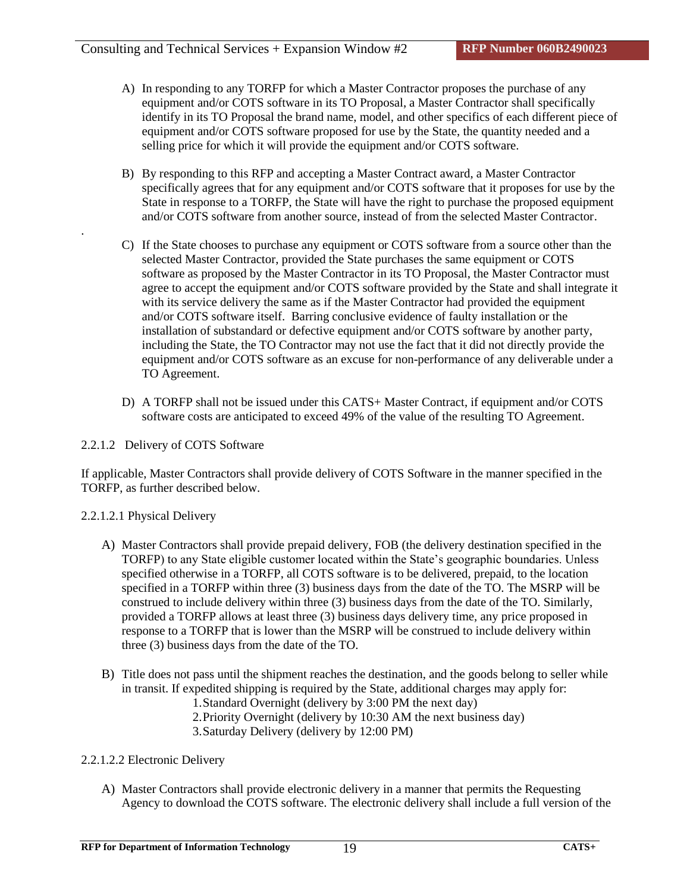- A) In responding to any TORFP for which a Master Contractor proposes the purchase of any equipment and/or COTS software in its TO Proposal, a Master Contractor shall specifically identify in its TO Proposal the brand name, model, and other specifics of each different piece of equipment and/or COTS software proposed for use by the State, the quantity needed and a selling price for which it will provide the equipment and/or COTS software.
- B) By responding to this RFP and accepting a Master Contract award, a Master Contractor specifically agrees that for any equipment and/or COTS software that it proposes for use by the State in response to a TORFP, the State will have the right to purchase the proposed equipment and/or COTS software from another source, instead of from the selected Master Contractor.
- C) If the State chooses to purchase any equipment or COTS software from a source other than the selected Master Contractor, provided the State purchases the same equipment or COTS software as proposed by the Master Contractor in its TO Proposal, the Master Contractor must agree to accept the equipment and/or COTS software provided by the State and shall integrate it with its service delivery the same as if the Master Contractor had provided the equipment and/or COTS software itself. Barring conclusive evidence of faulty installation or the installation of substandard or defective equipment and/or COTS software by another party, including the State, the TO Contractor may not use the fact that it did not directly provide the equipment and/or COTS software as an excuse for non-performance of any deliverable under a TO Agreement.
- D) A TORFP shall not be issued under this CATS+ Master Contract, if equipment and/or COTS software costs are anticipated to exceed 49% of the value of the resulting TO Agreement.
- 2.2.1.2 Delivery of COTS Software

If applicable, Master Contractors shall provide delivery of COTS Software in the manner specified in the TORFP, as further described below.

# 2.2.1.2.1 Physical Delivery

.

- A) Master Contractors shall provide prepaid delivery, FOB (the delivery destination specified in the TORFP) to any State eligible customer located within the State's geographic boundaries. Unless specified otherwise in a TORFP, all COTS software is to be delivered, prepaid, to the location specified in a TORFP within three (3) business days from the date of the TO. The MSRP will be construed to include delivery within three (3) business days from the date of the TO. Similarly, provided a TORFP allows at least three (3) business days delivery time, any price proposed in response to a TORFP that is lower than the MSRP will be construed to include delivery within three (3) business days from the date of the TO.
- B) Title does not pass until the shipment reaches the destination, and the goods belong to seller while in transit. If expedited shipping is required by the State, additional charges may apply for:
	- 1.Standard Overnight (delivery by 3:00 PM the next day)
	- 2.Priority Overnight (delivery by 10:30 AM the next business day)
	- 3.Saturday Delivery (delivery by 12:00 PM)

# 2.2.1.2.2 Electronic Delivery

A) Master Contractors shall provide electronic delivery in a manner that permits the Requesting Agency to download the COTS software. The electronic delivery shall include a full version of the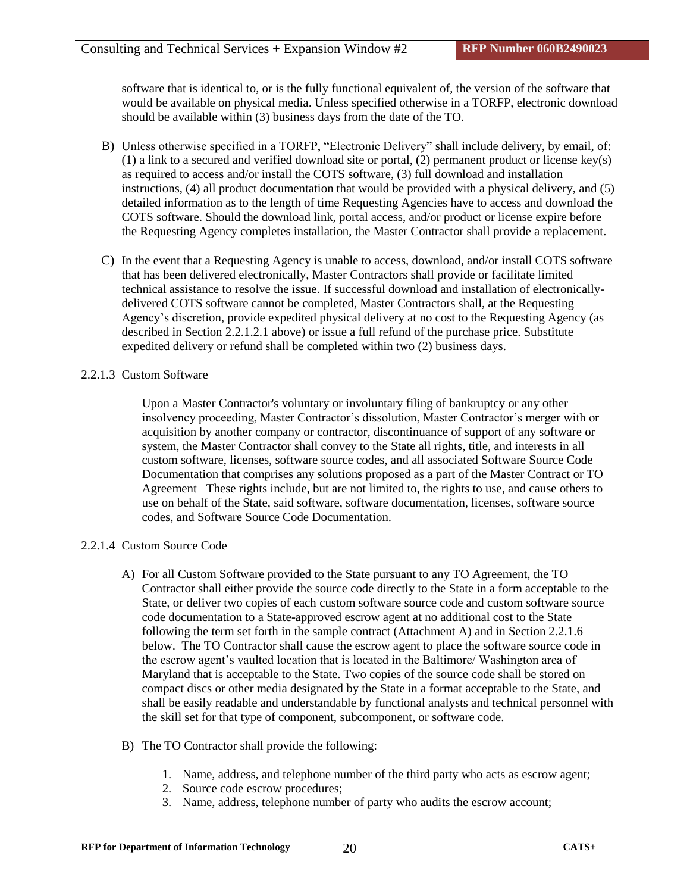software that is identical to, or is the fully functional equivalent of, the version of the software that would be available on physical media. Unless specified otherwise in a TORFP, electronic download should be available within (3) business days from the date of the TO.

- B) Unless otherwise specified in a TORFP, "Electronic Delivery" shall include delivery, by email, of: (1) a link to a secured and verified download site or portal, (2) permanent product or license key(s) as required to access and/or install the COTS software, (3) full download and installation instructions, (4) all product documentation that would be provided with a physical delivery, and (5) detailed information as to the length of time Requesting Agencies have to access and download the COTS software. Should the download link, portal access, and/or product or license expire before the Requesting Agency completes installation, the Master Contractor shall provide a replacement.
- C) In the event that a Requesting Agency is unable to access, download, and/or install COTS software that has been delivered electronically, Master Contractors shall provide or facilitate limited technical assistance to resolve the issue. If successful download and installation of electronicallydelivered COTS software cannot be completed, Master Contractors shall, at the Requesting Agency's discretion, provide expedited physical delivery at no cost to the Requesting Agency (as described in Section 2.2.1.2.1 above) or issue a full refund of the purchase price. Substitute expedited delivery or refund shall be completed within two (2) business days.

# 2.2.1.3 Custom Software

Upon a Master Contractor's voluntary or involuntary filing of bankruptcy or any other insolvency proceeding, Master Contractor's dissolution, Master Contractor's merger with or acquisition by another company or contractor, discontinuance of support of any software or system, the Master Contractor shall convey to the State all rights, title, and interests in all custom software, licenses, software source codes, and all associated Software Source Code Documentation that comprises any solutions proposed as a part of the Master Contract or TO Agreement These rights include, but are not limited to, the rights to use, and cause others to use on behalf of the State, said software, software documentation, licenses, software source codes, and Software Source Code Documentation.

# 2.2.1.4 Custom Source Code

- A) For all Custom Software provided to the State pursuant to any TO Agreement, the TO Contractor shall either provide the source code directly to the State in a form acceptable to the State, or deliver two copies of each custom software source code and custom software source code documentation to a State-approved escrow agent at no additional cost to the State following the term set forth in the sample contract (Attachment A) and in Section 2.2.1.6 below. The TO Contractor shall cause the escrow agent to place the software source code in the escrow agent's vaulted location that is located in the Baltimore/ Washington area of Maryland that is acceptable to the State. Two copies of the source code shall be stored on compact discs or other media designated by the State in a format acceptable to the State, and shall be easily readable and understandable by functional analysts and technical personnel with the skill set for that type of component, subcomponent, or software code.
- B) The TO Contractor shall provide the following:
	- 1. Name, address, and telephone number of the third party who acts as escrow agent;
	- 2. Source code escrow procedures;
	- 3. Name, address, telephone number of party who audits the escrow account;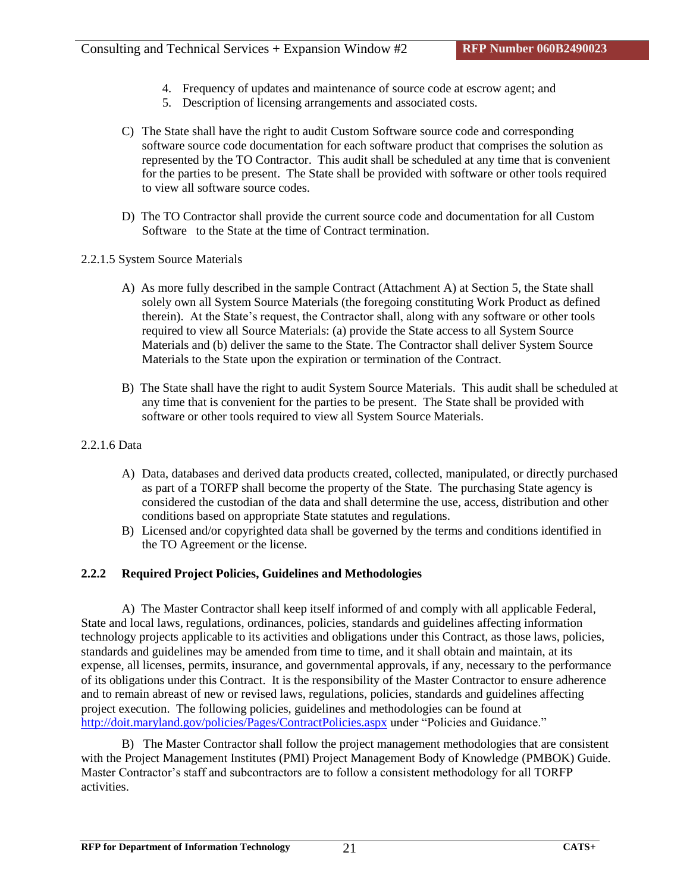- 4. Frequency of updates and maintenance of source code at escrow agent; and
- 5. Description of licensing arrangements and associated costs.
- C) The State shall have the right to audit Custom Software source code and corresponding software source code documentation for each software product that comprises the solution as represented by the TO Contractor. This audit shall be scheduled at any time that is convenient for the parties to be present. The State shall be provided with software or other tools required to view all software source codes.
- D) The TO Contractor shall provide the current source code and documentation for all Custom Software to the State at the time of Contract termination.
- 2.2.1.5 System Source Materials
	- A) As more fully described in the sample Contract (Attachment A) at Section 5, the State shall solely own all System Source Materials (the foregoing constituting Work Product as defined therein). At the State's request, the Contractor shall, along with any software or other tools required to view all Source Materials: (a) provide the State access to all System Source Materials and (b) deliver the same to the State. The Contractor shall deliver System Source Materials to the State upon the expiration or termination of the Contract.
	- B) The State shall have the right to audit System Source Materials. This audit shall be scheduled at any time that is convenient for the parties to be present. The State shall be provided with software or other tools required to view all System Source Materials.
- 2.2.1.6 Data
	- A) Data, databases and derived data products created, collected, manipulated, or directly purchased as part of a TORFP shall become the property of the State. The purchasing State agency is considered the custodian of the data and shall determine the use, access, distribution and other conditions based on appropriate State statutes and regulations.
	- B) Licensed and/or copyrighted data shall be governed by the terms and conditions identified in the TO Agreement or the license.

# **2.2.2 Required Project Policies, Guidelines and Methodologies**

A) The Master Contractor shall keep itself informed of and comply with all applicable Federal, State and local laws, regulations, ordinances, policies, standards and guidelines affecting information technology projects applicable to its activities and obligations under this Contract, as those laws, policies, standards and guidelines may be amended from time to time, and it shall obtain and maintain, at its expense, all licenses, permits, insurance, and governmental approvals, if any, necessary to the performance of its obligations under this Contract. It is the responsibility of the Master Contractor to ensure adherence and to remain abreast of new or revised laws, regulations, policies, standards and guidelines affecting project execution. The following policies, guidelines and methodologies can be found at <http://doit.maryland.gov/policies/Pages/ContractPolicies.aspx> under "Policies and Guidance."

B) The Master Contractor shall follow the project management methodologies that are consistent with the Project Management Institutes (PMI) Project Management Body of Knowledge (PMBOK) Guide. Master Contractor's staff and subcontractors are to follow a consistent methodology for all TORFP activities.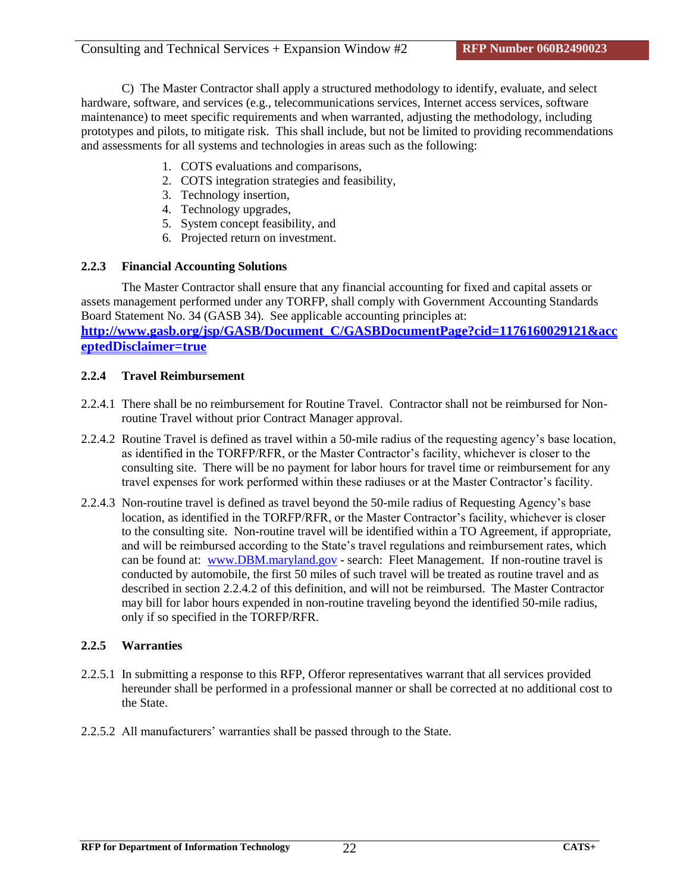C) The Master Contractor shall apply a structured methodology to identify, evaluate, and select hardware, software, and services (e.g., telecommunications services, Internet access services, software maintenance) to meet specific requirements and when warranted, adjusting the methodology, including prototypes and pilots, to mitigate risk. This shall include, but not be limited to providing recommendations and assessments for all systems and technologies in areas such as the following:

- 1. COTS evaluations and comparisons,
- 2. COTS integration strategies and feasibility,
- 3. Technology insertion,
- 4. Technology upgrades,
- 5. System concept feasibility, and
- 6. Projected return on investment.

# **2.2.3 Financial Accounting Solutions**

The Master Contractor shall ensure that any financial accounting for fixed and capital assets or assets management performed under any TORFP, shall comply with Government Accounting Standards Board Statement No. 34 (GASB 34). See applicable accounting principles at:

# **[http://www.gasb.org/jsp/GASB/Document\\_C/GASBDocumentPage?cid=1176160029121&acc](http://www.gasb.org/jsp/GASB/Document_C/GASBDocumentPage?cid=1176160029121&acceptedDisclaimer=true) [eptedDisclaimer=true](http://www.gasb.org/jsp/GASB/Document_C/GASBDocumentPage?cid=1176160029121&acceptedDisclaimer=true)**

# **2.2.4 Travel Reimbursement**

- 2.2.4.1 There shall be no reimbursement for Routine Travel. Contractor shall not be reimbursed for Nonroutine Travel without prior Contract Manager approval.
- 2.2.4.2 Routine Travel is defined as travel within a 50-mile radius of the requesting agency's base location, as identified in the TORFP/RFR, or the Master Contractor's facility, whichever is closer to the consulting site. There will be no payment for labor hours for travel time or reimbursement for any travel expenses for work performed within these radiuses or at the Master Contractor's facility.
- 2.2.4.3 Non-routine travel is defined as travel beyond the 50-mile radius of Requesting Agency's base location, as identified in the TORFP/RFR, or the Master Contractor's facility, whichever is closer to the consulting site. Non-routine travel will be identified within a TO Agreement, if appropriate, and will be reimbursed according to the State's travel regulations and reimbursement rates, which can be found at: [www.DBM.maryland.gov](http://www.dbm.maryland.gov/) - search: Fleet Management. If non-routine travel is conducted by automobile, the first 50 miles of such travel will be treated as routine travel and as described in section 2.2.4.2 of this definition, and will not be reimbursed. The Master Contractor may bill for labor hours expended in non-routine traveling beyond the identified 50-mile radius, only if so specified in the TORFP/RFR.

# **2.2.5 Warranties**

- 2.2.5.1 In submitting a response to this RFP, Offeror representatives warrant that all services provided hereunder shall be performed in a professional manner or shall be corrected at no additional cost to the State.
- 2.2.5.2 All manufacturers' warranties shall be passed through to the State.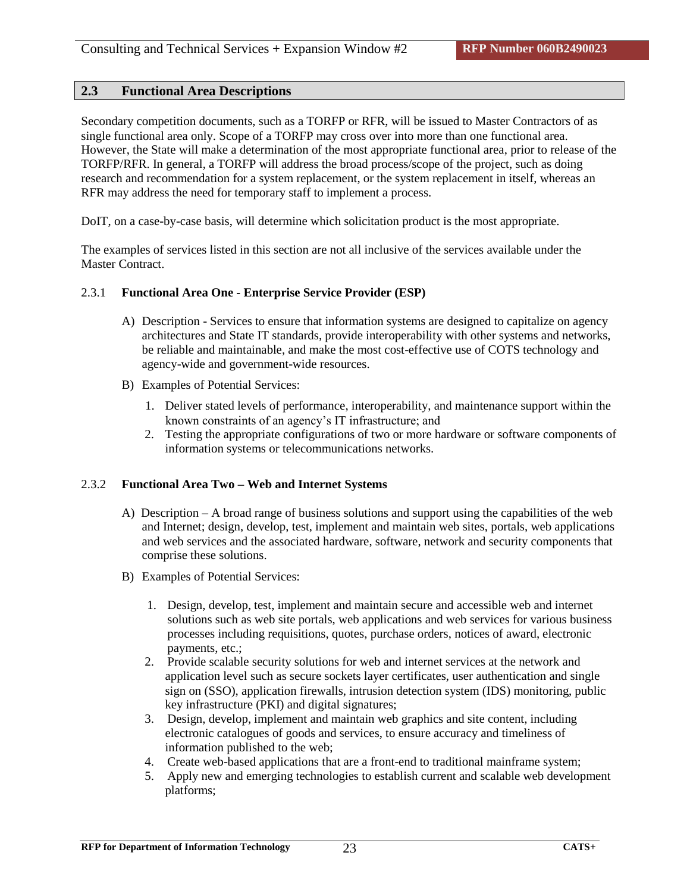# <span id="page-30-0"></span>**2.3 Functional Area Descriptions**

Secondary competition documents, such as a TORFP or RFR, will be issued to Master Contractors of as single functional area only. Scope of a TORFP may cross over into more than one functional area. However, the State will make a determination of the most appropriate functional area, prior to release of the TORFP/RFR. In general, a TORFP will address the broad process/scope of the project, such as doing research and recommendation for a system replacement, or the system replacement in itself, whereas an RFR may address the need for temporary staff to implement a process.

DoIT, on a case-by-case basis, will determine which solicitation product is the most appropriate.

The examples of services listed in this section are not all inclusive of the services available under the Master Contract.

#### 2.3.1 **Functional Area One - Enterprise Service Provider (ESP)**

- A) Description Services to ensure that information systems are designed to capitalize on agency architectures and State IT standards, provide interoperability with other systems and networks, be reliable and maintainable, and make the most cost-effective use of COTS technology and agency-wide and government-wide resources.
- B) Examples of Potential Services:
	- 1. Deliver stated levels of performance, interoperability, and maintenance support within the known constraints of an agency's IT infrastructure; and
	- 2. Testing the appropriate configurations of two or more hardware or software components of information systems or telecommunications networks.

#### 2.3.2 **Functional Area Two – Web and Internet Systems**

- A) Description A broad range of business solutions and support using the capabilities of the web and Internet; design, develop, test, implement and maintain web sites, portals, web applications and web services and the associated hardware, software, network and security components that comprise these solutions.
- B) Examples of Potential Services:
	- 1. Design, develop, test, implement and maintain secure and accessible web and internet solutions such as web site portals, web applications and web services for various business processes including requisitions, quotes, purchase orders, notices of award, electronic payments, etc.;
	- 2. Provide scalable security solutions for web and internet services at the network and application level such as secure sockets layer certificates, user authentication and single sign on (SSO), application firewalls, intrusion detection system (IDS) monitoring, public key infrastructure (PKI) and digital signatures;
	- 3. Design, develop, implement and maintain web graphics and site content, including electronic catalogues of goods and services, to ensure accuracy and timeliness of information published to the web;
	- 4. Create web-based applications that are a front-end to traditional mainframe system;
	- 5. Apply new and emerging technologies to establish current and scalable web development platforms;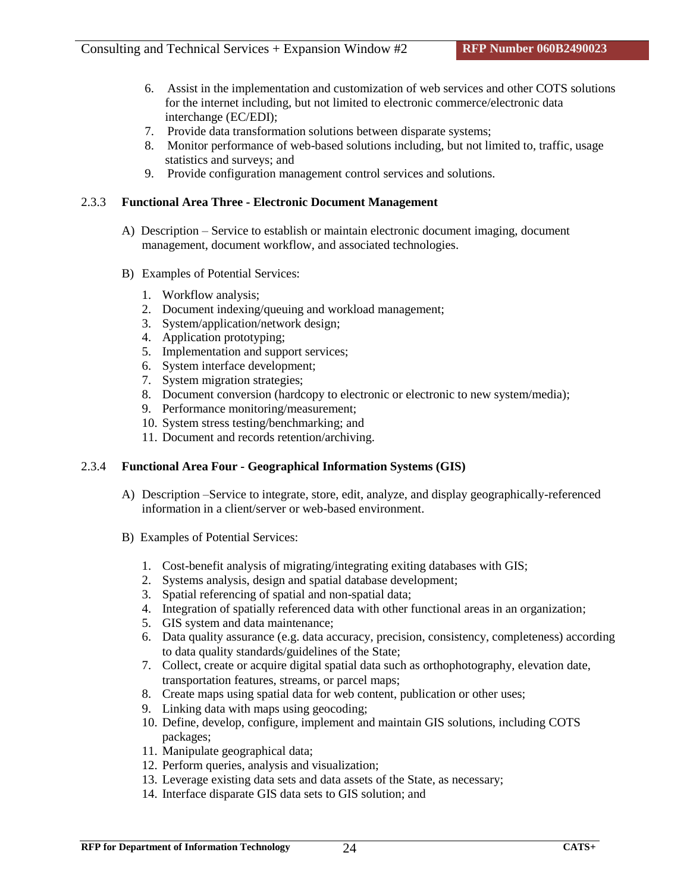- 6. Assist in the implementation and customization of web services and other COTS solutions for the internet including, but not limited to electronic commerce/electronic data interchange (EC/EDI);
- 7. Provide data transformation solutions between disparate systems;
- 8. Monitor performance of web-based solutions including, but not limited to, traffic, usage statistics and surveys; and
- 9. Provide configuration management control services and solutions.

# 2.3.3 **Functional Area Three - Electronic Document Management**

- A) Description Service to establish or maintain electronic document imaging, document management, document workflow, and associated technologies.
- B) Examples of Potential Services:
	- 1. Workflow analysis;
	- 2. Document indexing/queuing and workload management;
	- 3. System/application/network design;
	- 4. Application prototyping;
	- 5. Implementation and support services;
	- 6. System interface development;
	- 7. System migration strategies;
	- 8. Document conversion (hardcopy to electronic or electronic to new system/media);
	- 9. Performance monitoring/measurement;
	- 10. System stress testing/benchmarking; and
	- 11. Document and records retention/archiving.

#### 2.3.4 **Functional Area Four - Geographical Information Systems (GIS)**

- A) Description –Service to integrate, store, edit, analyze, and display geographically-referenced information in a client/server or web-based environment.
- B) Examples of Potential Services:
	- 1. Cost-benefit analysis of migrating/integrating exiting databases with GIS;
	- 2. Systems analysis, design and spatial database development;
	- 3. Spatial referencing of spatial and non-spatial data;
	- 4. Integration of spatially referenced data with other functional areas in an organization;
	- 5. GIS system and data maintenance;
	- 6. Data quality assurance (e.g. data accuracy, precision, consistency, completeness) according to data quality standards/guidelines of the State;
	- 7. Collect, create or acquire digital spatial data such as orthophotography, elevation date, transportation features, streams, or parcel maps;
	- 8. Create maps using spatial data for web content, publication or other uses;
	- 9. Linking data with maps using geocoding;
	- 10. Define, develop, configure, implement and maintain GIS solutions, including COTS packages;
	- 11. Manipulate geographical data;
	- 12. Perform queries, analysis and visualization;
	- 13. Leverage existing data sets and data assets of the State, as necessary;
	- 14. Interface disparate GIS data sets to GIS solution; and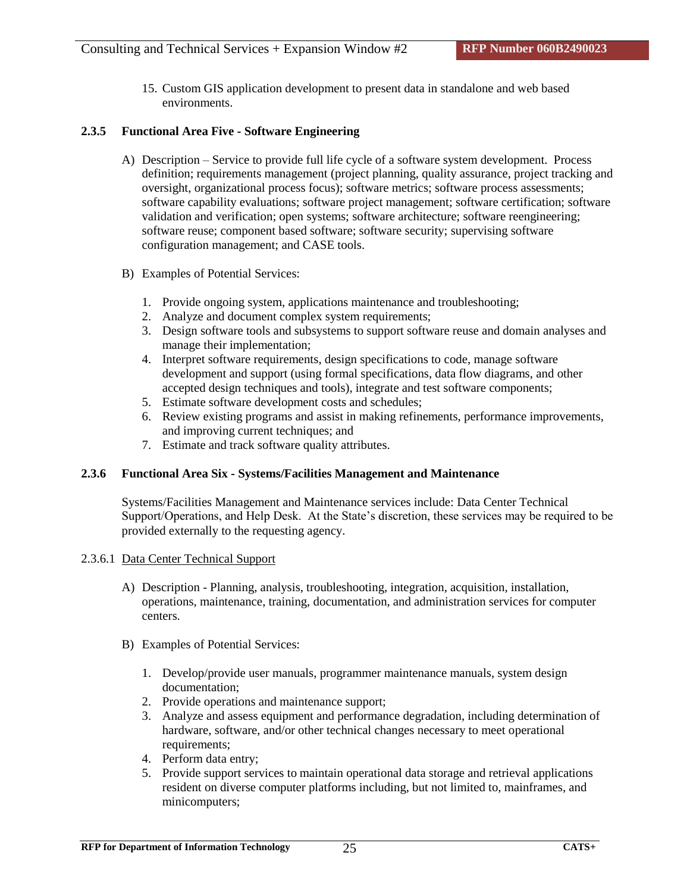15. Custom GIS application development to present data in standalone and web based environments.

# **2.3.5 Functional Area Five - Software Engineering**

- A) Description Service to provide full life cycle of a software system development. Process definition; requirements management (project planning, quality assurance, project tracking and oversight, organizational process focus); software metrics; software process assessments; software capability evaluations; software project management; software certification; software validation and verification; open systems; software architecture; software reengineering; software reuse; component based software; software security; supervising software configuration management; and CASE tools.
- B) Examples of Potential Services:
	- 1. Provide ongoing system, applications maintenance and troubleshooting;
	- 2. Analyze and document complex system requirements;
	- 3. Design software tools and subsystems to support software reuse and domain analyses and manage their implementation;
	- 4. Interpret software requirements, design specifications to code, manage software development and support (using formal specifications, data flow diagrams, and other accepted design techniques and tools), integrate and test software components;
	- 5. Estimate software development costs and schedules;
	- 6. Review existing programs and assist in making refinements, performance improvements, and improving current techniques; and
	- 7. Estimate and track software quality attributes.

#### **2.3.6 Functional Area Six - Systems/Facilities Management and Maintenance**

Systems/Facilities Management and Maintenance services include: Data Center Technical Support/Operations, and Help Desk. At the State's discretion, these services may be required to be provided externally to the requesting agency.

#### 2.3.6.1 Data Center Technical Support

- A) Description Planning, analysis, troubleshooting, integration, acquisition, installation, operations, maintenance, training, documentation, and administration services for computer centers.
- B) Examples of Potential Services:
	- 1. Develop/provide user manuals, programmer maintenance manuals, system design documentation;
	- 2. Provide operations and maintenance support;
	- 3. Analyze and assess equipment and performance degradation, including determination of hardware, software, and/or other technical changes necessary to meet operational requirements;
	- 4. Perform data entry;
	- 5. Provide support services to maintain operational data storage and retrieval applications resident on diverse computer platforms including, but not limited to, mainframes, and minicomputers;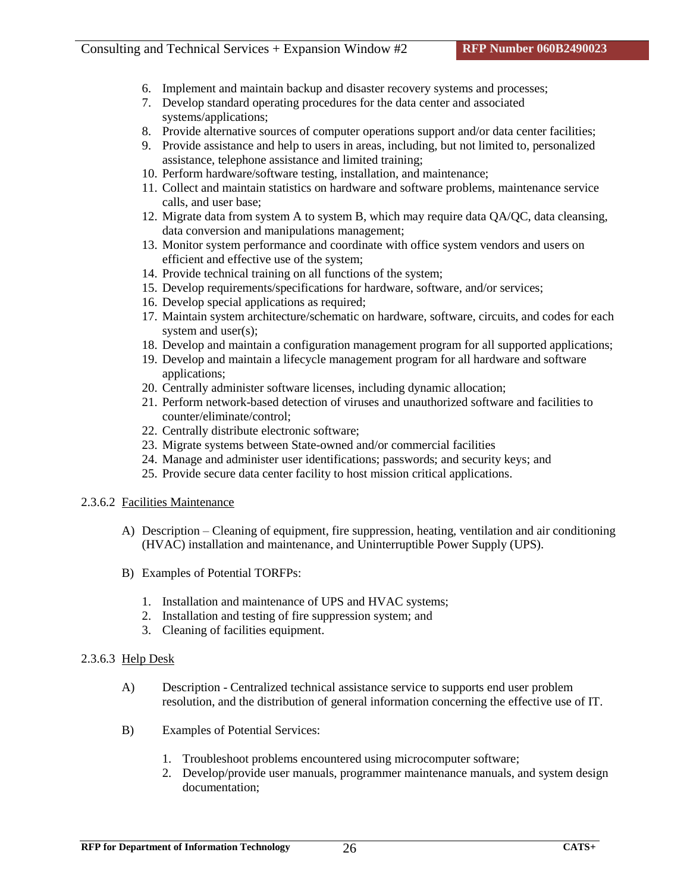- 6. Implement and maintain backup and disaster recovery systems and processes;
- 7. Develop standard operating procedures for the data center and associated systems/applications;
- 8. Provide alternative sources of computer operations support and/or data center facilities;
- 9. Provide assistance and help to users in areas, including, but not limited to, personalized assistance, telephone assistance and limited training;
- 10. Perform hardware/software testing, installation, and maintenance;
- 11. Collect and maintain statistics on hardware and software problems, maintenance service calls, and user base;
- 12. Migrate data from system A to system B, which may require data QA/QC, data cleansing, data conversion and manipulations management;
- 13. Monitor system performance and coordinate with office system vendors and users on efficient and effective use of the system;
- 14. Provide technical training on all functions of the system;
- 15. Develop requirements/specifications for hardware, software, and/or services;
- 16. Develop special applications as required;
- 17. Maintain system architecture/schematic on hardware, software, circuits, and codes for each system and user(s);
- 18. Develop and maintain a configuration management program for all supported applications;
- 19. Develop and maintain a lifecycle management program for all hardware and software applications;
- 20. Centrally administer software licenses, including dynamic allocation;
- 21. Perform network-based detection of viruses and unauthorized software and facilities to counter/eliminate/control;
- 22. Centrally distribute electronic software;
- 23. Migrate systems between State-owned and/or commercial facilities
- 24. Manage and administer user identifications; passwords; and security keys; and
- 25. Provide secure data center facility to host mission critical applications.

#### 2.3.6.2 Facilities Maintenance

- A) Description Cleaning of equipment, fire suppression, heating, ventilation and air conditioning (HVAC) installation and maintenance, and Uninterruptible Power Supply (UPS).
- B) Examples of Potential TORFPs:
	- 1. Installation and maintenance of UPS and HVAC systems;
	- 2. Installation and testing of fire suppression system; and
	- 3. Cleaning of facilities equipment.

# 2.3.6.3 Help Desk

- A) Description Centralized technical assistance service to supports end user problem resolution, and the distribution of general information concerning the effective use of IT.
- B) Examples of Potential Services:
	- 1. Troubleshoot problems encountered using microcomputer software;
	- 2. Develop/provide user manuals, programmer maintenance manuals, and system design documentation;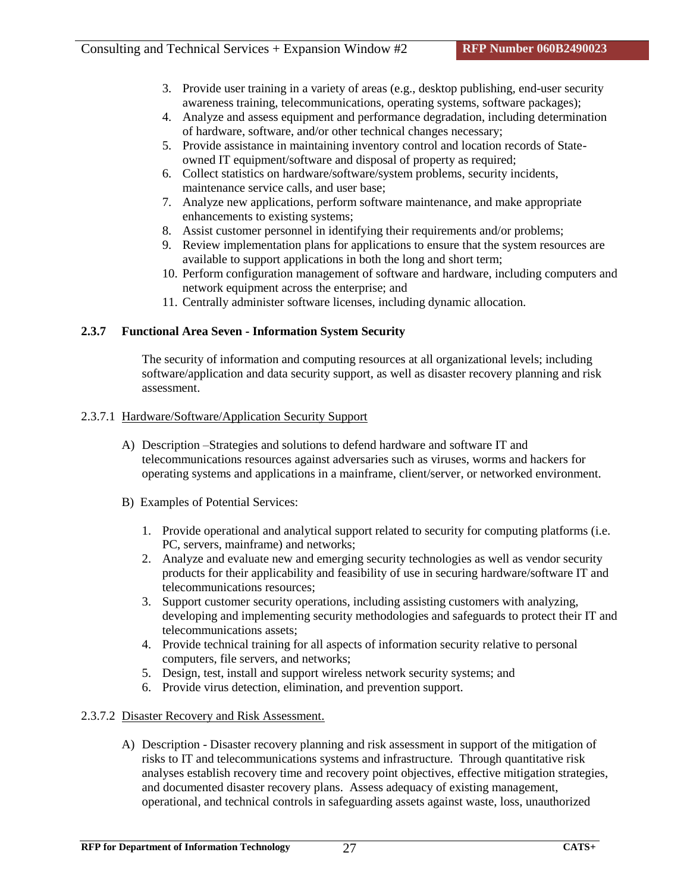- 3. Provide user training in a variety of areas (e.g., desktop publishing, end-user security awareness training, telecommunications, operating systems, software packages);
- 4. Analyze and assess equipment and performance degradation, including determination of hardware, software, and/or other technical changes necessary;
- 5. Provide assistance in maintaining inventory control and location records of Stateowned IT equipment/software and disposal of property as required;
- 6. Collect statistics on hardware/software/system problems, security incidents, maintenance service calls, and user base;
- 7. Analyze new applications, perform software maintenance, and make appropriate enhancements to existing systems;
- 8. Assist customer personnel in identifying their requirements and/or problems;
- 9. Review implementation plans for applications to ensure that the system resources are available to support applications in both the long and short term;
- 10. Perform configuration management of software and hardware, including computers and network equipment across the enterprise; and
- 11. Centrally administer software licenses, including dynamic allocation.

# **2.3.7 Functional Area Seven - Information System Security**

The security of information and computing resources at all organizational levels; including software/application and data security support, as well as disaster recovery planning and risk assessment.

# 2.3.7.1 Hardware/Software/Application Security Support

- A) Description –Strategies and solutions to defend hardware and software IT and telecommunications resources against adversaries such as viruses, worms and hackers for operating systems and applications in a mainframe, client/server, or networked environment.
- B) Examples of Potential Services:
	- 1. Provide operational and analytical support related to security for computing platforms (i.e. PC, servers, mainframe) and networks;
	- 2. Analyze and evaluate new and emerging security technologies as well as vendor security products for their applicability and feasibility of use in securing hardware/software IT and telecommunications resources;
	- 3. Support customer security operations, including assisting customers with analyzing, developing and implementing security methodologies and safeguards to protect their IT and telecommunications assets;
	- 4. Provide technical training for all aspects of information security relative to personal computers, file servers, and networks;
	- 5. Design, test, install and support wireless network security systems; and
	- 6. Provide virus detection, elimination, and prevention support.

# 2.3.7.2 Disaster Recovery and Risk Assessment.

A) Description - Disaster recovery planning and risk assessment in support of the mitigation of risks to IT and telecommunications systems and infrastructure. Through quantitative risk analyses establish recovery time and recovery point objectives, effective mitigation strategies, and documented disaster recovery plans. Assess adequacy of existing management, operational, and technical controls in safeguarding assets against waste, loss, unauthorized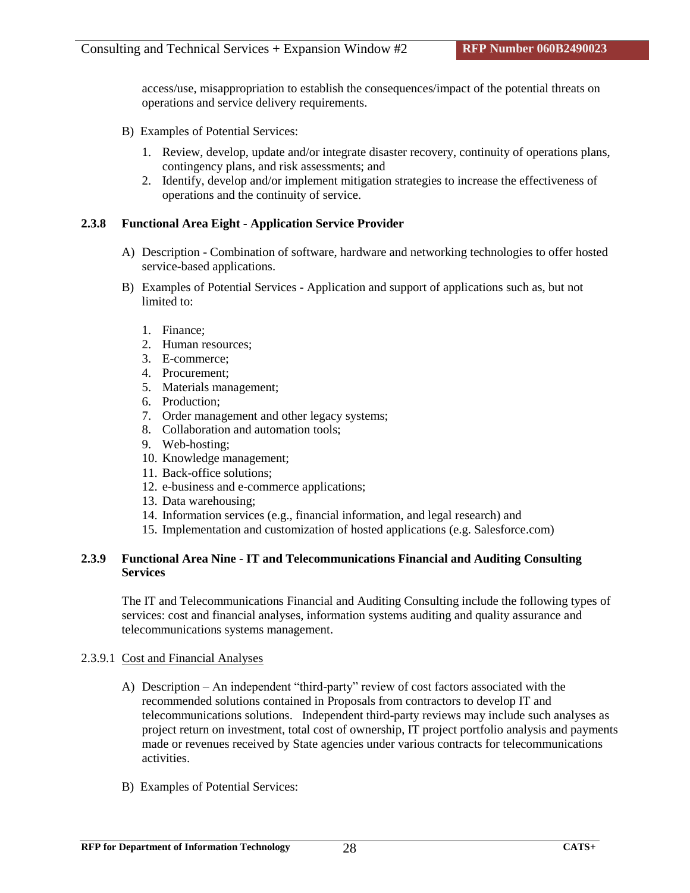access/use, misappropriation to establish the consequences/impact of the potential threats on operations and service delivery requirements.

- B) Examples of Potential Services:
	- 1. Review, develop, update and/or integrate disaster recovery, continuity of operations plans, contingency plans, and risk assessments; and
	- 2. Identify, develop and/or implement mitigation strategies to increase the effectiveness of operations and the continuity of service.

### **2.3.8 Functional Area Eight - Application Service Provider**

- A) Description Combination of software, hardware and networking technologies to offer hosted service-based applications.
- B) Examples of Potential Services Application and support of applications such as, but not limited to:
	- 1. Finance;
	- 2. Human resources;
	- 3. E-commerce;
	- 4. Procurement;
	- 5. Materials management;
	- 6. Production;
	- 7. Order management and other legacy systems;
	- 8. Collaboration and automation tools;
	- 9. Web-hosting;
	- 10. Knowledge management;
	- 11. Back-office solutions;
	- 12. e-business and e-commerce applications;
	- 13. Data warehousing;
	- 14. Information services (e.g., financial information, and legal research) and
	- 15. Implementation and customization of hosted applications (e.g. Salesforce.com)

### **2.3.9 Functional Area Nine - IT and Telecommunications Financial and Auditing Consulting Services**

The IT and Telecommunications Financial and Auditing Consulting include the following types of services: cost and financial analyses, information systems auditing and quality assurance and telecommunications systems management.

# 2.3.9.1 Cost and Financial Analyses

- A) Description An independent "third-party" review of cost factors associated with the recommended solutions contained in Proposals from contractors to develop IT and telecommunications solutions. Independent third-party reviews may include such analyses as project return on investment, total cost of ownership, IT project portfolio analysis and payments made or revenues received by State agencies under various contracts for telecommunications activities.
- B) Examples of Potential Services: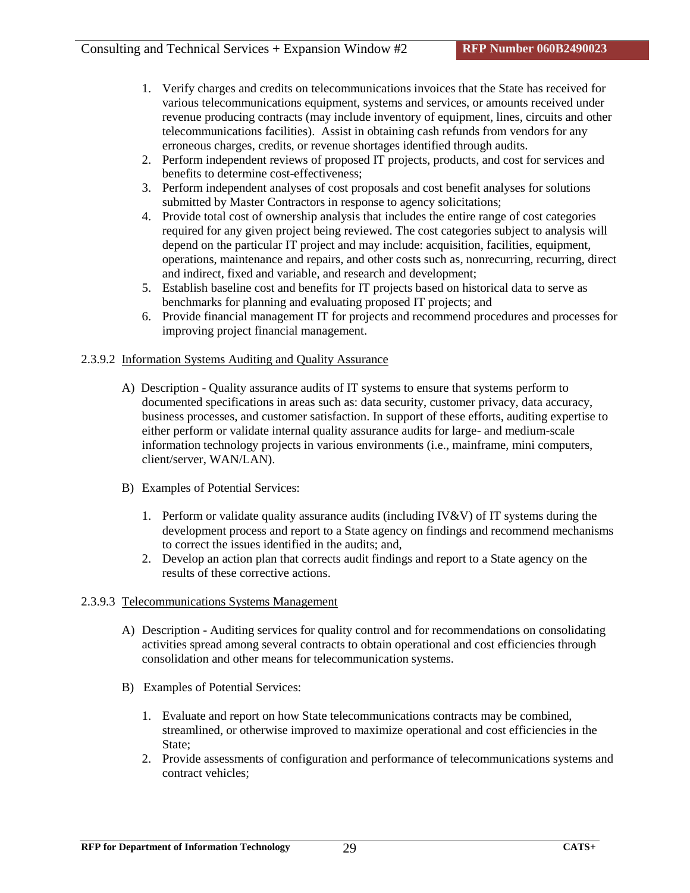- 1. Verify charges and credits on telecommunications invoices that the State has received for various telecommunications equipment, systems and services, or amounts received under revenue producing contracts (may include inventory of equipment, lines, circuits and other telecommunications facilities). Assist in obtaining cash refunds from vendors for any erroneous charges, credits, or revenue shortages identified through audits.
- 2. Perform independent reviews of proposed IT projects, products, and cost for services and benefits to determine cost-effectiveness;
- 3. Perform independent analyses of cost proposals and cost benefit analyses for solutions submitted by Master Contractors in response to agency solicitations;
- 4. Provide total cost of ownership analysis that includes the entire range of cost categories required for any given project being reviewed. The cost categories subject to analysis will depend on the particular IT project and may include: acquisition, facilities, equipment, operations, maintenance and repairs, and other costs such as, nonrecurring, recurring, direct and indirect, fixed and variable, and research and development;
- 5. Establish baseline cost and benefits for IT projects based on historical data to serve as benchmarks for planning and evaluating proposed IT projects; and
- 6. Provide financial management IT for projects and recommend procedures and processes for improving project financial management.

#### 2.3.9.2 Information Systems Auditing and Quality Assurance

- A) Description Quality assurance audits of IT systems to ensure that systems perform to documented specifications in areas such as: data security, customer privacy, data accuracy, business processes, and customer satisfaction. In support of these efforts, auditing expertise to either perform or validate internal quality assurance audits for large- and medium-scale information technology projects in various environments (i.e., mainframe, mini computers, client/server, WAN/LAN).
- B) Examples of Potential Services:
	- 1. Perform or validate quality assurance audits (including IV&V) of IT systems during the development process and report to a State agency on findings and recommend mechanisms to correct the issues identified in the audits; and,
	- 2. Develop an action plan that corrects audit findings and report to a State agency on the results of these corrective actions.

#### 2.3.9.3 Telecommunications Systems Management

- A) Description Auditing services for quality control and for recommendations on consolidating activities spread among several contracts to obtain operational and cost efficiencies through consolidation and other means for telecommunication systems.
- B) Examples of Potential Services:
	- 1. Evaluate and report on how State telecommunications contracts may be combined, streamlined, or otherwise improved to maximize operational and cost efficiencies in the State:
	- 2. Provide assessments of configuration and performance of telecommunications systems and contract vehicles;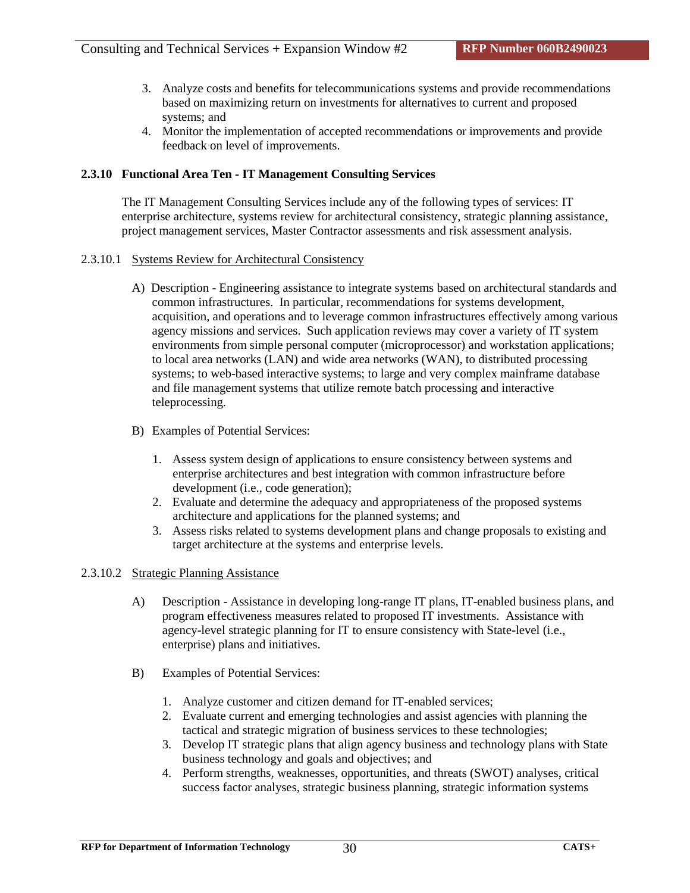- 3. Analyze costs and benefits for telecommunications systems and provide recommendations based on maximizing return on investments for alternatives to current and proposed systems; and
- 4. Monitor the implementation of accepted recommendations or improvements and provide feedback on level of improvements.

#### **2.3.10 Functional Area Ten - IT Management Consulting Services**

The IT Management Consulting Services include any of the following types of services: IT enterprise architecture, systems review for architectural consistency, strategic planning assistance, project management services, Master Contractor assessments and risk assessment analysis.

#### 2.3.10.1 Systems Review for Architectural Consistency

A) Description - Engineering assistance to integrate systems based on architectural standards and common infrastructures. In particular, recommendations for systems development, acquisition, and operations and to leverage common infrastructures effectively among various agency missions and services. Such application reviews may cover a variety of IT system environments from simple personal computer (microprocessor) and workstation applications; to local area networks (LAN) and wide area networks (WAN), to distributed processing systems; to web-based interactive systems; to large and very complex mainframe database and file management systems that utilize remote batch processing and interactive teleprocessing.

#### B) Examples of Potential Services:

- 1. Assess system design of applications to ensure consistency between systems and enterprise architectures and best integration with common infrastructure before development (i.e., code generation);
- 2. Evaluate and determine the adequacy and appropriateness of the proposed systems architecture and applications for the planned systems; and
- 3. Assess risks related to systems development plans and change proposals to existing and target architecture at the systems and enterprise levels.

#### 2.3.10.2 Strategic Planning Assistance

- A) Description Assistance in developing long-range IT plans, IT-enabled business plans, and program effectiveness measures related to proposed IT investments. Assistance with agency-level strategic planning for IT to ensure consistency with State-level (i.e., enterprise) plans and initiatives.
- B) Examples of Potential Services:
	- 1. Analyze customer and citizen demand for IT-enabled services;
	- 2. Evaluate current and emerging technologies and assist agencies with planning the tactical and strategic migration of business services to these technologies;
	- 3. Develop IT strategic plans that align agency business and technology plans with State business technology and goals and objectives; and
	- 4. Perform strengths, weaknesses, opportunities, and threats (SWOT) analyses, critical success factor analyses, strategic business planning, strategic information systems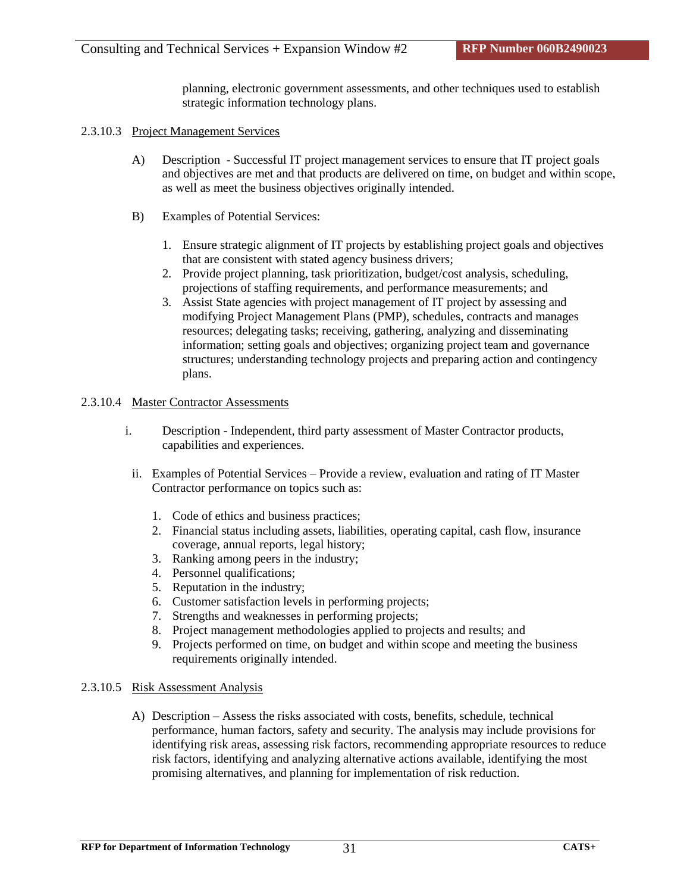planning, electronic government assessments, and other techniques used to establish strategic information technology plans.

#### 2.3.10.3 Project Management Services

- A) Description Successful IT project management services to ensure that IT project goals and objectives are met and that products are delivered on time, on budget and within scope, as well as meet the business objectives originally intended.
- B) Examples of Potential Services:
	- 1. Ensure strategic alignment of IT projects by establishing project goals and objectives that are consistent with stated agency business drivers;
	- 2. Provide project planning, task prioritization, budget/cost analysis, scheduling, projections of staffing requirements, and performance measurements; and
	- 3. Assist State agencies with project management of IT project by assessing and modifying Project Management Plans (PMP), schedules, contracts and manages resources; delegating tasks; receiving, gathering, analyzing and disseminating information; setting goals and objectives; organizing project team and governance structures; understanding technology projects and preparing action and contingency plans.

#### 2.3.10.4 Master Contractor Assessments

- i. Description Independent, third party assessment of Master Contractor products, capabilities and experiences.
- ii. Examples of Potential Services Provide a review, evaluation and rating of IT Master Contractor performance on topics such as:
	- 1. Code of ethics and business practices;
	- 2. Financial status including assets, liabilities, operating capital, cash flow, insurance coverage, annual reports, legal history;
	- 3. Ranking among peers in the industry;
	- 4. Personnel qualifications;
	- 5. Reputation in the industry;
	- 6. Customer satisfaction levels in performing projects;
	- 7. Strengths and weaknesses in performing projects;
	- 8. Project management methodologies applied to projects and results; and
	- 9. Projects performed on time, on budget and within scope and meeting the business requirements originally intended.

#### 2.3.10.5 Risk Assessment Analysis

A) Description – Assess the risks associated with costs, benefits, schedule, technical performance, human factors, safety and security. The analysis may include provisions for identifying risk areas, assessing risk factors, recommending appropriate resources to reduce risk factors, identifying and analyzing alternative actions available, identifying the most promising alternatives, and planning for implementation of risk reduction.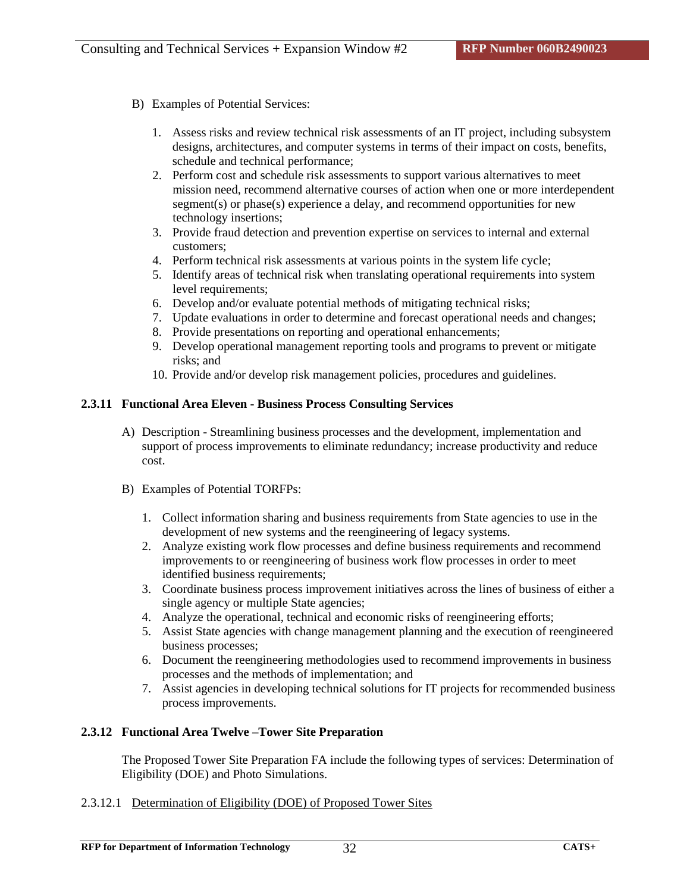- B) Examples of Potential Services:
	- 1. Assess risks and review technical risk assessments of an IT project, including subsystem designs, architectures, and computer systems in terms of their impact on costs, benefits, schedule and technical performance;
	- 2. Perform cost and schedule risk assessments to support various alternatives to meet mission need, recommend alternative courses of action when one or more interdependent segment(s) or phase(s) experience a delay, and recommend opportunities for new technology insertions;
	- 3. Provide fraud detection and prevention expertise on services to internal and external customers;
	- 4. Perform technical risk assessments at various points in the system life cycle;
	- 5. Identify areas of technical risk when translating operational requirements into system level requirements;
	- 6. Develop and/or evaluate potential methods of mitigating technical risks;
	- 7. Update evaluations in order to determine and forecast operational needs and changes;
	- 8. Provide presentations on reporting and operational enhancements;
	- 9. Develop operational management reporting tools and programs to prevent or mitigate risks; and
	- 10. Provide and/or develop risk management policies, procedures and guidelines.

#### **2.3.11 Functional Area Eleven - Business Process Consulting Services**

- A) Description Streamlining business processes and the development, implementation and support of process improvements to eliminate redundancy; increase productivity and reduce cost.
- B) Examples of Potential TORFPs:
	- 1. Collect information sharing and business requirements from State agencies to use in the development of new systems and the reengineering of legacy systems.
	- 2. Analyze existing work flow processes and define business requirements and recommend improvements to or reengineering of business work flow processes in order to meet identified business requirements;
	- 3. Coordinate business process improvement initiatives across the lines of business of either a single agency or multiple State agencies;
	- 4. Analyze the operational, technical and economic risks of reengineering efforts;
	- 5. Assist State agencies with change management planning and the execution of reengineered business processes;
	- 6. Document the reengineering methodologies used to recommend improvements in business processes and the methods of implementation; and
	- 7. Assist agencies in developing technical solutions for IT projects for recommended business process improvements.

### **2.3.12 Functional Area Twelve –Tower Site Preparation**

The Proposed Tower Site Preparation FA include the following types of services: Determination of Eligibility (DOE) and Photo Simulations.

2.3.12.1 Determination of Eligibility (DOE) of Proposed Tower Sites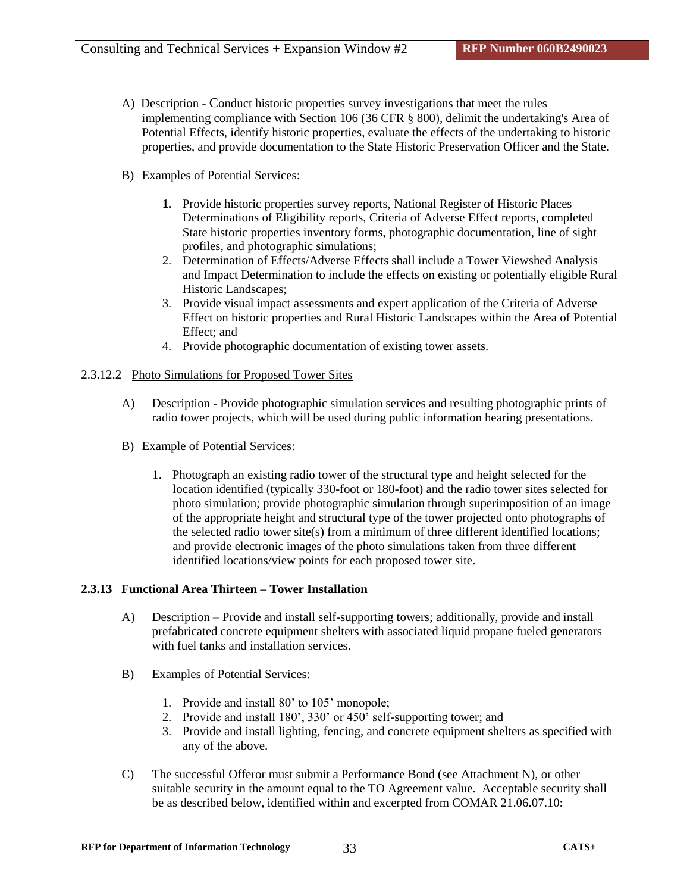- A) Description Conduct historic properties survey investigations that meet the rules implementing compliance with Section 106 (36 CFR § 800), delimit the undertaking's Area of Potential Effects, identify historic properties, evaluate the effects of the undertaking to historic properties, and provide documentation to the State Historic Preservation Officer and the State.
- B) Examples of Potential Services:
	- **1.** Provide historic properties survey reports, National Register of Historic Places Determinations of Eligibility reports, Criteria of Adverse Effect reports, completed State historic properties inventory forms, photographic documentation, line of sight profiles, and photographic simulations;
	- 2. Determination of Effects/Adverse Effects shall include a Tower Viewshed Analysis and Impact Determination to include the effects on existing or potentially eligible Rural Historic Landscapes;
	- 3. Provide visual impact assessments and expert application of the Criteria of Adverse Effect on historic properties and Rural Historic Landscapes within the Area of Potential Effect; and
	- 4. Provide photographic documentation of existing tower assets.

#### 2.3.12.2 Photo Simulations for Proposed Tower Sites

- A) Description Provide photographic simulation services and resulting photographic prints of radio tower projects, which will be used during public information hearing presentations.
- B) Example of Potential Services:
	- 1. Photograph an existing radio tower of the structural type and height selected for the location identified (typically 330-foot or 180-foot) and the radio tower sites selected for photo simulation; provide photographic simulation through superimposition of an image of the appropriate height and structural type of the tower projected onto photographs of the selected radio tower site(s) from a minimum of three different identified locations; and provide electronic images of the photo simulations taken from three different identified locations/view points for each proposed tower site.

### **2.3.13 Functional Area Thirteen – Tower Installation**

- A) Description Provide and install self-supporting towers; additionally, provide and install prefabricated concrete equipment shelters with associated liquid propane fueled generators with fuel tanks and installation services.
- B) Examples of Potential Services:
	- 1. Provide and install 80' to 105' monopole;
	- 2. Provide and install 180', 330' or 450' self-supporting tower; and
	- 3. Provide and install lighting, fencing, and concrete equipment shelters as specified with any of the above.
- C) The successful Offeror must submit a Performance Bond (see Attachment N), or other suitable security in the amount equal to the TO Agreement value. Acceptable security shall be as described below, identified within and excerpted from COMAR 21.06.07.10: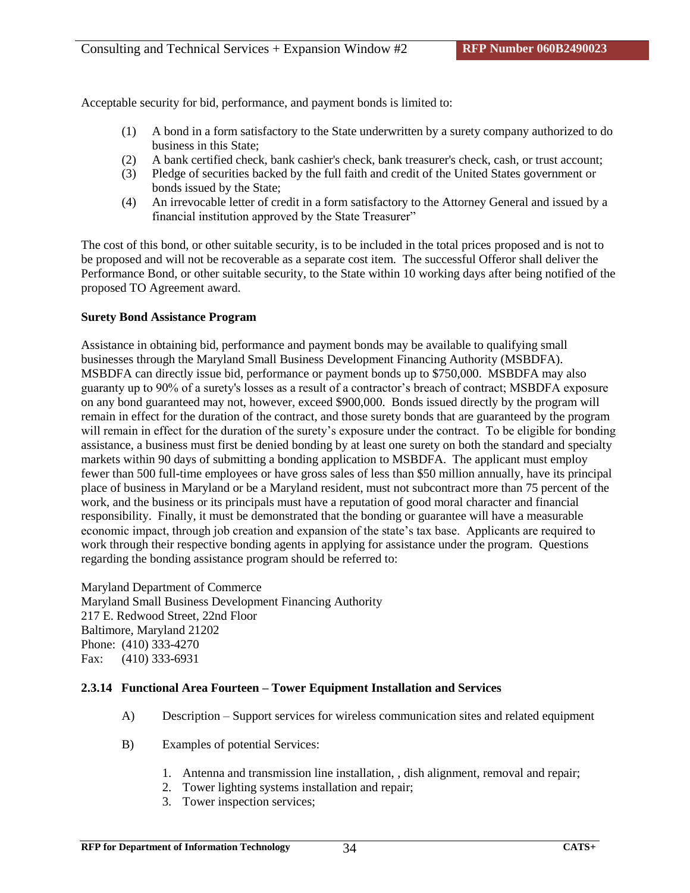Acceptable security for bid, performance, and payment bonds is limited to:

- (1) A bond in a form satisfactory to the State underwritten by a surety company authorized to do business in this State;
- (2) A bank certified check, bank cashier's check, bank treasurer's check, cash, or trust account;
- (3) Pledge of securities backed by the full faith and credit of the United States government or bonds issued by the State;
- (4) An irrevocable letter of credit in a form satisfactory to the Attorney General and issued by a financial institution approved by the State Treasurer"

The cost of this bond, or other suitable security, is to be included in the total prices proposed and is not to be proposed and will not be recoverable as a separate cost item. The successful Offeror shall deliver the Performance Bond, or other suitable security, to the State within 10 working days after being notified of the proposed TO Agreement award.

#### **Surety Bond Assistance Program**

Assistance in obtaining bid, performance and payment bonds may be available to qualifying small businesses through the Maryland Small Business Development Financing Authority (MSBDFA). MSBDFA can directly issue bid, performance or payment bonds up to \$750,000. MSBDFA may also guaranty up to 90% of a surety's losses as a result of a contractor's breach of contract; MSBDFA exposure on any bond guaranteed may not, however, exceed \$900,000. Bonds issued directly by the program will remain in effect for the duration of the contract, and those surety bonds that are guaranteed by the program will remain in effect for the duration of the surety's exposure under the contract. To be eligible for bonding assistance, a business must first be denied bonding by at least one surety on both the standard and specialty markets within 90 days of submitting a bonding application to MSBDFA. The applicant must employ fewer than 500 full-time employees or have gross sales of less than \$50 million annually, have its principal place of business in Maryland or be a Maryland resident, must not subcontract more than 75 percent of the work, and the business or its principals must have a reputation of good moral character and financial responsibility. Finally, it must be demonstrated that the bonding or guarantee will have a measurable economic impact, through job creation and expansion of the state's tax base. Applicants are required to work through their respective bonding agents in applying for assistance under the program. Questions regarding the bonding assistance program should be referred to:

Maryland Department of Commerce Maryland Small Business Development Financing Authority 217 E. Redwood Street, 22nd Floor Baltimore, Maryland 21202 Phone: (410) 333-4270 Fax: (410) 333-6931

#### **2.3.14 Functional Area Fourteen – Tower Equipment Installation and Services**

- A) Description Support services for wireless communication sites and related equipment
- B) Examples of potential Services:
	- 1. Antenna and transmission line installation, , dish alignment, removal and repair;
	- 2. Tower lighting systems installation and repair;
	- 3. Tower inspection services;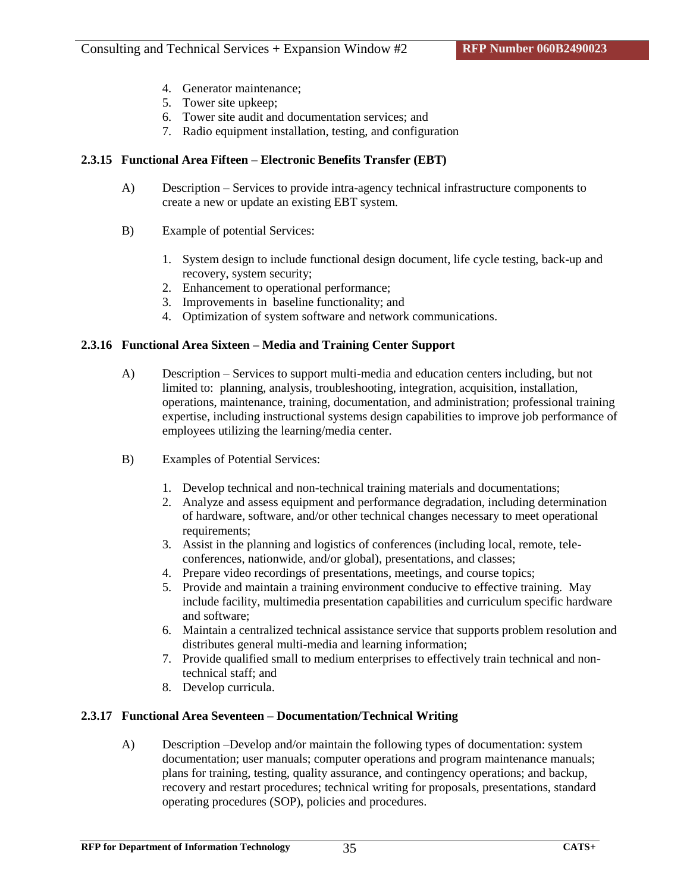- 4. Generator maintenance;
- 5. Tower site upkeep;
- 6. Tower site audit and documentation services; and
- 7. Radio equipment installation, testing, and configuration

#### **2.3.15 Functional Area Fifteen – Electronic Benefits Transfer (EBT)**

- A) Description Services to provide intra-agency technical infrastructure components to create a new or update an existing EBT system.
- B) Example of potential Services:
	- 1. System design to include functional design document, life cycle testing, back-up and recovery, system security;
	- 2. Enhancement to operational performance;
	- 3. Improvements in baseline functionality; and
	- 4. Optimization of system software and network communications.

#### **2.3.16 Functional Area Sixteen – Media and Training Center Support**

- A) Description Services to support multi-media and education centers including, but not limited to: planning, analysis, troubleshooting, integration, acquisition, installation, operations, maintenance, training, documentation, and administration; professional training expertise, including instructional systems design capabilities to improve job performance of employees utilizing the learning/media center.
- B) Examples of Potential Services:
	- 1. Develop technical and non-technical training materials and documentations;
	- 2. Analyze and assess equipment and performance degradation, including determination of hardware, software, and/or other technical changes necessary to meet operational requirements:
	- 3. Assist in the planning and logistics of conferences (including local, remote, teleconferences, nationwide, and/or global), presentations, and classes;
	- 4. Prepare video recordings of presentations, meetings, and course topics;
	- 5. Provide and maintain a training environment conducive to effective training. May include facility, multimedia presentation capabilities and curriculum specific hardware and software;
	- 6. Maintain a centralized technical assistance service that supports problem resolution and distributes general multi-media and learning information;
	- 7. Provide qualified small to medium enterprises to effectively train technical and nontechnical staff; and
	- 8. Develop curricula.

#### **2.3.17 Functional Area Seventeen – Documentation/Technical Writing**

A) Description –Develop and/or maintain the following types of documentation: system documentation; user manuals; computer operations and program maintenance manuals; plans for training, testing, quality assurance, and contingency operations; and backup, recovery and restart procedures; technical writing for proposals, presentations, standard operating procedures (SOP), policies and procedures.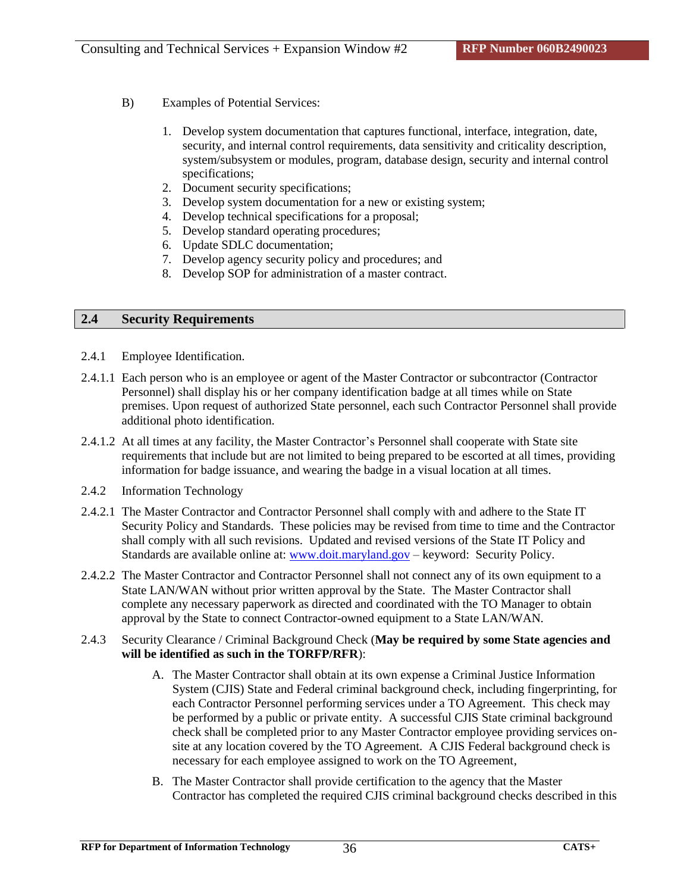- B) Examples of Potential Services:
	- 1. Develop system documentation that captures functional, interface, integration, date, security, and internal control requirements, data sensitivity and criticality description, system/subsystem or modules, program, database design, security and internal control specifications;
	- 2. Document security specifications;
	- 3. Develop system documentation for a new or existing system;
	- 4. Develop technical specifications for a proposal;
	- 5. Develop standard operating procedures;
	- 6. Update SDLC documentation;
	- 7. Develop agency security policy and procedures; and
	- 8. Develop SOP for administration of a master contract.

### **2.4 Security Requirements**

- 2.4.1 Employee Identification.
- 2.4.1.1 Each person who is an employee or agent of the Master Contractor or subcontractor (Contractor Personnel) shall display his or her company identification badge at all times while on State premises. Upon request of authorized State personnel, each such Contractor Personnel shall provide additional photo identification.
- 2.4.1.2 At all times at any facility, the Master Contractor's Personnel shall cooperate with State site requirements that include but are not limited to being prepared to be escorted at all times, providing information for badge issuance, and wearing the badge in a visual location at all times.
- 2.4.2 Information Technology
- 2.4.2.1 The Master Contractor and Contractor Personnel shall comply with and adhere to the State IT Security Policy and Standards. These policies may be revised from time to time and the Contractor shall comply with all such revisions. Updated and revised versions of the State IT Policy and Standards are available online at: www.doit.maryland.gov – keyword: Security Policy.
- 2.4.2.2 The Master Contractor and Contractor Personnel shall not connect any of its own equipment to a State LAN/WAN without prior written approval by the State. The Master Contractor shall complete any necessary paperwork as directed and coordinated with the TO Manager to obtain approval by the State to connect Contractor-owned equipment to a State LAN/WAN.
- 2.4.3 Security Clearance / Criminal Background Check (**May be required by some State agencies and will be identified as such in the TORFP/RFR**):
	- A. The Master Contractor shall obtain at its own expense a Criminal Justice Information System (CJIS) State and Federal criminal background check, including fingerprinting, for each Contractor Personnel performing services under a TO Agreement. This check may be performed by a public or private entity. A successful CJIS State criminal background check shall be completed prior to any Master Contractor employee providing services onsite at any location covered by the TO Agreement. A CJIS Federal background check is necessary for each employee assigned to work on the TO Agreement,
	- B. The Master Contractor shall provide certification to the agency that the Master Contractor has completed the required CJIS criminal background checks described in this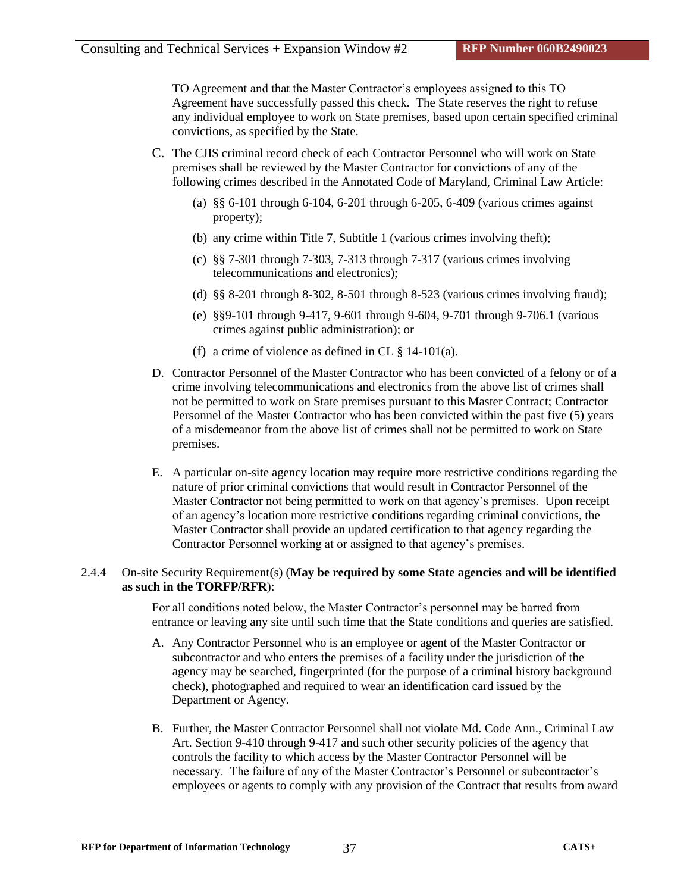TO Agreement and that the Master Contractor's employees assigned to this TO Agreement have successfully passed this check. The State reserves the right to refuse any individual employee to work on State premises, based upon certain specified criminal convictions, as specified by the State.

- C. The CJIS criminal record check of each Contractor Personnel who will work on State premises shall be reviewed by the Master Contractor for convictions of any of the following crimes described in the Annotated Code of Maryland, Criminal Law Article:
	- (a) §§ 6-101 through 6-104, 6-201 through 6-205, 6-409 (various crimes against property);
	- (b) any crime within Title 7, Subtitle 1 (various crimes involving theft);
	- (c) §§ 7-301 through 7-303, 7-313 through 7-317 (various crimes involving telecommunications and electronics);
	- (d) §§ 8-201 through 8-302, 8-501 through 8-523 (various crimes involving fraud);
	- (e) §§9-101 through 9-417, 9-601 through 9-604, 9-701 through 9-706.1 (various crimes against public administration); or
	- (f) a crime of violence as defined in CL  $\S$  14-101(a).
- D. Contractor Personnel of the Master Contractor who has been convicted of a felony or of a crime involving telecommunications and electronics from the above list of crimes shall not be permitted to work on State premises pursuant to this Master Contract; Contractor Personnel of the Master Contractor who has been convicted within the past five (5) years of a misdemeanor from the above list of crimes shall not be permitted to work on State premises.
- E. A particular on-site agency location may require more restrictive conditions regarding the nature of prior criminal convictions that would result in Contractor Personnel of the Master Contractor not being permitted to work on that agency's premises. Upon receipt of an agency's location more restrictive conditions regarding criminal convictions, the Master Contractor shall provide an updated certification to that agency regarding the Contractor Personnel working at or assigned to that agency's premises.

#### 2.4.4 On-site Security Requirement(s) (**May be required by some State agencies and will be identified as such in the TORFP/RFR**):

For all conditions noted below, the Master Contractor's personnel may be barred from entrance or leaving any site until such time that the State conditions and queries are satisfied.

- A. Any Contractor Personnel who is an employee or agent of the Master Contractor or subcontractor and who enters the premises of a facility under the jurisdiction of the agency may be searched, fingerprinted (for the purpose of a criminal history background check), photographed and required to wear an identification card issued by the Department or Agency.
- B. Further, the Master Contractor Personnel shall not violate Md. Code Ann., Criminal Law Art. Section 9-410 through 9-417 and such other security policies of the agency that controls the facility to which access by the Master Contractor Personnel will be necessary. The failure of any of the Master Contractor's Personnel or subcontractor's employees or agents to comply with any provision of the Contract that results from award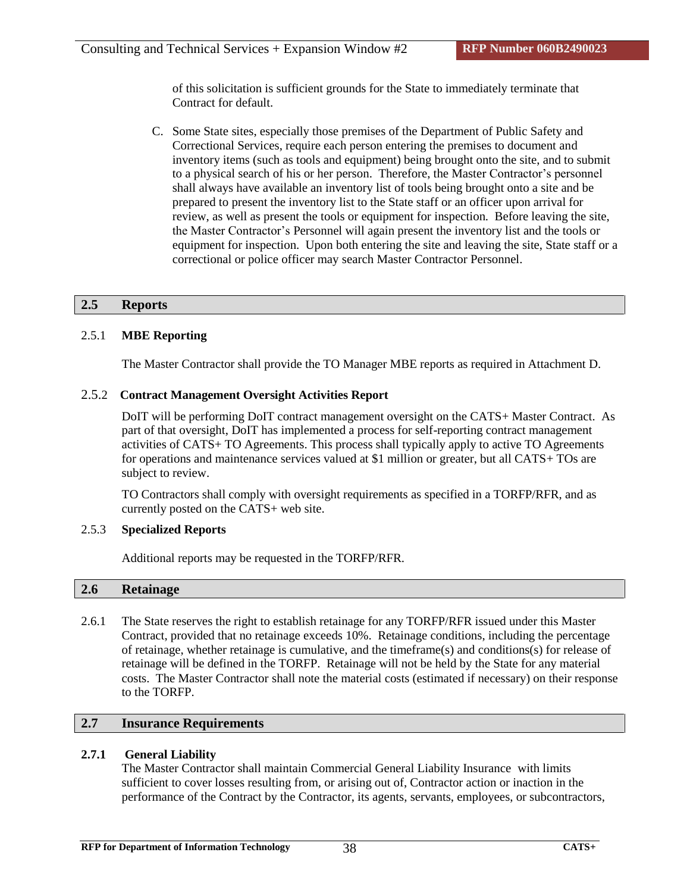of this solicitation is sufficient grounds for the State to immediately terminate that Contract for default.

C. Some State sites, especially those premises of the Department of Public Safety and Correctional Services, require each person entering the premises to document and inventory items (such as tools and equipment) being brought onto the site, and to submit to a physical search of his or her person. Therefore, the Master Contractor's personnel shall always have available an inventory list of tools being brought onto a site and be prepared to present the inventory list to the State staff or an officer upon arrival for review, as well as present the tools or equipment for inspection. Before leaving the site, the Master Contractor's Personnel will again present the inventory list and the tools or equipment for inspection. Upon both entering the site and leaving the site, State staff or a correctional or police officer may search Master Contractor Personnel.

### **2.5 Reports**

### 2.5.1 **MBE Reporting**

The Master Contractor shall provide the TO Manager MBE reports as required in Attachment D.

### 2.5.2 **Contract Management Oversight Activities Report**

DoIT will be performing DoIT contract management oversight on the CATS+ Master Contract. As part of that oversight, DoIT has implemented a process for self-reporting contract management activities of CATS+ TO Agreements. This process shall typically apply to active TO Agreements for operations and maintenance services valued at \$1 million or greater, but all CATS+ TOs are subject to review.

TO Contractors shall comply with oversight requirements as specified in a TORFP/RFR, and as currently posted on the CATS+ web site.

### 2.5.3 **Specialized Reports**

Additional reports may be requested in the TORFP/RFR.

## **2.6 Retainage**

2.6.1 The State reserves the right to establish retainage for any TORFP/RFR issued under this Master Contract, provided that no retainage exceeds 10%. Retainage conditions, including the percentage of retainage, whether retainage is cumulative, and the timeframe(s) and conditions(s) for release of retainage will be defined in the TORFP. Retainage will not be held by the State for any material costs. The Master Contractor shall note the material costs (estimated if necessary) on their response to the TORFP.

# **2.7 Insurance Requirements**

### **2.7.1 General Liability**

The Master Contractor shall maintain Commercial General Liability Insurance with limits sufficient to cover losses resulting from, or arising out of, Contractor action or inaction in the performance of the Contract by the Contractor, its agents, servants, employees, or subcontractors,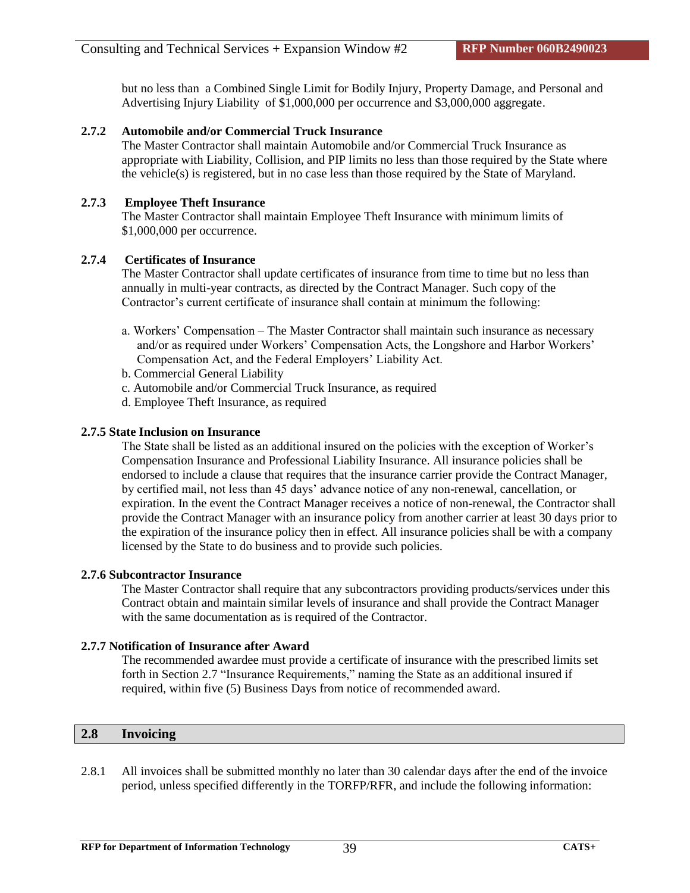but no less than a Combined Single Limit for Bodily Injury, Property Damage, and Personal and Advertising Injury Liability of \$1,000,000 per occurrence and \$3,000,000 aggregate.

#### **2.7.2 Automobile and/or Commercial Truck Insurance**

The Master Contractor shall maintain Automobile and/or Commercial Truck Insurance as appropriate with Liability, Collision, and PIP limits no less than those required by the State where the vehicle(s) is registered, but in no case less than those required by the State of Maryland.

#### **2.7.3 Employee Theft Insurance**

The Master Contractor shall maintain Employee Theft Insurance with minimum limits of \$1,000,000 per occurrence.

#### **2.7.4 Certificates of Insurance**

The Master Contractor shall update certificates of insurance from time to time but no less than annually in multi-year contracts, as directed by the Contract Manager. Such copy of the Contractor's current certificate of insurance shall contain at minimum the following:

- a. Workers' Compensation The Master Contractor shall maintain such insurance as necessary and/or as required under Workers' Compensation Acts, the Longshore and Harbor Workers' Compensation Act, and the Federal Employers' Liability Act.
- b. Commercial General Liability
- c. Automobile and/or Commercial Truck Insurance, as required
- d. Employee Theft Insurance, as required

#### **2.7.5 State Inclusion on Insurance**

The State shall be listed as an additional insured on the policies with the exception of Worker's Compensation Insurance and Professional Liability Insurance. All insurance policies shall be endorsed to include a clause that requires that the insurance carrier provide the Contract Manager, by certified mail, not less than 45 days' advance notice of any non-renewal, cancellation, or expiration. In the event the Contract Manager receives a notice of non-renewal, the Contractor shall provide the Contract Manager with an insurance policy from another carrier at least 30 days prior to the expiration of the insurance policy then in effect. All insurance policies shall be with a company licensed by the State to do business and to provide such policies.

#### **2.7.6 Subcontractor Insurance**

The Master Contractor shall require that any subcontractors providing products/services under this Contract obtain and maintain similar levels of insurance and shall provide the Contract Manager with the same documentation as is required of the Contractor.

#### **2.7.7 Notification of Insurance after Award**

The recommended awardee must provide a certificate of insurance with the prescribed limits set forth in Section 2.7 "Insurance Requirements," naming the State as an additional insured if required, within five (5) Business Days from notice of recommended award.

#### **2.8 Invoicing**

2.8.1 All invoices shall be submitted monthly no later than 30 calendar days after the end of the invoice period, unless specified differently in the TORFP/RFR, and include the following information: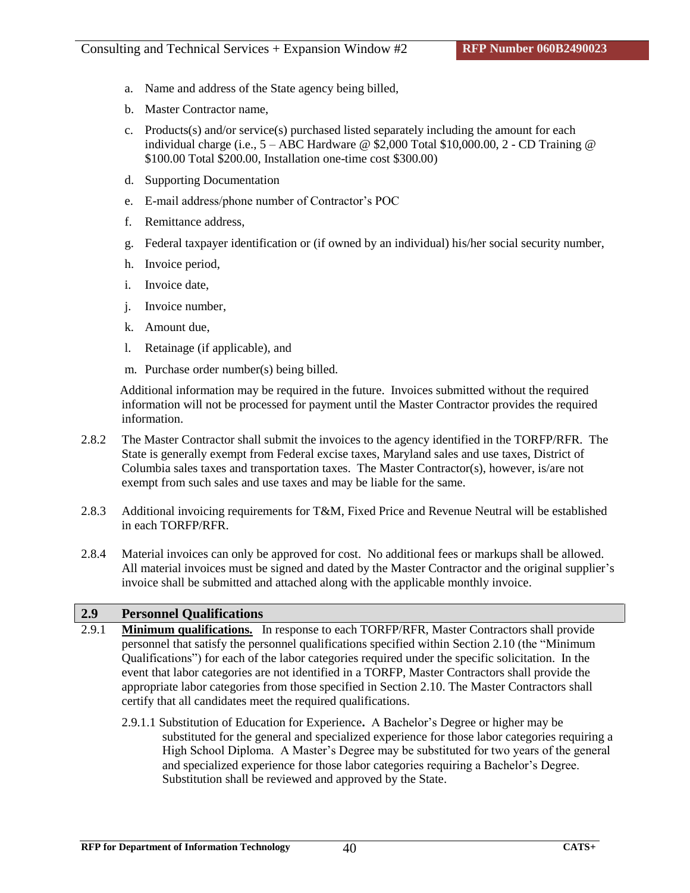- a. Name and address of the State agency being billed,
- b. Master Contractor name,
- c. Products(s) and/or service(s) purchased listed separately including the amount for each individual charge (i.e.,  $5 - ABC$  Hardware  $\omega$  \$2,000 Total \$10,000.00, 2 - CD Training  $\omega$ \$100.00 Total \$200.00, Installation one-time cost \$300.00)
- d. Supporting Documentation
- e. E-mail address/phone number of Contractor's POC
- f. Remittance address,
- g. Federal taxpayer identification or (if owned by an individual) his/her social security number,
- h. Invoice period,
- i. Invoice date,
- j. Invoice number,
- k. Amount due,
- l. Retainage (if applicable), and
- m. Purchase order number(s) being billed.

 Additional information may be required in the future. Invoices submitted without the required information will not be processed for payment until the Master Contractor provides the required information.

- 2.8.2 The Master Contractor shall submit the invoices to the agency identified in the TORFP/RFR. The State is generally exempt from Federal excise taxes, Maryland sales and use taxes, District of Columbia sales taxes and transportation taxes. The Master Contractor(s), however, is/are not exempt from such sales and use taxes and may be liable for the same.
- 2.8.3 Additional invoicing requirements for T&M, Fixed Price and Revenue Neutral will be established in each TORFP/RFR.
- 2.8.4 Material invoices can only be approved for cost. No additional fees or markups shall be allowed. All material invoices must be signed and dated by the Master Contractor and the original supplier's invoice shall be submitted and attached along with the applicable monthly invoice.

### **2.9 Personnel Qualifications**

- 2.9.1 **Minimum qualifications.** In response to each TORFP/RFR, Master Contractors shall provide personnel that satisfy the personnel qualifications specified within Section 2.10 (the "Minimum Qualifications") for each of the labor categories required under the specific solicitation. In the event that labor categories are not identified in a TORFP, Master Contractors shall provide the appropriate labor categories from those specified in Section 2.10. The Master Contractors shall certify that all candidates meet the required qualifications.
	- 2.9.1.1 Substitution of Education for Experience**.** A Bachelor's Degree or higher may be substituted for the general and specialized experience for those labor categories requiring a High School Diploma. A Master's Degree may be substituted for two years of the general and specialized experience for those labor categories requiring a Bachelor's Degree. Substitution shall be reviewed and approved by the State.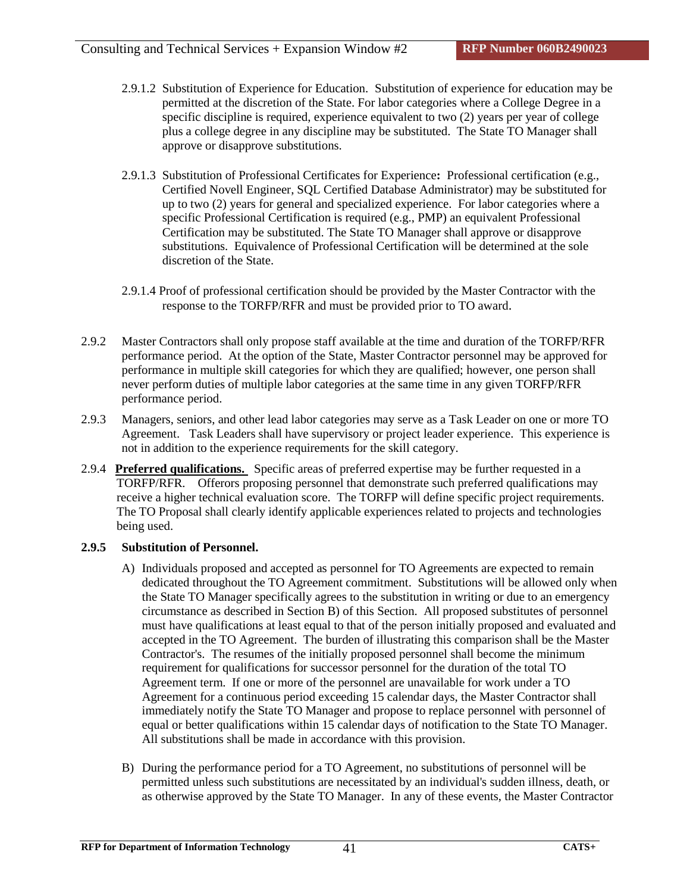- 2.9.1.2 Substitution of Experience for Education. Substitution of experience for education may be permitted at the discretion of the State. For labor categories where a College Degree in a specific discipline is required, experience equivalent to two (2) years per year of college plus a college degree in any discipline may be substituted. The State TO Manager shall approve or disapprove substitutions.
- 2.9.1.3 Substitution of Professional Certificates for Experience**:** Professional certification (e.g., Certified Novell Engineer, SQL Certified Database Administrator) may be substituted for up to two (2) years for general and specialized experience. For labor categories where a specific Professional Certification is required (e.g., PMP) an equivalent Professional Certification may be substituted. The State TO Manager shall approve or disapprove substitutions. Equivalence of Professional Certification will be determined at the sole discretion of the State.
- 2.9.1.4 Proof of professional certification should be provided by the Master Contractor with the response to the TORFP/RFR and must be provided prior to TO award.
- 2.9.2 Master Contractors shall only propose staff available at the time and duration of the TORFP/RFR performance period. At the option of the State, Master Contractor personnel may be approved for performance in multiple skill categories for which they are qualified; however, one person shall never perform duties of multiple labor categories at the same time in any given TORFP/RFR performance period.
- 2.9.3 Managers, seniors, and other lead labor categories may serve as a Task Leader on one or more TO Agreement. Task Leaders shall have supervisory or project leader experience. This experience is not in addition to the experience requirements for the skill category.
- 2.9.4 **Preferred qualifications.** Specific areas of preferred expertise may be further requested in a TORFP/RFR. Offerors proposing personnel that demonstrate such preferred qualifications may receive a higher technical evaluation score. The TORFP will define specific project requirements. The TO Proposal shall clearly identify applicable experiences related to projects and technologies being used.

# **2.9.5 Substitution of Personnel.**

- A) Individuals proposed and accepted as personnel for TO Agreements are expected to remain dedicated throughout the TO Agreement commitment. Substitutions will be allowed only when the State TO Manager specifically agrees to the substitution in writing or due to an emergency circumstance as described in Section B) of this Section. All proposed substitutes of personnel must have qualifications at least equal to that of the person initially proposed and evaluated and accepted in the TO Agreement. The burden of illustrating this comparison shall be the Master Contractor's. The resumes of the initially proposed personnel shall become the minimum requirement for qualifications for successor personnel for the duration of the total TO Agreement term. If one or more of the personnel are unavailable for work under a TO Agreement for a continuous period exceeding 15 calendar days, the Master Contractor shall immediately notify the State TO Manager and propose to replace personnel with personnel of equal or better qualifications within 15 calendar days of notification to the State TO Manager. All substitutions shall be made in accordance with this provision.
- B) During the performance period for a TO Agreement, no substitutions of personnel will be permitted unless such substitutions are necessitated by an individual's sudden illness, death, or as otherwise approved by the State TO Manager. In any of these events, the Master Contractor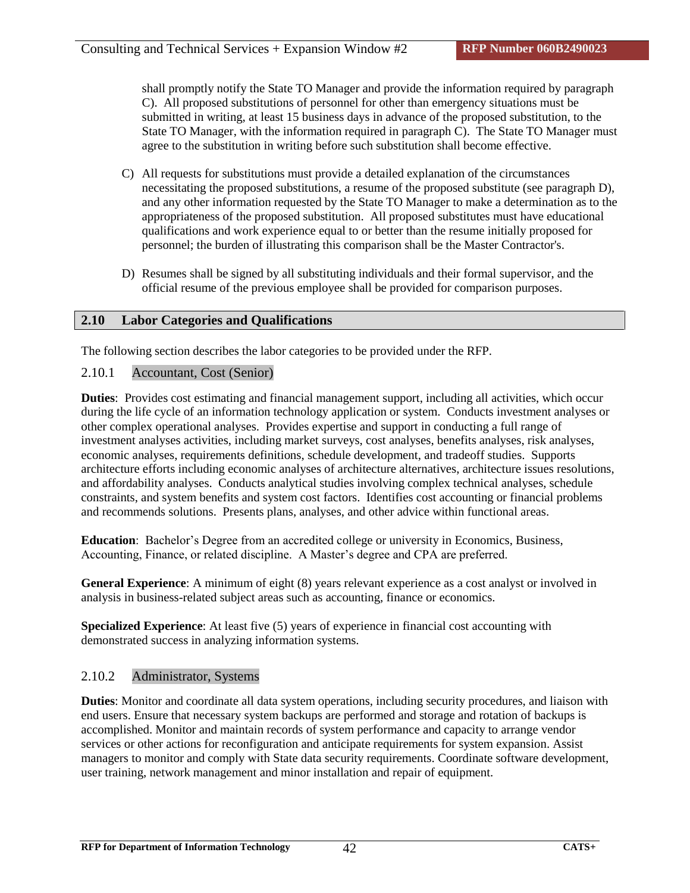shall promptly notify the State TO Manager and provide the information required by paragraph C). All proposed substitutions of personnel for other than emergency situations must be submitted in writing, at least 15 business days in advance of the proposed substitution, to the State TO Manager, with the information required in paragraph C). The State TO Manager must agree to the substitution in writing before such substitution shall become effective.

- C) All requests for substitutions must provide a detailed explanation of the circumstances necessitating the proposed substitutions, a resume of the proposed substitute (see paragraph D), and any other information requested by the State TO Manager to make a determination as to the appropriateness of the proposed substitution. All proposed substitutes must have educational qualifications and work experience equal to or better than the resume initially proposed for personnel; the burden of illustrating this comparison shall be the Master Contractor's.
- D) Resumes shall be signed by all substituting individuals and their formal supervisor, and the official resume of the previous employee shall be provided for comparison purposes.

# **2.10 Labor Categories and Qualifications**

The following section describes the labor categories to be provided under the RFP.

## 2.10.1 Accountant, Cost (Senior)

**Duties**: Provides cost estimating and financial management support, including all activities, which occur during the life cycle of an information technology application or system. Conducts investment analyses or other complex operational analyses. Provides expertise and support in conducting a full range of investment analyses activities, including market surveys, cost analyses, benefits analyses, risk analyses, economic analyses, requirements definitions, schedule development, and tradeoff studies. Supports architecture efforts including economic analyses of architecture alternatives, architecture issues resolutions, and affordability analyses. Conducts analytical studies involving complex technical analyses, schedule constraints, and system benefits and system cost factors. Identifies cost accounting or financial problems and recommends solutions. Presents plans, analyses, and other advice within functional areas.

**Education**: Bachelor's Degree from an accredited college or university in Economics, Business, Accounting, Finance, or related discipline. A Master's degree and CPA are preferred.

**General Experience**: A minimum of eight (8) years relevant experience as a cost analyst or involved in analysis in business-related subject areas such as accounting, finance or economics.

**Specialized Experience**: At least five (5) years of experience in financial cost accounting with demonstrated success in analyzing information systems.

# 2.10.2 Administrator, Systems

**Duties**: Monitor and coordinate all data system operations, including security procedures, and liaison with end users. Ensure that necessary system backups are performed and storage and rotation of backups is accomplished. Monitor and maintain records of system performance and capacity to arrange vendor services or other actions for reconfiguration and anticipate requirements for system expansion. Assist managers to monitor and comply with State data security requirements. Coordinate software development, user training, network management and minor installation and repair of equipment.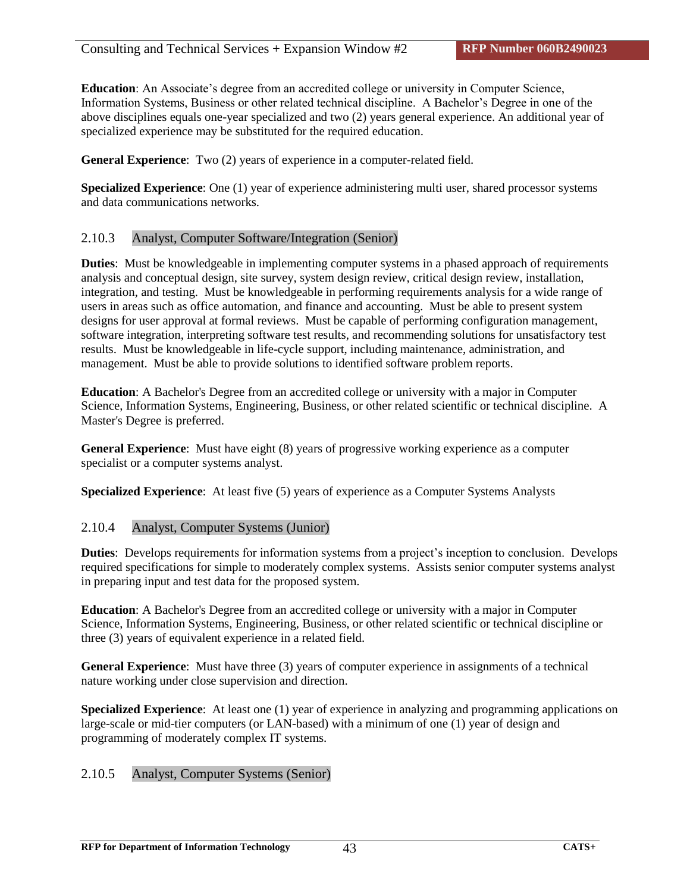**Education**: An Associate's degree from an accredited college or university in Computer Science, Information Systems, Business or other related technical discipline. A Bachelor's Degree in one of the above disciplines equals one-year specialized and two (2) years general experience. An additional year of specialized experience may be substituted for the required education.

**General Experience**: Two (2) years of experience in a computer-related field.

**Specialized Experience**: One (1) year of experience administering multi user, shared processor systems and data communications networks.

# 2.10.3 Analyst, Computer Software/Integration (Senior)

**Duties**: Must be knowledgeable in implementing computer systems in a phased approach of requirements analysis and conceptual design, site survey, system design review, critical design review, installation, integration, and testing. Must be knowledgeable in performing requirements analysis for a wide range of users in areas such as office automation, and finance and accounting. Must be able to present system designs for user approval at formal reviews. Must be capable of performing configuration management, software integration, interpreting software test results, and recommending solutions for unsatisfactory test results. Must be knowledgeable in life-cycle support, including maintenance, administration, and management. Must be able to provide solutions to identified software problem reports.

**Education**: A Bachelor's Degree from an accredited college or university with a major in Computer Science, Information Systems, Engineering, Business, or other related scientific or technical discipline. A Master's Degree is preferred.

**General Experience**: Must have eight (8) years of progressive working experience as a computer specialist or a computer systems analyst.

**Specialized Experience:** At least five (5) years of experience as a Computer Systems Analysts

# 2.10.4 Analyst, Computer Systems (Junior)

**Duties**: Develops requirements for information systems from a project's inception to conclusion. Develops required specifications for simple to moderately complex systems. Assists senior computer systems analyst in preparing input and test data for the proposed system.

**Education**: A Bachelor's Degree from an accredited college or university with a major in Computer Science, Information Systems, Engineering, Business, or other related scientific or technical discipline or three (3) years of equivalent experience in a related field.

**General Experience**: Must have three (3) years of computer experience in assignments of a technical nature working under close supervision and direction.

**Specialized Experience**: At least one (1) year of experience in analyzing and programming applications on large-scale or mid-tier computers (or LAN-based) with a minimum of one (1) year of design and programming of moderately complex IT systems.

# 2.10.5 Analyst, Computer Systems (Senior)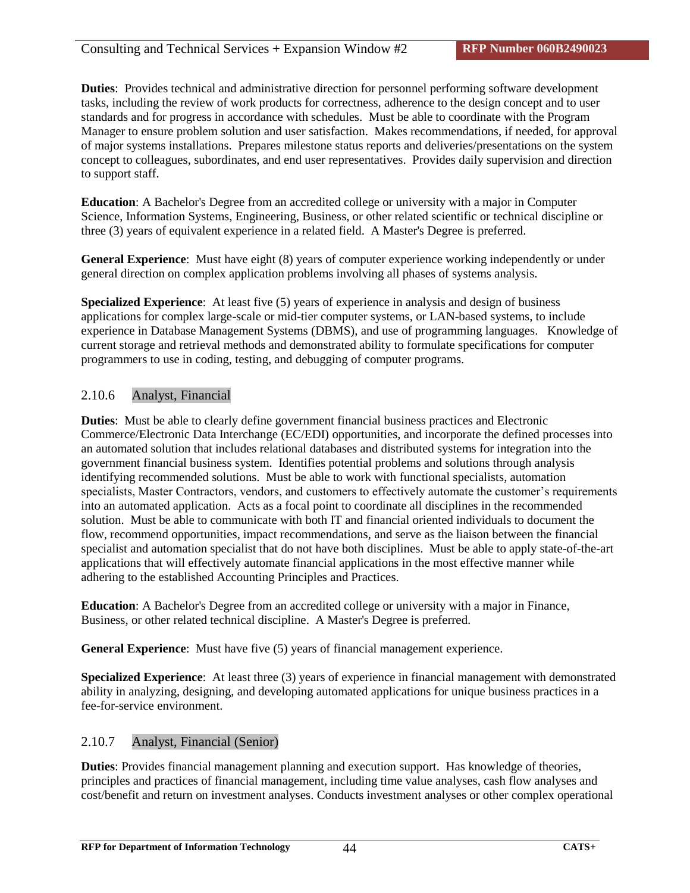**Duties**: Provides technical and administrative direction for personnel performing software development tasks, including the review of work products for correctness, adherence to the design concept and to user standards and for progress in accordance with schedules. Must be able to coordinate with the Program Manager to ensure problem solution and user satisfaction. Makes recommendations, if needed, for approval of major systems installations. Prepares milestone status reports and deliveries/presentations on the system concept to colleagues, subordinates, and end user representatives. Provides daily supervision and direction to support staff.

**Education**: A Bachelor's Degree from an accredited college or university with a major in Computer Science, Information Systems, Engineering, Business, or other related scientific or technical discipline or three (3) years of equivalent experience in a related field. A Master's Degree is preferred.

**General Experience**: Must have eight (8) years of computer experience working independently or under general direction on complex application problems involving all phases of systems analysis.

**Specialized Experience**: At least five (5) years of experience in analysis and design of business applications for complex large-scale or mid-tier computer systems, or LAN-based systems, to include experience in Database Management Systems (DBMS), and use of programming languages. Knowledge of current storage and retrieval methods and demonstrated ability to formulate specifications for computer programmers to use in coding, testing, and debugging of computer programs.

# 2.10.6 Analyst, Financial

**Duties**: Must be able to clearly define government financial business practices and Electronic Commerce/Electronic Data Interchange (EC/EDI) opportunities, and incorporate the defined processes into an automated solution that includes relational databases and distributed systems for integration into the government financial business system. Identifies potential problems and solutions through analysis identifying recommended solutions. Must be able to work with functional specialists, automation specialists, Master Contractors, vendors, and customers to effectively automate the customer's requirements into an automated application. Acts as a focal point to coordinate all disciplines in the recommended solution. Must be able to communicate with both IT and financial oriented individuals to document the flow, recommend opportunities, impact recommendations, and serve as the liaison between the financial specialist and automation specialist that do not have both disciplines. Must be able to apply state-of-the-art applications that will effectively automate financial applications in the most effective manner while adhering to the established Accounting Principles and Practices.

**Education**: A Bachelor's Degree from an accredited college or university with a major in Finance, Business, or other related technical discipline. A Master's Degree is preferred.

**General Experience**: Must have five (5) years of financial management experience.

**Specialized Experience**: At least three (3) years of experience in financial management with demonstrated ability in analyzing, designing, and developing automated applications for unique business practices in a fee-for-service environment.

# 2.10.7 Analyst, Financial (Senior)

**Duties**: Provides financial management planning and execution support. Has knowledge of theories, principles and practices of financial management, including time value analyses, cash flow analyses and cost/benefit and return on investment analyses. Conducts investment analyses or other complex operational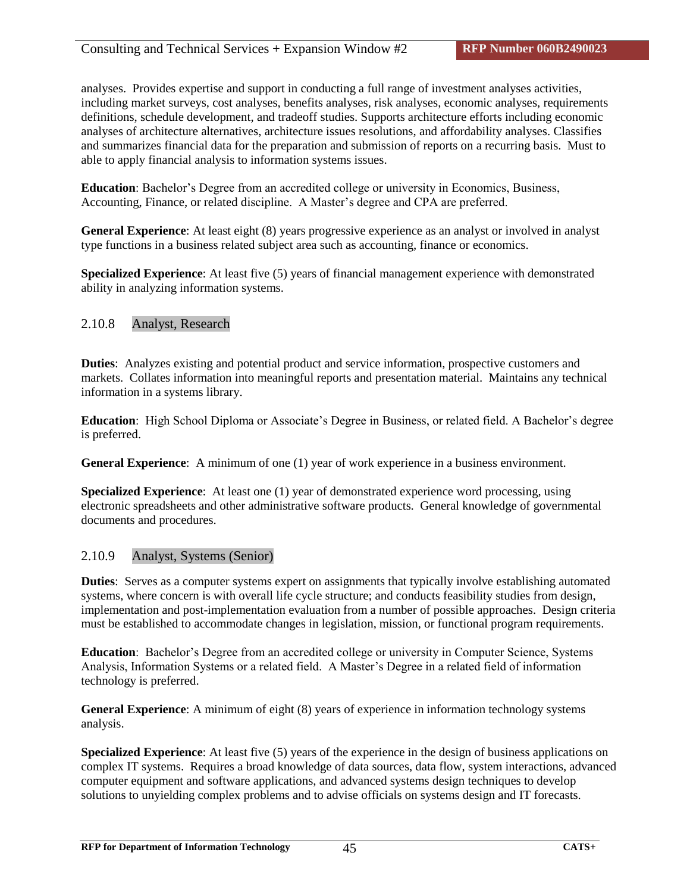analyses. Provides expertise and support in conducting a full range of investment analyses activities, including market surveys, cost analyses, benefits analyses, risk analyses, economic analyses, requirements definitions, schedule development, and tradeoff studies. Supports architecture efforts including economic analyses of architecture alternatives, architecture issues resolutions, and affordability analyses. Classifies and summarizes financial data for the preparation and submission of reports on a recurring basis. Must to able to apply financial analysis to information systems issues.

**Education**: Bachelor's Degree from an accredited college or university in Economics, Business, Accounting, Finance, or related discipline. A Master's degree and CPA are preferred.

**General Experience**: At least eight (8) years progressive experience as an analyst or involved in analyst type functions in a business related subject area such as accounting, finance or economics.

**Specialized Experience**: At least five (5) years of financial management experience with demonstrated ability in analyzing information systems.

# 2.10.8 Analyst, Research

**Duties**: Analyzes existing and potential product and service information, prospective customers and markets. Collates information into meaningful reports and presentation material. Maintains any technical information in a systems library.

**Education**: High School Diploma or Associate's Degree in Business, or related field. A Bachelor's degree is preferred.

**General Experience**: A minimum of one (1) year of work experience in a business environment.

**Specialized Experience**: At least one (1) year of demonstrated experience word processing, using electronic spreadsheets and other administrative software products. General knowledge of governmental documents and procedures.

### 2.10.9 Analyst, Systems (Senior)

**Duties**: Serves as a computer systems expert on assignments that typically involve establishing automated systems, where concern is with overall life cycle structure; and conducts feasibility studies from design, implementation and post-implementation evaluation from a number of possible approaches. Design criteria must be established to accommodate changes in legislation, mission, or functional program requirements.

**Education**: Bachelor's Degree from an accredited college or university in Computer Science, Systems Analysis, Information Systems or a related field. A Master's Degree in a related field of information technology is preferred.

**General Experience**: A minimum of eight (8) years of experience in information technology systems analysis.

**Specialized Experience**: At least five (5) years of the experience in the design of business applications on complex IT systems. Requires a broad knowledge of data sources, data flow, system interactions, advanced computer equipment and software applications, and advanced systems design techniques to develop solutions to unyielding complex problems and to advise officials on systems design and IT forecasts.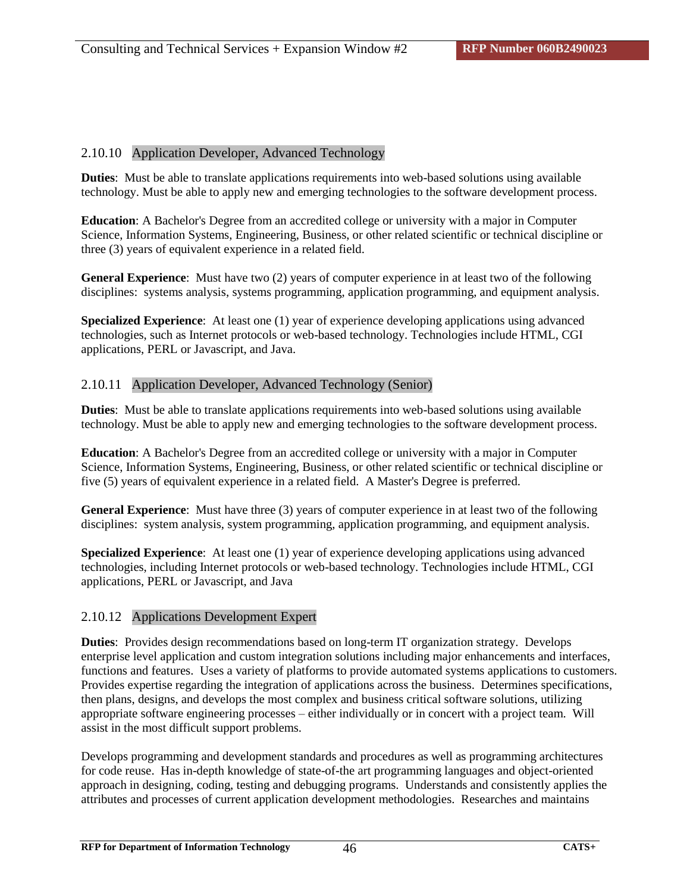## 2.10.10 Application Developer, Advanced Technology

**Duties**: Must be able to translate applications requirements into web-based solutions using available technology. Must be able to apply new and emerging technologies to the software development process.

**Education**: A Bachelor's Degree from an accredited college or university with a major in Computer Science, Information Systems, Engineering, Business, or other related scientific or technical discipline or three (3) years of equivalent experience in a related field.

**General Experience**: Must have two (2) years of computer experience in at least two of the following disciplines: systems analysis, systems programming, application programming, and equipment analysis.

**Specialized Experience**: At least one (1) year of experience developing applications using advanced technologies, such as Internet protocols or web-based technology. Technologies include HTML, CGI applications, PERL or Javascript, and Java.

## 2.10.11 Application Developer, Advanced Technology (Senior)

**Duties**: Must be able to translate applications requirements into web-based solutions using available technology. Must be able to apply new and emerging technologies to the software development process.

**Education**: A Bachelor's Degree from an accredited college or university with a major in Computer Science, Information Systems, Engineering, Business, or other related scientific or technical discipline or five (5) years of equivalent experience in a related field. A Master's Degree is preferred.

**General Experience**: Must have three (3) years of computer experience in at least two of the following disciplines: system analysis, system programming, application programming, and equipment analysis.

**Specialized Experience**: At least one (1) year of experience developing applications using advanced technologies, including Internet protocols or web-based technology. Technologies include HTML, CGI applications, PERL or Javascript, and Java

# 2.10.12 Applications Development Expert

**Duties**: Provides design recommendations based on long-term IT organization strategy. Develops enterprise level application and custom integration solutions including major enhancements and interfaces, functions and features. Uses a variety of platforms to provide automated systems applications to customers. Provides expertise regarding the integration of applications across the business. Determines specifications, then plans, designs, and develops the most complex and business critical software solutions, utilizing appropriate software engineering processes – either individually or in concert with a project team. Will assist in the most difficult support problems.

Develops programming and development standards and procedures as well as programming architectures for code reuse. Has in-depth knowledge of state-of-the art programming languages and object-oriented approach in designing, coding, testing and debugging programs. Understands and consistently applies the attributes and processes of current application development methodologies. Researches and maintains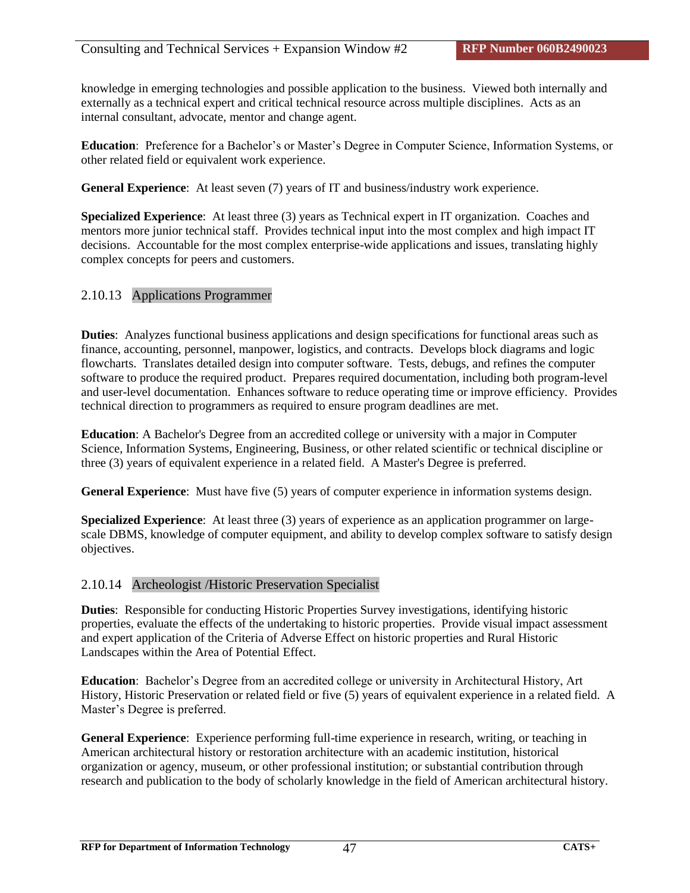knowledge in emerging technologies and possible application to the business. Viewed both internally and externally as a technical expert and critical technical resource across multiple disciplines. Acts as an internal consultant, advocate, mentor and change agent.

**Education**: Preference for a Bachelor's or Master's Degree in Computer Science, Information Systems, or other related field or equivalent work experience.

**General Experience**: At least seven (7) years of IT and business/industry work experience.

**Specialized Experience**: At least three (3) years as Technical expert in IT organization. Coaches and mentors more junior technical staff. Provides technical input into the most complex and high impact IT decisions. Accountable for the most complex enterprise-wide applications and issues, translating highly complex concepts for peers and customers.

## 2.10.13 Applications Programmer

**Duties**: Analyzes functional business applications and design specifications for functional areas such as finance, accounting, personnel, manpower, logistics, and contracts. Develops block diagrams and logic flowcharts. Translates detailed design into computer software. Tests, debugs, and refines the computer software to produce the required product. Prepares required documentation, including both program-level and user-level documentation. Enhances software to reduce operating time or improve efficiency. Provides technical direction to programmers as required to ensure program deadlines are met.

**Education**: A Bachelor's Degree from an accredited college or university with a major in Computer Science, Information Systems, Engineering, Business, or other related scientific or technical discipline or three (3) years of equivalent experience in a related field. A Master's Degree is preferred.

**General Experience**: Must have five (5) years of computer experience in information systems design.

**Specialized Experience**: At least three (3) years of experience as an application programmer on largescale DBMS, knowledge of computer equipment, and ability to develop complex software to satisfy design objectives.

### 2.10.14 Archeologist /Historic Preservation Specialist

**Duties**: Responsible for conducting Historic Properties Survey investigations, identifying historic properties, evaluate the effects of the undertaking to historic properties. Provide visual impact assessment and expert application of the Criteria of Adverse Effect on historic properties and Rural Historic Landscapes within the Area of Potential Effect.

**Education**: Bachelor's Degree from an accredited college or university in Architectural History, Art History, Historic Preservation or related field or five (5) years of equivalent experience in a related field. A Master's Degree is preferred.

**General Experience**: Experience performing full-time experience in research, writing, or teaching in American architectural history or restoration architecture with an academic institution, historical organization or agency, museum, or other professional institution; or substantial contribution through research and publication to the body of scholarly knowledge in the field of American architectural history.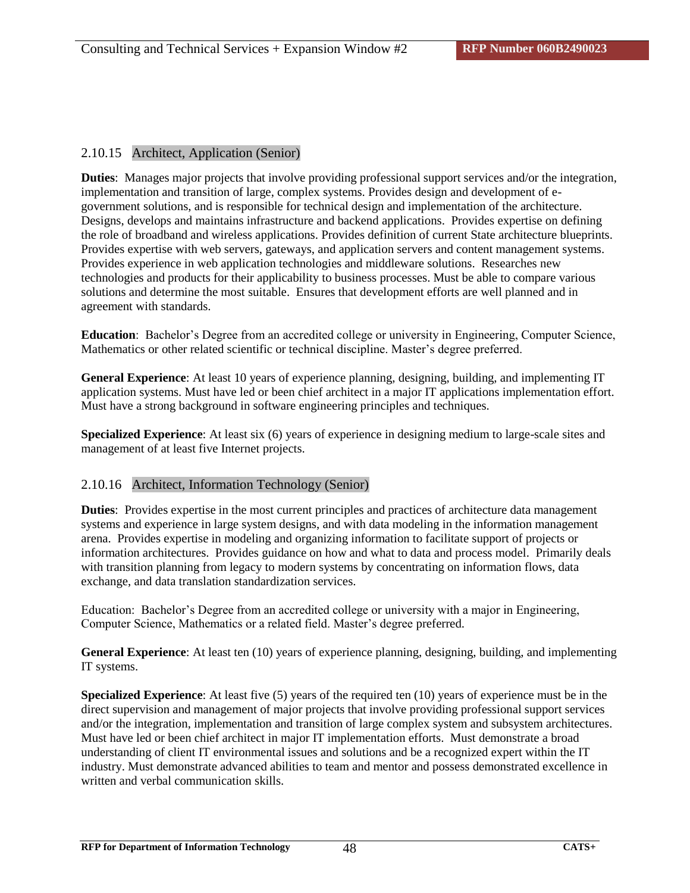# 2.10.15 Architect, Application (Senior)

**Duties**: Manages major projects that involve providing professional support services and/or the integration, implementation and transition of large, complex systems. Provides design and development of egovernment solutions, and is responsible for technical design and implementation of the architecture. Designs, develops and maintains infrastructure and backend applications. Provides expertise on defining the role of broadband and wireless applications. Provides definition of current State architecture blueprints. Provides expertise with web servers, gateways, and application servers and content management systems. Provides experience in web application technologies and middleware solutions. Researches new technologies and products for their applicability to business processes. Must be able to compare various solutions and determine the most suitable. Ensures that development efforts are well planned and in agreement with standards.

**Education**: Bachelor's Degree from an accredited college or university in Engineering, Computer Science, Mathematics or other related scientific or technical discipline. Master's degree preferred.

**General Experience**: At least 10 years of experience planning, designing, building, and implementing IT application systems. Must have led or been chief architect in a major IT applications implementation effort. Must have a strong background in software engineering principles and techniques.

**Specialized Experience**: At least six (6) years of experience in designing medium to large-scale sites and management of at least five Internet projects.

### 2.10.16 Architect, Information Technology (Senior)

**Duties**: Provides expertise in the most current principles and practices of architecture data management systems and experience in large system designs, and with data modeling in the information management arena. Provides expertise in modeling and organizing information to facilitate support of projects or information architectures. Provides guidance on how and what to data and process model. Primarily deals with transition planning from legacy to modern systems by concentrating on information flows, data exchange, and data translation standardization services.

Education: Bachelor's Degree from an accredited college or university with a major in Engineering, Computer Science, Mathematics or a related field. Master's degree preferred.

**General Experience**: At least ten (10) years of experience planning, designing, building, and implementing IT systems.

**Specialized Experience**: At least five (5) years of the required ten (10) years of experience must be in the direct supervision and management of major projects that involve providing professional support services and/or the integration, implementation and transition of large complex system and subsystem architectures. Must have led or been chief architect in major IT implementation efforts. Must demonstrate a broad understanding of client IT environmental issues and solutions and be a recognized expert within the IT industry. Must demonstrate advanced abilities to team and mentor and possess demonstrated excellence in written and verbal communication skills.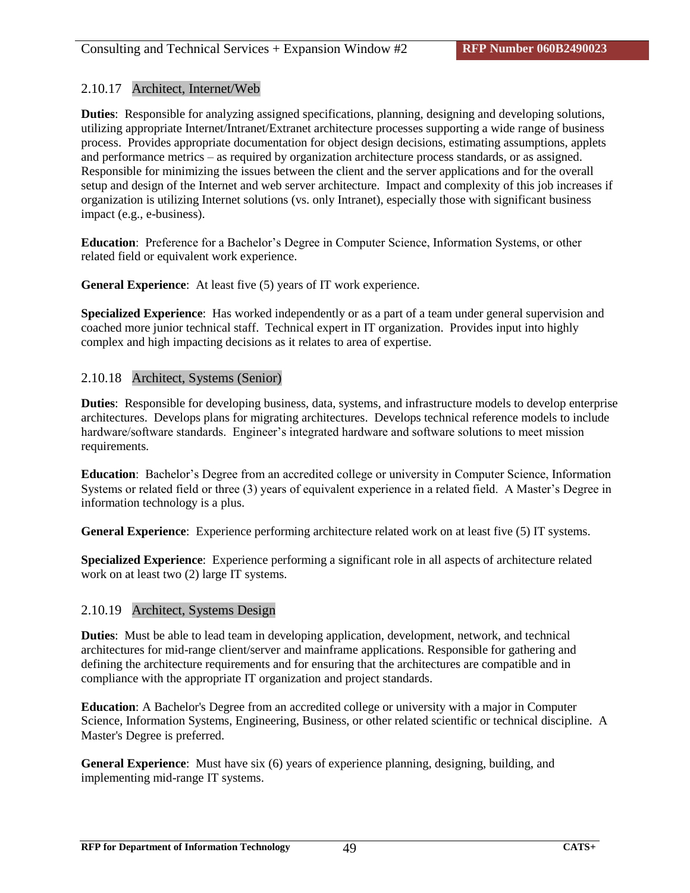## 2.10.17 Architect, Internet/Web

**Duties**: Responsible for analyzing assigned specifications, planning, designing and developing solutions, utilizing appropriate Internet/Intranet/Extranet architecture processes supporting a wide range of business process. Provides appropriate documentation for object design decisions, estimating assumptions, applets and performance metrics – as required by organization architecture process standards, or as assigned. Responsible for minimizing the issues between the client and the server applications and for the overall setup and design of the Internet and web server architecture. Impact and complexity of this job increases if organization is utilizing Internet solutions (vs. only Intranet), especially those with significant business impact (e.g., e-business).

**Education**: Preference for a Bachelor's Degree in Computer Science, Information Systems, or other related field or equivalent work experience.

**General Experience**: At least five (5) years of IT work experience.

**Specialized Experience**: Has worked independently or as a part of a team under general supervision and coached more junior technical staff. Technical expert in IT organization. Provides input into highly complex and high impacting decisions as it relates to area of expertise.

### 2.10.18 Architect, Systems (Senior)

**Duties**: Responsible for developing business, data, systems, and infrastructure models to develop enterprise architectures. Develops plans for migrating architectures. Develops technical reference models to include hardware/software standards. Engineer's integrated hardware and software solutions to meet mission requirements.

**Education**: Bachelor's Degree from an accredited college or university in Computer Science, Information Systems or related field or three (3) years of equivalent experience in a related field. A Master's Degree in information technology is a plus.

**General Experience**: Experience performing architecture related work on at least five (5) IT systems.

**Specialized Experience**: Experience performing a significant role in all aspects of architecture related work on at least two (2) large IT systems.

### 2.10.19 Architect, Systems Design

**Duties**: Must be able to lead team in developing application, development, network, and technical architectures for mid-range client/server and mainframe applications. Responsible for gathering and defining the architecture requirements and for ensuring that the architectures are compatible and in compliance with the appropriate IT organization and project standards.

**Education**: A Bachelor's Degree from an accredited college or university with a major in Computer Science, Information Systems, Engineering, Business, or other related scientific or technical discipline. A Master's Degree is preferred.

**General Experience**: Must have six (6) years of experience planning, designing, building, and implementing mid-range IT systems.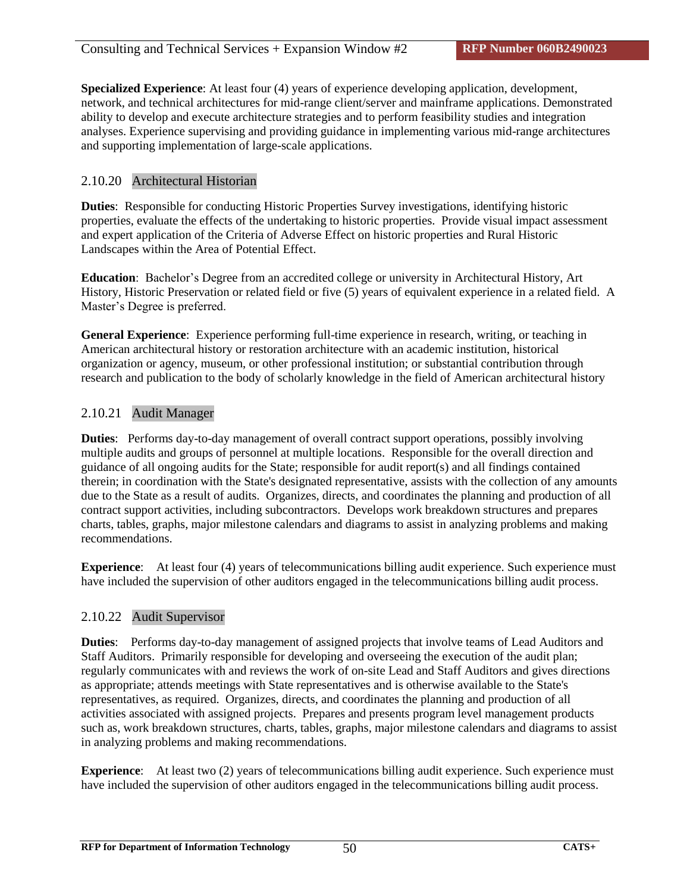**Specialized Experience**: At least four (4) years of experience developing application, development, network, and technical architectures for mid-range client/server and mainframe applications. Demonstrated ability to develop and execute architecture strategies and to perform feasibility studies and integration analyses. Experience supervising and providing guidance in implementing various mid-range architectures and supporting implementation of large-scale applications.

# 2.10.20 Architectural Historian

**Duties**: Responsible for conducting Historic Properties Survey investigations, identifying historic properties, evaluate the effects of the undertaking to historic properties. Provide visual impact assessment and expert application of the Criteria of Adverse Effect on historic properties and Rural Historic Landscapes within the Area of Potential Effect.

**Education**: Bachelor's Degree from an accredited college or university in Architectural History, Art History, Historic Preservation or related field or five (5) years of equivalent experience in a related field. A Master's Degree is preferred.

**General Experience**: Experience performing full-time experience in research, writing, or teaching in American architectural history or restoration architecture with an academic institution, historical organization or agency, museum, or other professional institution; or substantial contribution through research and publication to the body of scholarly knowledge in the field of American architectural history

# 2.10.21 Audit Manager

**Duties**: Performs day-to-day management of overall contract support operations, possibly involving multiple audits and groups of personnel at multiple locations. Responsible for the overall direction and guidance of all ongoing audits for the State; responsible for audit report(s) and all findings contained therein; in coordination with the State's designated representative, assists with the collection of any amounts due to the State as a result of audits. Organizes, directs, and coordinates the planning and production of all contract support activities, including subcontractors. Develops work breakdown structures and prepares charts, tables, graphs, major milestone calendars and diagrams to assist in analyzing problems and making recommendations.

**Experience**: At least four (4) years of telecommunications billing audit experience. Such experience must have included the supervision of other auditors engaged in the telecommunications billing audit process.

# 2.10.22 Audit Supervisor

**Duties**: Performs day-to-day management of assigned projects that involve teams of Lead Auditors and Staff Auditors. Primarily responsible for developing and overseeing the execution of the audit plan; regularly communicates with and reviews the work of on-site Lead and Staff Auditors and gives directions as appropriate; attends meetings with State representatives and is otherwise available to the State's representatives, as required. Organizes, directs, and coordinates the planning and production of all activities associated with assigned projects. Prepares and presents program level management products such as, work breakdown structures, charts, tables, graphs, major milestone calendars and diagrams to assist in analyzing problems and making recommendations.

**Experience**: At least two (2) years of telecommunications billing audit experience. Such experience must have included the supervision of other auditors engaged in the telecommunications billing audit process.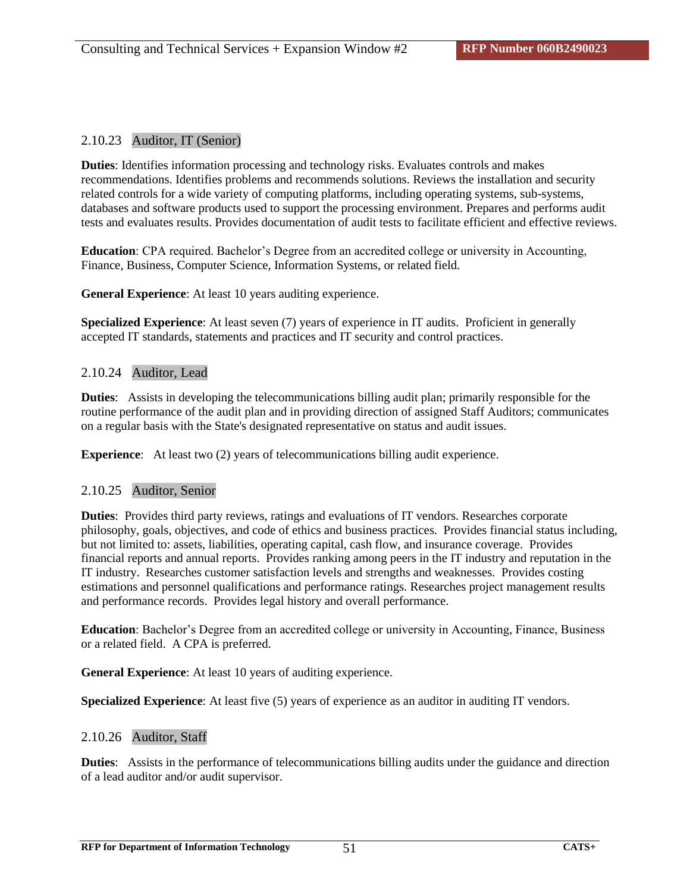### 2.10.23 Auditor, IT (Senior)

**Duties**: Identifies information processing and technology risks. Evaluates controls and makes recommendations. Identifies problems and recommends solutions. Reviews the installation and security related controls for a wide variety of computing platforms, including operating systems, sub-systems, databases and software products used to support the processing environment. Prepares and performs audit tests and evaluates results. Provides documentation of audit tests to facilitate efficient and effective reviews.

**Education**: CPA required. Bachelor's Degree from an accredited college or university in Accounting, Finance, Business, Computer Science, Information Systems, or related field.

**General Experience**: At least 10 years auditing experience.

**Specialized Experience**: At least seven (7) years of experience in IT audits. Proficient in generally accepted IT standards, statements and practices and IT security and control practices.

#### 2.10.24 Auditor, Lead

**Duties**: Assists in developing the telecommunications billing audit plan; primarily responsible for the routine performance of the audit plan and in providing direction of assigned Staff Auditors; communicates on a regular basis with the State's designated representative on status and audit issues.

**Experience:** At least two (2) years of telecommunications billing audit experience.

#### 2.10.25 Auditor, Senior

**Duties**: Provides third party reviews, ratings and evaluations of IT vendors. Researches corporate philosophy, goals, objectives, and code of ethics and business practices. Provides financial status including, but not limited to: assets, liabilities, operating capital, cash flow, and insurance coverage. Provides financial reports and annual reports. Provides ranking among peers in the IT industry and reputation in the IT industry. Researches customer satisfaction levels and strengths and weaknesses. Provides costing estimations and personnel qualifications and performance ratings. Researches project management results and performance records. Provides legal history and overall performance.

**Education**: Bachelor's Degree from an accredited college or university in Accounting, Finance, Business or a related field. A CPA is preferred.

**General Experience**: At least 10 years of auditing experience.

**Specialized Experience**: At least five (5) years of experience as an auditor in auditing IT vendors.

#### 2.10.26 Auditor, Staff

**Duties**: Assists in the performance of telecommunications billing audits under the guidance and direction of a lead auditor and/or audit supervisor.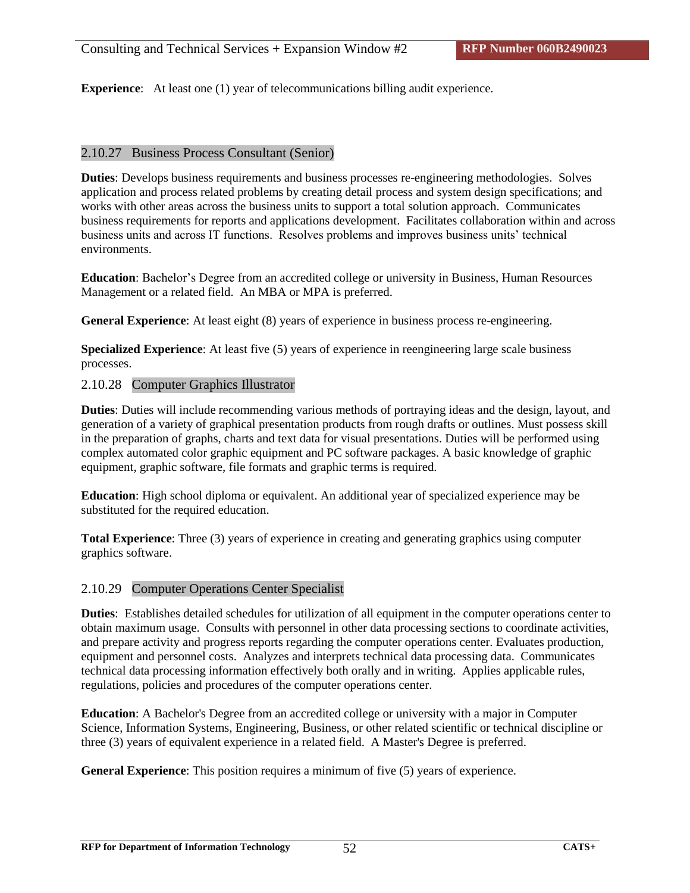**Experience**: At least one (1) year of telecommunications billing audit experience.

#### 2.10.27 Business Process Consultant (Senior)

**Duties**: Develops business requirements and business processes re-engineering methodologies. Solves application and process related problems by creating detail process and system design specifications; and works with other areas across the business units to support a total solution approach. Communicates business requirements for reports and applications development. Facilitates collaboration within and across business units and across IT functions. Resolves problems and improves business units' technical environments.

**Education**: Bachelor's Degree from an accredited college or university in Business, Human Resources Management or a related field. An MBA or MPA is preferred.

**General Experience**: At least eight (8) years of experience in business process re-engineering.

**Specialized Experience**: At least five (5) years of experience in reengineering large scale business processes.

#### 2.10.28 Computer Graphics Illustrator

**Duties**: Duties will include recommending various methods of portraying ideas and the design, layout, and generation of a variety of graphical presentation products from rough drafts or outlines. Must possess skill in the preparation of graphs, charts and text data for visual presentations. Duties will be performed using complex automated color graphic equipment and PC software packages. A basic knowledge of graphic equipment, graphic software, file formats and graphic terms is required.

**Education**: High school diploma or equivalent. An additional year of specialized experience may be substituted for the required education.

**Total Experience**: Three (3) years of experience in creating and generating graphics using computer graphics software.

### 2.10.29 Computer Operations Center Specialist

**Duties**: Establishes detailed schedules for utilization of all equipment in the computer operations center to obtain maximum usage. Consults with personnel in other data processing sections to coordinate activities, and prepare activity and progress reports regarding the computer operations center. Evaluates production, equipment and personnel costs. Analyzes and interprets technical data processing data. Communicates technical data processing information effectively both orally and in writing. Applies applicable rules, regulations, policies and procedures of the computer operations center.

**Education**: A Bachelor's Degree from an accredited college or university with a major in Computer Science, Information Systems, Engineering, Business, or other related scientific or technical discipline or three (3) years of equivalent experience in a related field. A Master's Degree is preferred.

**General Experience**: This position requires a minimum of five (5) years of experience.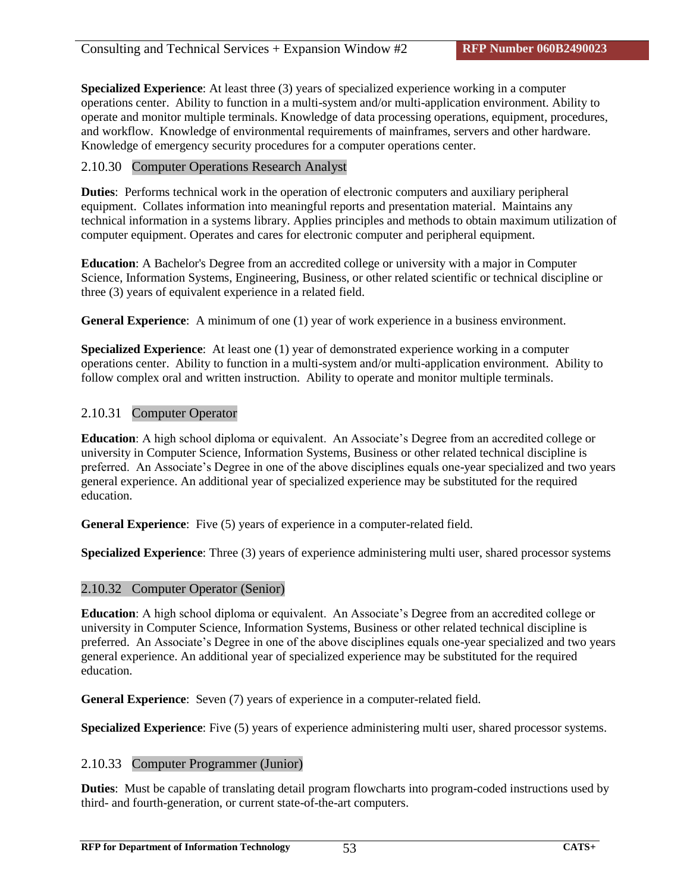**Specialized Experience**: At least three (3) years of specialized experience working in a computer operations center. Ability to function in a multi-system and/or multi-application environment. Ability to operate and monitor multiple terminals. Knowledge of data processing operations, equipment, procedures, and workflow. Knowledge of environmental requirements of mainframes, servers and other hardware. Knowledge of emergency security procedures for a computer operations center.

## 2.10.30 Computer Operations Research Analyst

**Duties**: Performs technical work in the operation of electronic computers and auxiliary peripheral equipment. Collates information into meaningful reports and presentation material. Maintains any technical information in a systems library. Applies principles and methods to obtain maximum utilization of computer equipment. Operates and cares for electronic computer and peripheral equipment.

**Education**: A Bachelor's Degree from an accredited college or university with a major in Computer Science, Information Systems, Engineering, Business, or other related scientific or technical discipline or three (3) years of equivalent experience in a related field.

**General Experience**: A minimum of one (1) year of work experience in a business environment.

**Specialized Experience**: At least one (1) year of demonstrated experience working in a computer operations center. Ability to function in a multi-system and/or multi-application environment. Ability to follow complex oral and written instruction. Ability to operate and monitor multiple terminals.

# 2.10.31 Computer Operator

**Education**: A high school diploma or equivalent. An Associate's Degree from an accredited college or university in Computer Science, Information Systems, Business or other related technical discipline is preferred. An Associate's Degree in one of the above disciplines equals one-year specialized and two years general experience. An additional year of specialized experience may be substituted for the required education.

**General Experience**: Five (5) years of experience in a computer-related field.

**Specialized Experience**: Three (3) years of experience administering multi user, shared processor systems

### 2.10.32 Computer Operator (Senior)

**Education**: A high school diploma or equivalent. An Associate's Degree from an accredited college or university in Computer Science, Information Systems, Business or other related technical discipline is preferred. An Associate's Degree in one of the above disciplines equals one-year specialized and two years general experience. An additional year of specialized experience may be substituted for the required education.

**General Experience**: Seven (7) years of experience in a computer-related field.

**Specialized Experience**: Five (5) years of experience administering multi user, shared processor systems.

### 2.10.33 Computer Programmer (Junior)

**Duties**: Must be capable of translating detail program flowcharts into program-coded instructions used by third- and fourth-generation, or current state-of-the-art computers.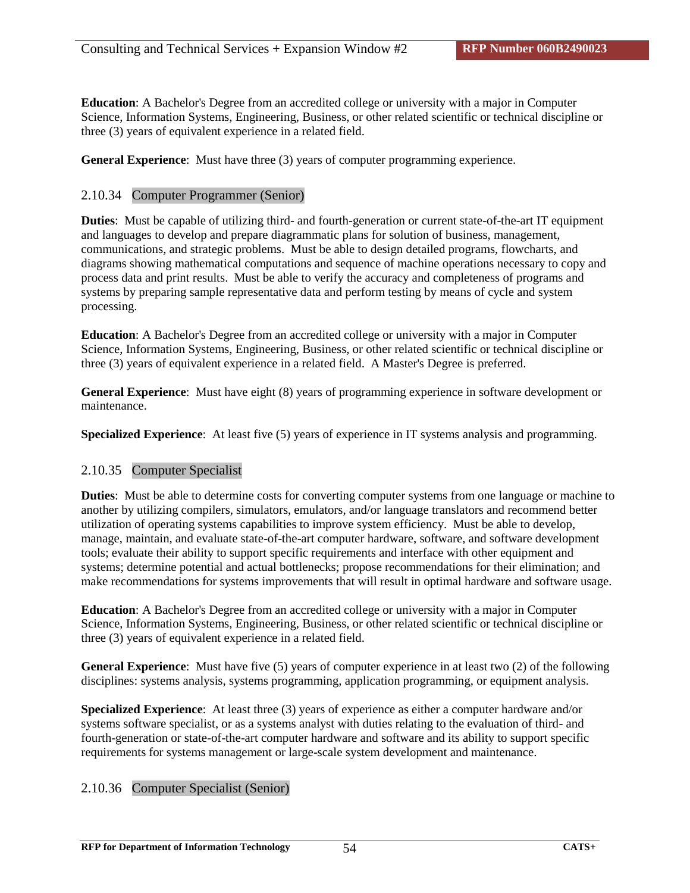**Education**: A Bachelor's Degree from an accredited college or university with a major in Computer Science, Information Systems, Engineering, Business, or other related scientific or technical discipline or three (3) years of equivalent experience in a related field.

**General Experience**: Must have three (3) years of computer programming experience.

### 2.10.34 Computer Programmer (Senior)

**Duties**: Must be capable of utilizing third- and fourth-generation or current state-of-the-art IT equipment and languages to develop and prepare diagrammatic plans for solution of business, management, communications, and strategic problems. Must be able to design detailed programs, flowcharts, and diagrams showing mathematical computations and sequence of machine operations necessary to copy and process data and print results. Must be able to verify the accuracy and completeness of programs and systems by preparing sample representative data and perform testing by means of cycle and system processing.

**Education**: A Bachelor's Degree from an accredited college or university with a major in Computer Science, Information Systems, Engineering, Business, or other related scientific or technical discipline or three (3) years of equivalent experience in a related field. A Master's Degree is preferred.

**General Experience**: Must have eight (8) years of programming experience in software development or maintenance.

**Specialized Experience**: At least five (5) years of experience in IT systems analysis and programming.

# 2.10.35 Computer Specialist

**Duties**: Must be able to determine costs for converting computer systems from one language or machine to another by utilizing compilers, simulators, emulators, and/or language translators and recommend better utilization of operating systems capabilities to improve system efficiency. Must be able to develop, manage, maintain, and evaluate state-of-the-art computer hardware, software, and software development tools; evaluate their ability to support specific requirements and interface with other equipment and systems; determine potential and actual bottlenecks; propose recommendations for their elimination; and make recommendations for systems improvements that will result in optimal hardware and software usage.

**Education**: A Bachelor's Degree from an accredited college or university with a major in Computer Science, Information Systems, Engineering, Business, or other related scientific or technical discipline or three (3) years of equivalent experience in a related field.

**General Experience**: Must have five (5) years of computer experience in at least two (2) of the following disciplines: systems analysis, systems programming, application programming, or equipment analysis.

**Specialized Experience**: At least three (3) years of experience as either a computer hardware and/or systems software specialist, or as a systems analyst with duties relating to the evaluation of third- and fourth-generation or state-of-the-art computer hardware and software and its ability to support specific requirements for systems management or large-scale system development and maintenance.

### 2.10.36 Computer Specialist (Senior)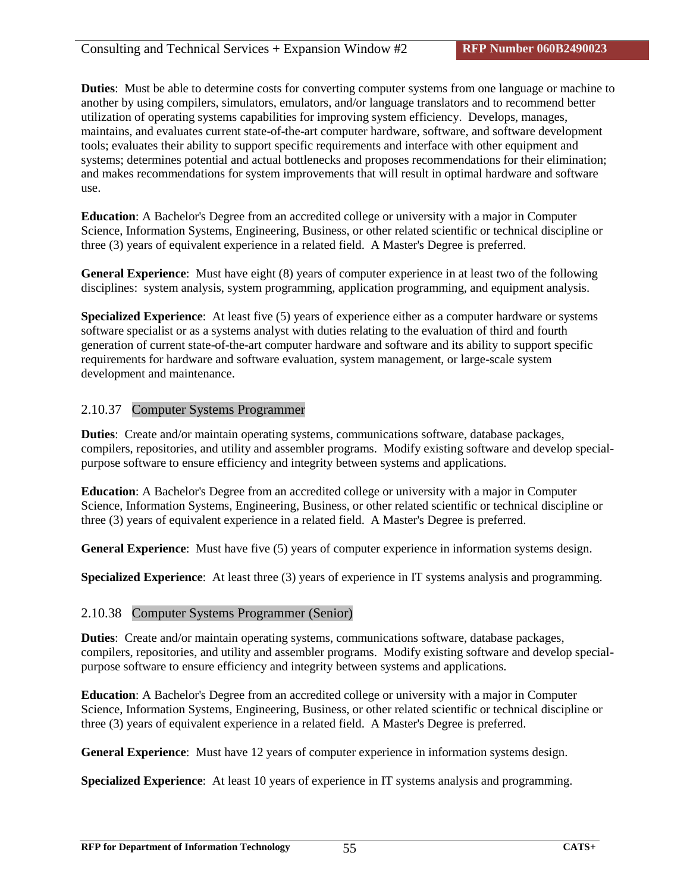**Duties**: Must be able to determine costs for converting computer systems from one language or machine to another by using compilers, simulators, emulators, and/or language translators and to recommend better utilization of operating systems capabilities for improving system efficiency. Develops, manages, maintains, and evaluates current state-of-the-art computer hardware, software, and software development tools; evaluates their ability to support specific requirements and interface with other equipment and systems; determines potential and actual bottlenecks and proposes recommendations for their elimination; and makes recommendations for system improvements that will result in optimal hardware and software use.

**Education**: A Bachelor's Degree from an accredited college or university with a major in Computer Science, Information Systems, Engineering, Business, or other related scientific or technical discipline or three (3) years of equivalent experience in a related field. A Master's Degree is preferred.

**General Experience**: Must have eight (8) years of computer experience in at least two of the following disciplines: system analysis, system programming, application programming, and equipment analysis.

**Specialized Experience**: At least five (5) years of experience either as a computer hardware or systems software specialist or as a systems analyst with duties relating to the evaluation of third and fourth generation of current state-of-the-art computer hardware and software and its ability to support specific requirements for hardware and software evaluation, system management, or large-scale system development and maintenance.

# 2.10.37 Computer Systems Programmer

**Duties**: Create and/or maintain operating systems, communications software, database packages, compilers, repositories, and utility and assembler programs. Modify existing software and develop specialpurpose software to ensure efficiency and integrity between systems and applications.

**Education**: A Bachelor's Degree from an accredited college or university with a major in Computer Science, Information Systems, Engineering, Business, or other related scientific or technical discipline or three (3) years of equivalent experience in a related field. A Master's Degree is preferred.

**General Experience**: Must have five (5) years of computer experience in information systems design.

**Specialized Experience**: At least three (3) years of experience in IT systems analysis and programming.

### 2.10.38 Computer Systems Programmer (Senior)

**Duties**: Create and/or maintain operating systems, communications software, database packages, compilers, repositories, and utility and assembler programs. Modify existing software and develop specialpurpose software to ensure efficiency and integrity between systems and applications.

**Education**: A Bachelor's Degree from an accredited college or university with a major in Computer Science, Information Systems, Engineering, Business, or other related scientific or technical discipline or three (3) years of equivalent experience in a related field. A Master's Degree is preferred.

**General Experience**: Must have 12 years of computer experience in information systems design.

**Specialized Experience**: At least 10 years of experience in IT systems analysis and programming.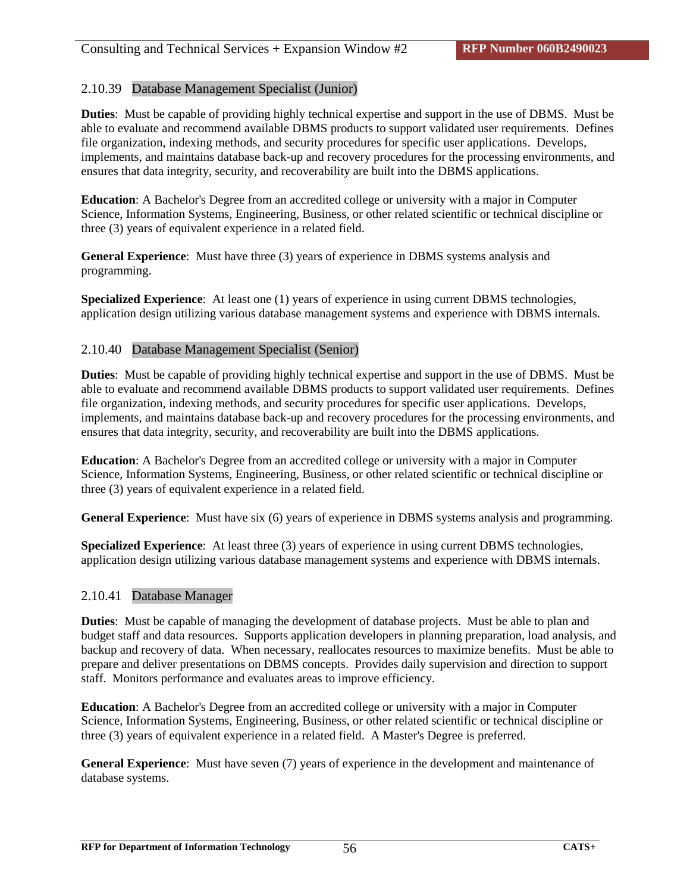# 2.10.39 Database Management Specialist (Junior)

**Duties**: Must be capable of providing highly technical expertise and support in the use of DBMS. Must be able to evaluate and recommend available DBMS products to support validated user requirements. Defines file organization, indexing methods, and security procedures for specific user applications. Develops, implements, and maintains database back-up and recovery procedures for the processing environments, and ensures that data integrity, security, and recoverability are built into the DBMS applications.

**Education**: A Bachelor's Degree from an accredited college or university with a major in Computer Science, Information Systems, Engineering, Business, or other related scientific or technical discipline or three (3) years of equivalent experience in a related field.

**General Experience**: Must have three (3) years of experience in DBMS systems analysis and programming.

**Specialized Experience**: At least one (1) years of experience in using current DBMS technologies, application design utilizing various database management systems and experience with DBMS internals.

# 2.10.40 Database Management Specialist (Senior)

**Duties**: Must be capable of providing highly technical expertise and support in the use of DBMS. Must be able to evaluate and recommend available DBMS products to support validated user requirements. Defines file organization, indexing methods, and security procedures for specific user applications. Develops, implements, and maintains database back-up and recovery procedures for the processing environments, and ensures that data integrity, security, and recoverability are built into the DBMS applications.

**Education**: A Bachelor's Degree from an accredited college or university with a major in Computer Science, Information Systems, Engineering, Business, or other related scientific or technical discipline or three (3) years of equivalent experience in a related field.

**General Experience**: Must have six (6) years of experience in DBMS systems analysis and programming.

**Specialized Experience**: At least three (3) years of experience in using current DBMS technologies, application design utilizing various database management systems and experience with DBMS internals.

# 2.10.41 Database Manager

**Duties**: Must be capable of managing the development of database projects. Must be able to plan and budget staff and data resources. Supports application developers in planning preparation, load analysis, and backup and recovery of data. When necessary, reallocates resources to maximize benefits. Must be able to prepare and deliver presentations on DBMS concepts. Provides daily supervision and direction to support staff. Monitors performance and evaluates areas to improve efficiency.

**Education**: A Bachelor's Degree from an accredited college or university with a major in Computer Science, Information Systems, Engineering, Business, or other related scientific or technical discipline or three (3) years of equivalent experience in a related field. A Master's Degree is preferred.

**General Experience**: Must have seven (7) years of experience in the development and maintenance of database systems.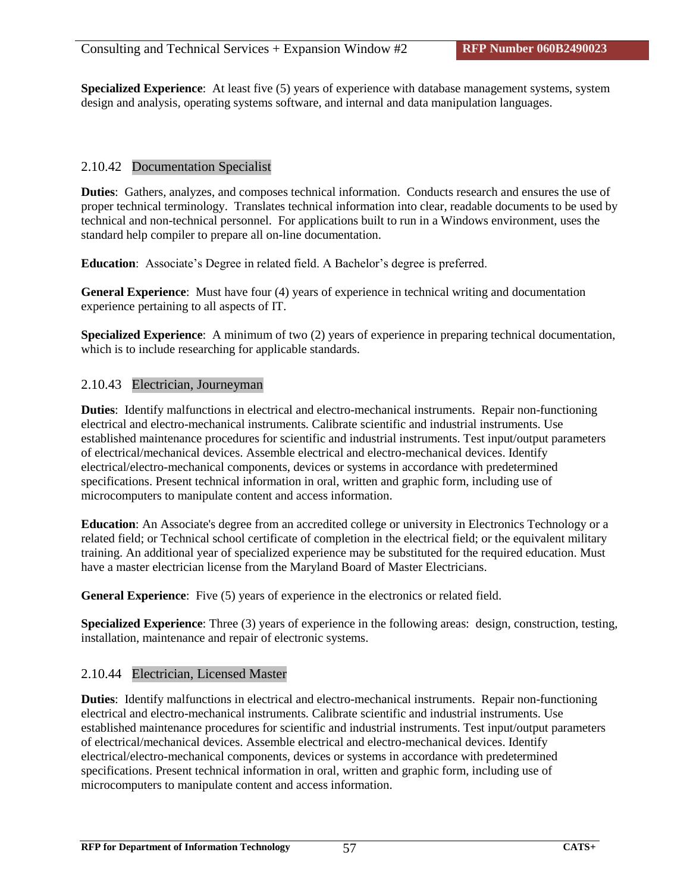**Specialized Experience**: At least five (5) years of experience with database management systems, system design and analysis, operating systems software, and internal and data manipulation languages.

### 2.10.42 Documentation Specialist

**Duties**: Gathers, analyzes, and composes technical information. Conducts research and ensures the use of proper technical terminology. Translates technical information into clear, readable documents to be used by technical and non-technical personnel. For applications built to run in a Windows environment, uses the standard help compiler to prepare all on-line documentation.

**Education**: Associate's Degree in related field. A Bachelor's degree is preferred.

**General Experience**: Must have four (4) years of experience in technical writing and documentation experience pertaining to all aspects of IT.

**Specialized Experience**: A minimum of two (2) years of experience in preparing technical documentation, which is to include researching for applicable standards.

# 2.10.43 Electrician, Journeyman

**Duties**: Identify malfunctions in electrical and electro-mechanical instruments. Repair non-functioning electrical and electro-mechanical instruments. Calibrate scientific and industrial instruments. Use established maintenance procedures for scientific and industrial instruments. Test input/output parameters of electrical/mechanical devices. Assemble electrical and electro-mechanical devices. Identify electrical/electro-mechanical components, devices or systems in accordance with predetermined specifications. Present technical information in oral, written and graphic form, including use of microcomputers to manipulate content and access information.

**Education**: An Associate's degree from an accredited college or university in Electronics Technology or a related field; or Technical school certificate of completion in the electrical field; or the equivalent military training. An additional year of specialized experience may be substituted for the required education. Must have a master electrician license from the Maryland Board of Master Electricians.

**General Experience**: Five (5) years of experience in the electronics or related field.

**Specialized Experience**: Three (3) years of experience in the following areas: design, construction, testing, installation, maintenance and repair of electronic systems.

### 2.10.44 Electrician, Licensed Master

**Duties**: Identify malfunctions in electrical and electro-mechanical instruments. Repair non-functioning electrical and electro-mechanical instruments. Calibrate scientific and industrial instruments. Use established maintenance procedures for scientific and industrial instruments. Test input/output parameters of electrical/mechanical devices. Assemble electrical and electro-mechanical devices. Identify electrical/electro-mechanical components, devices or systems in accordance with predetermined specifications. Present technical information in oral, written and graphic form, including use of microcomputers to manipulate content and access information.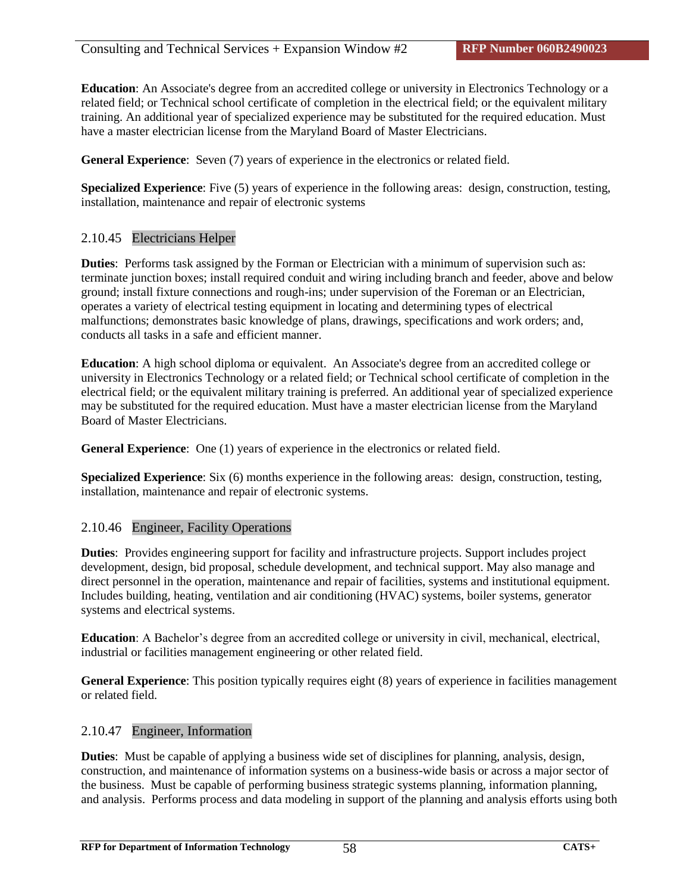**Education**: An Associate's degree from an accredited college or university in Electronics Technology or a related field; or Technical school certificate of completion in the electrical field; or the equivalent military training. An additional year of specialized experience may be substituted for the required education. Must have a master electrician license from the Maryland Board of Master Electricians.

**General Experience**: Seven (7) years of experience in the electronics or related field.

**Specialized Experience**: Five (5) years of experience in the following areas: design, construction, testing, installation, maintenance and repair of electronic systems

# 2.10.45 Electricians Helper

**Duties**: Performs task assigned by the Forman or Electrician with a minimum of supervision such as: terminate junction boxes; install required conduit and wiring including branch and feeder, above and below ground; install fixture connections and rough-ins; under supervision of the Foreman or an Electrician, operates a variety of electrical testing equipment in locating and determining types of electrical malfunctions; demonstrates basic knowledge of plans, drawings, specifications and work orders; and, conducts all tasks in a safe and efficient manner.

**Education**: A high school diploma or equivalent. An Associate's degree from an accredited college or university in Electronics Technology or a related field; or Technical school certificate of completion in the electrical field; or the equivalent military training is preferred. An additional year of specialized experience may be substituted for the required education. Must have a master electrician license from the Maryland Board of Master Electricians.

**General Experience**: One (1) years of experience in the electronics or related field.

**Specialized Experience**: Six (6) months experience in the following areas: design, construction, testing, installation, maintenance and repair of electronic systems.

# 2.10.46 Engineer, Facility Operations

**Duties**: Provides engineering support for facility and infrastructure projects. Support includes project development, design, bid proposal, schedule development, and technical support. May also manage and direct personnel in the operation, maintenance and repair of facilities, systems and institutional equipment. Includes building, heating, ventilation and air conditioning (HVAC) systems, boiler systems, generator systems and electrical systems.

**Education**: A Bachelor's degree from an accredited college or university in civil, mechanical, electrical, industrial or facilities management engineering or other related field.

**General Experience**: This position typically requires eight (8) years of experience in facilities management or related field.

# 2.10.47 Engineer, Information

**Duties**: Must be capable of applying a business wide set of disciplines for planning, analysis, design, construction, and maintenance of information systems on a business-wide basis or across a major sector of the business. Must be capable of performing business strategic systems planning, information planning, and analysis. Performs process and data modeling in support of the planning and analysis efforts using both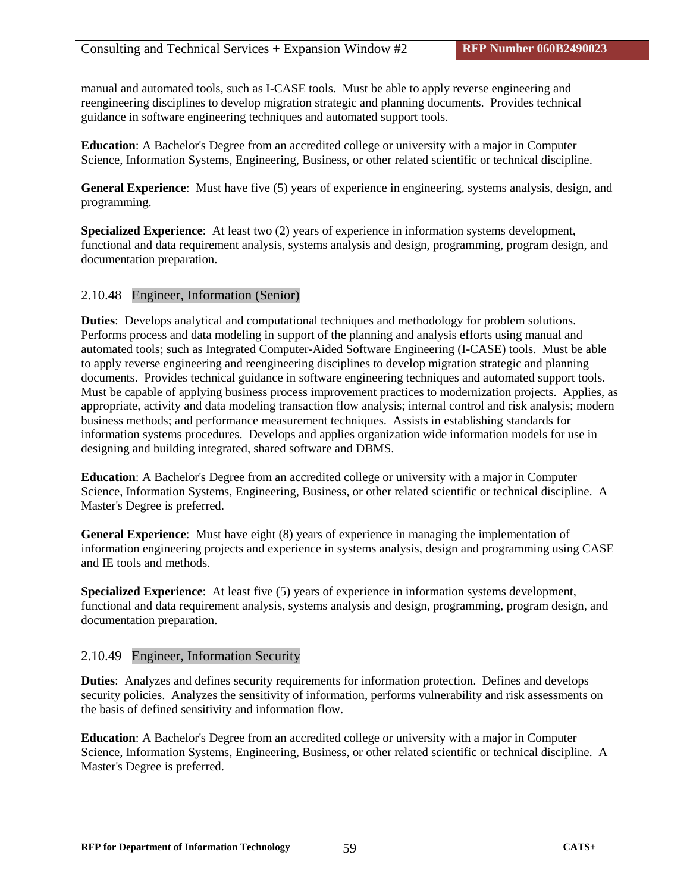manual and automated tools, such as I-CASE tools. Must be able to apply reverse engineering and reengineering disciplines to develop migration strategic and planning documents. Provides technical guidance in software engineering techniques and automated support tools.

**Education**: A Bachelor's Degree from an accredited college or university with a major in Computer Science, Information Systems, Engineering, Business, or other related scientific or technical discipline.

**General Experience**: Must have five (5) years of experience in engineering, systems analysis, design, and programming.

**Specialized Experience**: At least two (2) years of experience in information systems development, functional and data requirement analysis, systems analysis and design, programming, program design, and documentation preparation.

#### 2.10.48 Engineer, Information (Senior)

**Duties**: Develops analytical and computational techniques and methodology for problem solutions. Performs process and data modeling in support of the planning and analysis efforts using manual and automated tools; such as Integrated Computer-Aided Software Engineering (I-CASE) tools. Must be able to apply reverse engineering and reengineering disciplines to develop migration strategic and planning documents. Provides technical guidance in software engineering techniques and automated support tools. Must be capable of applying business process improvement practices to modernization projects. Applies, as appropriate, activity and data modeling transaction flow analysis; internal control and risk analysis; modern business methods; and performance measurement techniques. Assists in establishing standards for information systems procedures. Develops and applies organization wide information models for use in designing and building integrated, shared software and DBMS.

**Education**: A Bachelor's Degree from an accredited college or university with a major in Computer Science, Information Systems, Engineering, Business, or other related scientific or technical discipline. A Master's Degree is preferred.

**General Experience**: Must have eight (8) years of experience in managing the implementation of information engineering projects and experience in systems analysis, design and programming using CASE and IE tools and methods.

**Specialized Experience**: At least five (5) years of experience in information systems development, functional and data requirement analysis, systems analysis and design, programming, program design, and documentation preparation.

### 2.10.49 Engineer, Information Security

**Duties**: Analyzes and defines security requirements for information protection. Defines and develops security policies. Analyzes the sensitivity of information, performs vulnerability and risk assessments on the basis of defined sensitivity and information flow.

**Education**: A Bachelor's Degree from an accredited college or university with a major in Computer Science, Information Systems, Engineering, Business, or other related scientific or technical discipline. A Master's Degree is preferred.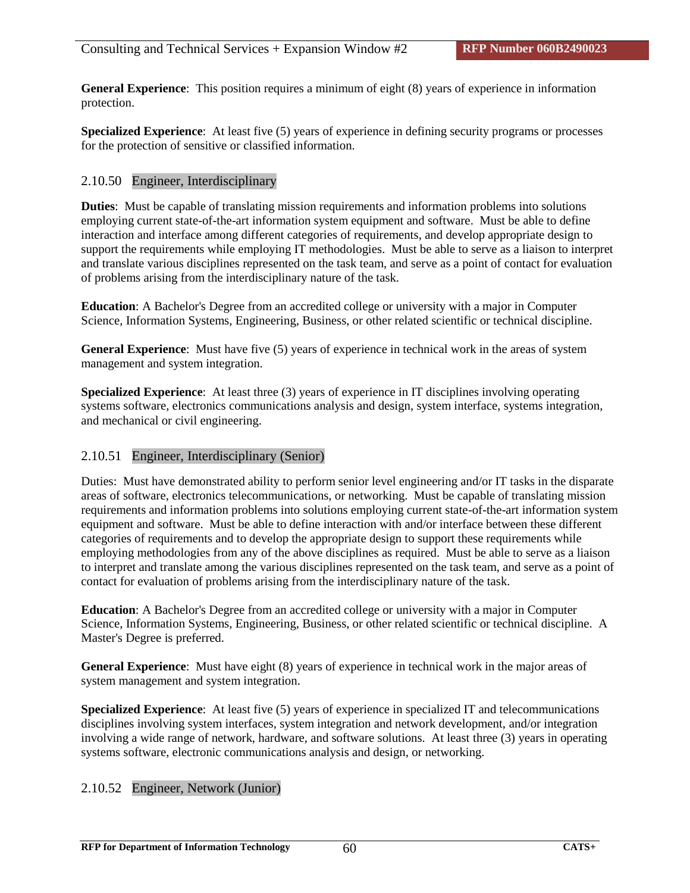**General Experience**: This position requires a minimum of eight (8) years of experience in information protection.

**Specialized Experience**: At least five (5) years of experience in defining security programs or processes for the protection of sensitive or classified information.

# 2.10.50 Engineer, Interdisciplinary

**Duties**: Must be capable of translating mission requirements and information problems into solutions employing current state-of-the-art information system equipment and software. Must be able to define interaction and interface among different categories of requirements, and develop appropriate design to support the requirements while employing IT methodologies. Must be able to serve as a liaison to interpret and translate various disciplines represented on the task team, and serve as a point of contact for evaluation of problems arising from the interdisciplinary nature of the task.

**Education**: A Bachelor's Degree from an accredited college or university with a major in Computer Science, Information Systems, Engineering, Business, or other related scientific or technical discipline.

**General Experience**: Must have five (5) years of experience in technical work in the areas of system management and system integration.

**Specialized Experience**: At least three (3) years of experience in IT disciplines involving operating systems software, electronics communications analysis and design, system interface, systems integration, and mechanical or civil engineering.

# 2.10.51 Engineer, Interdisciplinary (Senior)

Duties: Must have demonstrated ability to perform senior level engineering and/or IT tasks in the disparate areas of software, electronics telecommunications, or networking. Must be capable of translating mission requirements and information problems into solutions employing current state-of-the-art information system equipment and software. Must be able to define interaction with and/or interface between these different categories of requirements and to develop the appropriate design to support these requirements while employing methodologies from any of the above disciplines as required. Must be able to serve as a liaison to interpret and translate among the various disciplines represented on the task team, and serve as a point of contact for evaluation of problems arising from the interdisciplinary nature of the task.

**Education**: A Bachelor's Degree from an accredited college or university with a major in Computer Science, Information Systems, Engineering, Business, or other related scientific or technical discipline. A Master's Degree is preferred.

**General Experience**: Must have eight (8) years of experience in technical work in the major areas of system management and system integration.

**Specialized Experience**: At least five (5) years of experience in specialized IT and telecommunications disciplines involving system interfaces, system integration and network development, and/or integration involving a wide range of network, hardware, and software solutions. At least three (3) years in operating systems software, electronic communications analysis and design, or networking.

# 2.10.52 Engineer, Network (Junior)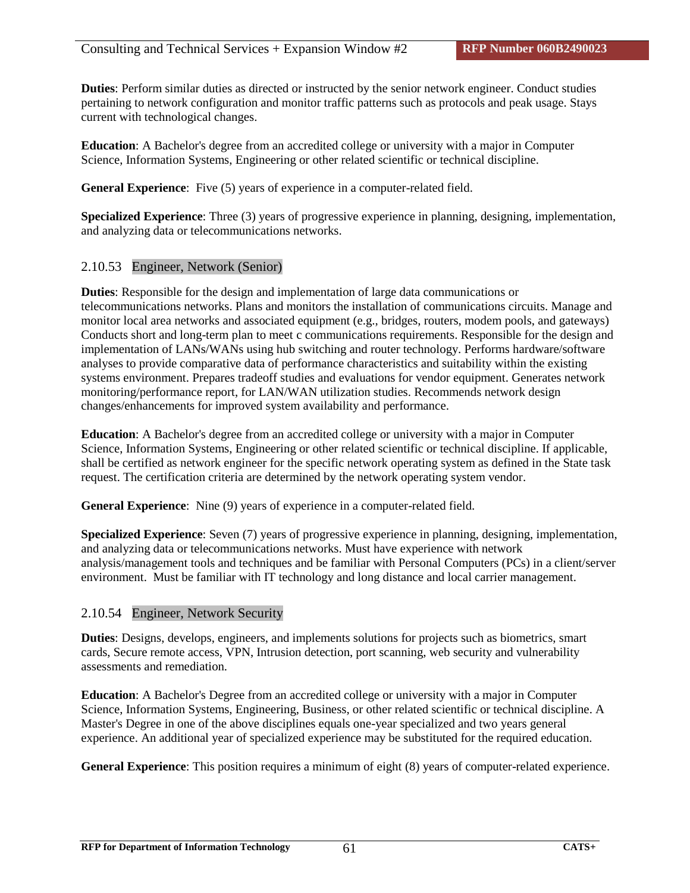**Duties**: Perform similar duties as directed or instructed by the senior network engineer. Conduct studies pertaining to network configuration and monitor traffic patterns such as protocols and peak usage. Stays current with technological changes.

**Education**: A Bachelor's degree from an accredited college or university with a major in Computer Science, Information Systems, Engineering or other related scientific or technical discipline.

**General Experience**: Five (5) years of experience in a computer-related field.

**Specialized Experience**: Three (3) years of progressive experience in planning, designing, implementation, and analyzing data or telecommunications networks.

## 2.10.53 Engineer, Network (Senior)

**Duties**: Responsible for the design and implementation of large data communications or telecommunications networks. Plans and monitors the installation of communications circuits. Manage and monitor local area networks and associated equipment (e.g., bridges, routers, modem pools, and gateways) Conducts short and long-term plan to meet c communications requirements. Responsible for the design and implementation of LANs/WANs using hub switching and router technology. Performs hardware/software analyses to provide comparative data of performance characteristics and suitability within the existing systems environment. Prepares tradeoff studies and evaluations for vendor equipment. Generates network monitoring/performance report, for LAN/WAN utilization studies. Recommends network design changes/enhancements for improved system availability and performance.

**Education**: A Bachelor's degree from an accredited college or university with a major in Computer Science, Information Systems, Engineering or other related scientific or technical discipline. If applicable, shall be certified as network engineer for the specific network operating system as defined in the State task request. The certification criteria are determined by the network operating system vendor.

**General Experience**: Nine (9) years of experience in a computer-related field.

**Specialized Experience**: Seven (7) years of progressive experience in planning, designing, implementation, and analyzing data or telecommunications networks. Must have experience with network analysis/management tools and techniques and be familiar with Personal Computers (PCs) in a client/server environment. Must be familiar with IT technology and long distance and local carrier management.

### 2.10.54 Engineer, Network Security

**Duties**: Designs, develops, engineers, and implements solutions for projects such as biometrics, smart cards, Secure remote access, VPN, Intrusion detection, port scanning, web security and vulnerability assessments and remediation.

**Education**: A Bachelor's Degree from an accredited college or university with a major in Computer Science, Information Systems, Engineering, Business, or other related scientific or technical discipline. A Master's Degree in one of the above disciplines equals one-year specialized and two years general experience. An additional year of specialized experience may be substituted for the required education.

**General Experience**: This position requires a minimum of eight (8) years of computer-related experience.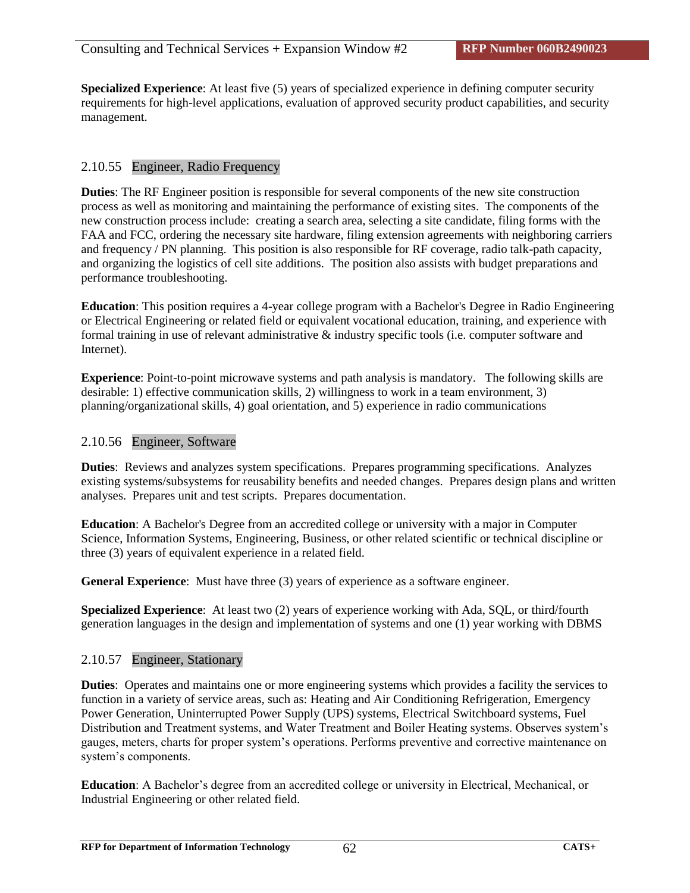**Specialized Experience**: At least five (5) years of specialized experience in defining computer security requirements for high-level applications, evaluation of approved security product capabilities, and security management.

### 2.10.55 Engineer, Radio Frequency

**Duties**: The RF Engineer position is responsible for several components of the new site construction process as well as monitoring and maintaining the performance of existing sites. The components of the new construction process include: creating a search area, selecting a site candidate, filing forms with the FAA and FCC, ordering the necessary site hardware, filing extension agreements with neighboring carriers and frequency / PN planning. This position is also responsible for RF coverage, radio talk-path capacity, and organizing the logistics of cell site additions. The position also assists with budget preparations and performance troubleshooting.

**Education**: This position requires a 4-year college program with a Bachelor's Degree in Radio Engineering or Electrical Engineering or related field or equivalent vocational education, training, and experience with formal training in use of relevant administrative & industry specific tools (i.e. computer software and Internet).

**Experience**: Point-to-point microwave systems and path analysis is mandatory. The following skills are desirable: 1) effective communication skills, 2) willingness to work in a team environment, 3) planning/organizational skills, 4) goal orientation, and 5) experience in radio communications

### 2.10.56 Engineer, Software

**Duties**: Reviews and analyzes system specifications. Prepares programming specifications. Analyzes existing systems/subsystems for reusability benefits and needed changes. Prepares design plans and written analyses. Prepares unit and test scripts. Prepares documentation.

**Education**: A Bachelor's Degree from an accredited college or university with a major in Computer Science, Information Systems, Engineering, Business, or other related scientific or technical discipline or three (3) years of equivalent experience in a related field.

**General Experience**: Must have three (3) years of experience as a software engineer.

**Specialized Experience**: At least two (2) years of experience working with Ada, SQL, or third/fourth generation languages in the design and implementation of systems and one (1) year working with DBMS

### 2.10.57 Engineer, Stationary

**Duties**: Operates and maintains one or more engineering systems which provides a facility the services to function in a variety of service areas, such as: Heating and Air Conditioning Refrigeration, Emergency Power Generation, Uninterrupted Power Supply (UPS) systems, Electrical Switchboard systems, Fuel Distribution and Treatment systems, and Water Treatment and Boiler Heating systems. Observes system's gauges, meters, charts for proper system's operations. Performs preventive and corrective maintenance on system's components.

**Education**: A Bachelor's degree from an accredited college or university in Electrical, Mechanical, or Industrial Engineering or other related field.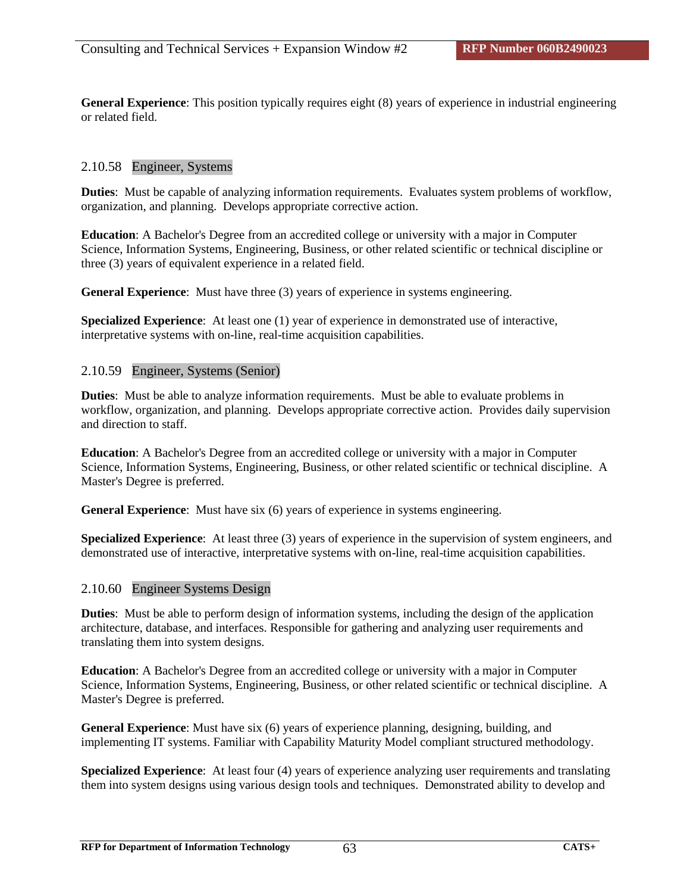**General Experience**: This position typically requires eight (8) years of experience in industrial engineering or related field.

## 2.10.58 Engineer, Systems

**Duties**: Must be capable of analyzing information requirements. Evaluates system problems of workflow, organization, and planning. Develops appropriate corrective action.

**Education**: A Bachelor's Degree from an accredited college or university with a major in Computer Science, Information Systems, Engineering, Business, or other related scientific or technical discipline or three (3) years of equivalent experience in a related field.

**General Experience**: Must have three (3) years of experience in systems engineering.

**Specialized Experience**: At least one (1) year of experience in demonstrated use of interactive, interpretative systems with on-line, real-time acquisition capabilities.

### 2.10.59 Engineer, Systems (Senior)

**Duties**: Must be able to analyze information requirements. Must be able to evaluate problems in workflow, organization, and planning. Develops appropriate corrective action. Provides daily supervision and direction to staff.

**Education**: A Bachelor's Degree from an accredited college or university with a major in Computer Science, Information Systems, Engineering, Business, or other related scientific or technical discipline. A Master's Degree is preferred.

**General Experience**: Must have six (6) years of experience in systems engineering.

**Specialized Experience**: At least three (3) years of experience in the supervision of system engineers, and demonstrated use of interactive, interpretative systems with on-line, real-time acquisition capabilities.

#### 2.10.60 Engineer Systems Design

**Duties**: Must be able to perform design of information systems, including the design of the application architecture, database, and interfaces. Responsible for gathering and analyzing user requirements and translating them into system designs.

**Education**: A Bachelor's Degree from an accredited college or university with a major in Computer Science, Information Systems, Engineering, Business, or other related scientific or technical discipline. A Master's Degree is preferred.

**General Experience**: Must have six (6) years of experience planning, designing, building, and implementing IT systems. Familiar with Capability Maturity Model compliant structured methodology.

**Specialized Experience**: At least four (4) years of experience analyzing user requirements and translating them into system designs using various design tools and techniques. Demonstrated ability to develop and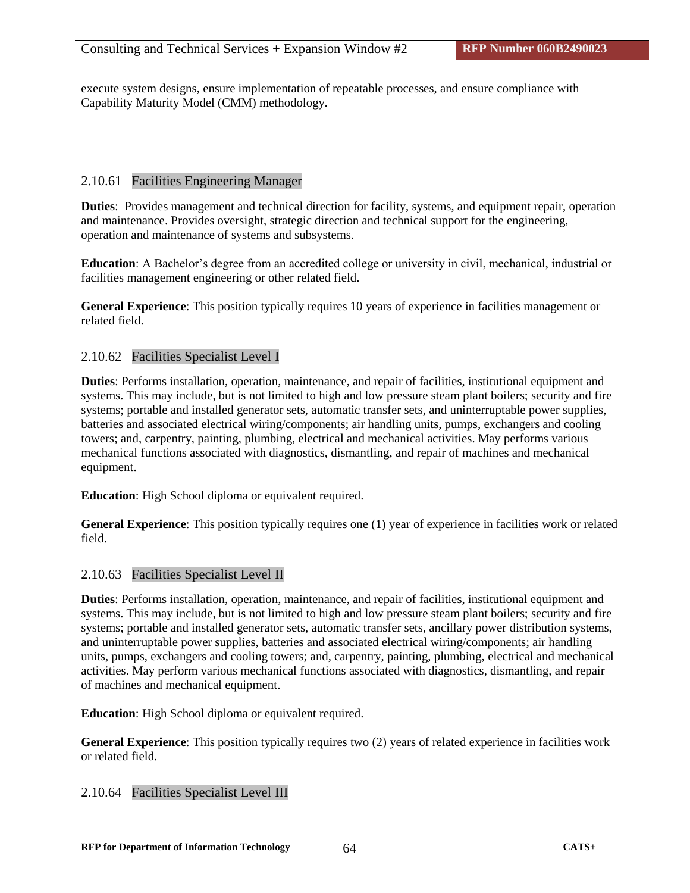execute system designs, ensure implementation of repeatable processes, and ensure compliance with Capability Maturity Model (CMM) methodology.

# 2.10.61 Facilities Engineering Manager

**Duties**: Provides management and technical direction for facility, systems, and equipment repair, operation and maintenance. Provides oversight, strategic direction and technical support for the engineering, operation and maintenance of systems and subsystems.

**Education**: A Bachelor's degree from an accredited college or university in civil, mechanical, industrial or facilities management engineering or other related field.

**General Experience**: This position typically requires 10 years of experience in facilities management or related field.

## 2.10.62 Facilities Specialist Level I

**Duties**: Performs installation, operation, maintenance, and repair of facilities, institutional equipment and systems. This may include, but is not limited to high and low pressure steam plant boilers; security and fire systems; portable and installed generator sets, automatic transfer sets, and uninterruptable power supplies, batteries and associated electrical wiring/components; air handling units, pumps, exchangers and cooling towers; and, carpentry, painting, plumbing, electrical and mechanical activities. May performs various mechanical functions associated with diagnostics, dismantling, and repair of machines and mechanical equipment.

**Education**: High School diploma or equivalent required.

**General Experience**: This position typically requires one (1) year of experience in facilities work or related field.

### 2.10.63 Facilities Specialist Level II

**Duties**: Performs installation, operation, maintenance, and repair of facilities, institutional equipment and systems. This may include, but is not limited to high and low pressure steam plant boilers; security and fire systems; portable and installed generator sets, automatic transfer sets, ancillary power distribution systems, and uninterruptable power supplies, batteries and associated electrical wiring/components; air handling units, pumps, exchangers and cooling towers; and, carpentry, painting, plumbing, electrical and mechanical activities. May perform various mechanical functions associated with diagnostics, dismantling, and repair of machines and mechanical equipment.

**Education**: High School diploma or equivalent required.

**General Experience**: This position typically requires two (2) years of related experience in facilities work or related field.

### 2.10.64 Facilities Specialist Level III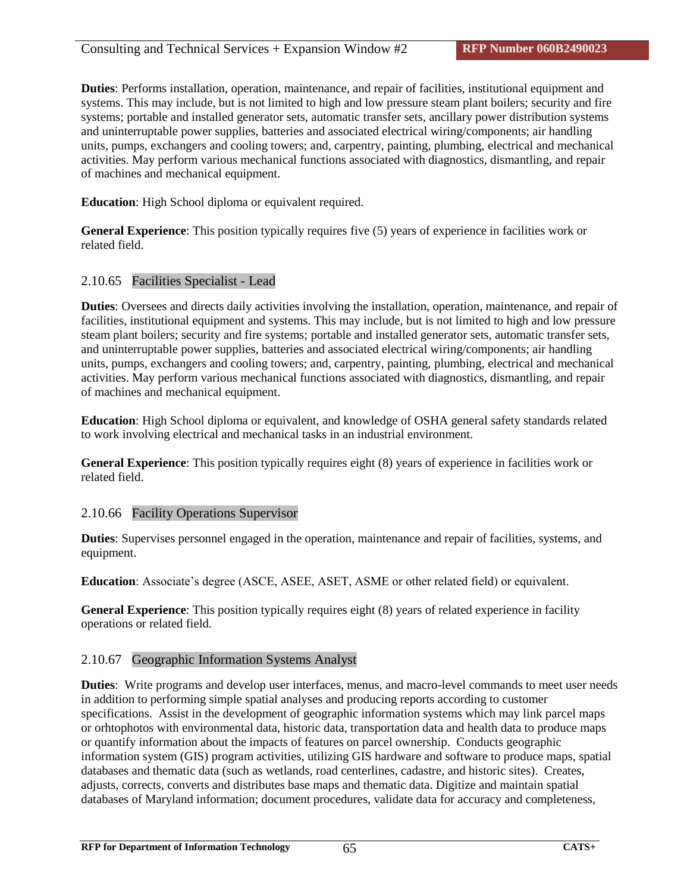**Duties**: Performs installation, operation, maintenance, and repair of facilities, institutional equipment and systems. This may include, but is not limited to high and low pressure steam plant boilers; security and fire systems; portable and installed generator sets, automatic transfer sets, ancillary power distribution systems and uninterruptable power supplies, batteries and associated electrical wiring/components; air handling units, pumps, exchangers and cooling towers; and, carpentry, painting, plumbing, electrical and mechanical activities. May perform various mechanical functions associated with diagnostics, dismantling, and repair of machines and mechanical equipment.

**Education**: High School diploma or equivalent required.

**General Experience**: This position typically requires five (5) years of experience in facilities work or related field.

# 2.10.65 Facilities Specialist - Lead

**Duties**: Oversees and directs daily activities involving the installation, operation, maintenance, and repair of facilities, institutional equipment and systems. This may include, but is not limited to high and low pressure steam plant boilers; security and fire systems; portable and installed generator sets, automatic transfer sets, and uninterruptable power supplies, batteries and associated electrical wiring/components; air handling units, pumps, exchangers and cooling towers; and, carpentry, painting, plumbing, electrical and mechanical activities. May perform various mechanical functions associated with diagnostics, dismantling, and repair of machines and mechanical equipment.

**Education**: High School diploma or equivalent, and knowledge of OSHA general safety standards related to work involving electrical and mechanical tasks in an industrial environment.

**General Experience**: This position typically requires eight (8) years of experience in facilities work or related field.

# 2.10.66 Facility Operations Supervisor

**Duties**: Supervises personnel engaged in the operation, maintenance and repair of facilities, systems, and equipment.

**Education**: Associate's degree (ASCE, ASEE, ASET, ASME or other related field) or equivalent.

**General Experience**: This position typically requires eight (8) years of related experience in facility operations or related field.

# 2.10.67 Geographic Information Systems Analyst

**Duties**: Write programs and develop user interfaces, menus, and macro-level commands to meet user needs in addition to performing simple spatial analyses and producing reports according to customer specifications. Assist in the development of geographic information systems which may link parcel maps or orhtophotos with environmental data, historic data, transportation data and health data to produce maps or quantify information about the impacts of features on parcel ownership. Conducts geographic information system (GIS) program activities, utilizing GIS hardware and software to produce maps, spatial databases and thematic data (such as wetlands, road centerlines, cadastre, and historic sites). Creates, adjusts, corrects, converts and distributes base maps and thematic data. Digitize and maintain spatial databases of Maryland information; document procedures, validate data for accuracy and completeness,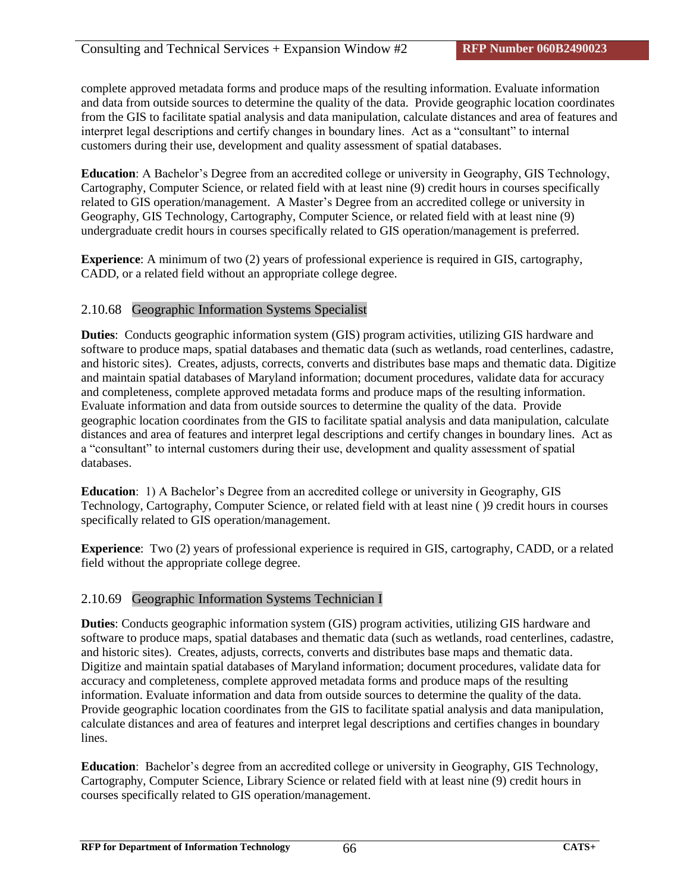complete approved metadata forms and produce maps of the resulting information. Evaluate information and data from outside sources to determine the quality of the data. Provide geographic location coordinates from the GIS to facilitate spatial analysis and data manipulation, calculate distances and area of features and interpret legal descriptions and certify changes in boundary lines. Act as a "consultant" to internal customers during their use, development and quality assessment of spatial databases.

**Education**: A Bachelor's Degree from an accredited college or university in Geography, GIS Technology, Cartography, Computer Science, or related field with at least nine (9) credit hours in courses specifically related to GIS operation/management. A Master's Degree from an accredited college or university in Geography, GIS Technology, Cartography, Computer Science, or related field with at least nine (9) undergraduate credit hours in courses specifically related to GIS operation/management is preferred.

**Experience**: A minimum of two (2) years of professional experience is required in GIS, cartography, CADD, or a related field without an appropriate college degree.

# 2.10.68 Geographic Information Systems Specialist

**Duties**: Conducts geographic information system (GIS) program activities, utilizing GIS hardware and software to produce maps, spatial databases and thematic data (such as wetlands, road centerlines, cadastre, and historic sites). Creates, adjusts, corrects, converts and distributes base maps and thematic data. Digitize and maintain spatial databases of Maryland information; document procedures, validate data for accuracy and completeness, complete approved metadata forms and produce maps of the resulting information. Evaluate information and data from outside sources to determine the quality of the data. Provide geographic location coordinates from the GIS to facilitate spatial analysis and data manipulation, calculate distances and area of features and interpret legal descriptions and certify changes in boundary lines. Act as a "consultant" to internal customers during their use, development and quality assessment of spatial databases.

**Education**: 1) A Bachelor's Degree from an accredited college or university in Geography, GIS Technology, Cartography, Computer Science, or related field with at least nine ( )9 credit hours in courses specifically related to GIS operation/management.

**Experience**: Two (2) years of professional experience is required in GIS, cartography, CADD, or a related field without the appropriate college degree.

# 2.10.69 Geographic Information Systems Technician I

**Duties**: Conducts geographic information system (GIS) program activities, utilizing GIS hardware and software to produce maps, spatial databases and thematic data (such as wetlands, road centerlines, cadastre, and historic sites). Creates, adjusts, corrects, converts and distributes base maps and thematic data. Digitize and maintain spatial databases of Maryland information; document procedures, validate data for accuracy and completeness, complete approved metadata forms and produce maps of the resulting information. Evaluate information and data from outside sources to determine the quality of the data. Provide geographic location coordinates from the GIS to facilitate spatial analysis and data manipulation, calculate distances and area of features and interpret legal descriptions and certifies changes in boundary lines.

**Education**: Bachelor's degree from an accredited college or university in Geography, GIS Technology, Cartography, Computer Science, Library Science or related field with at least nine (9) credit hours in courses specifically related to GIS operation/management.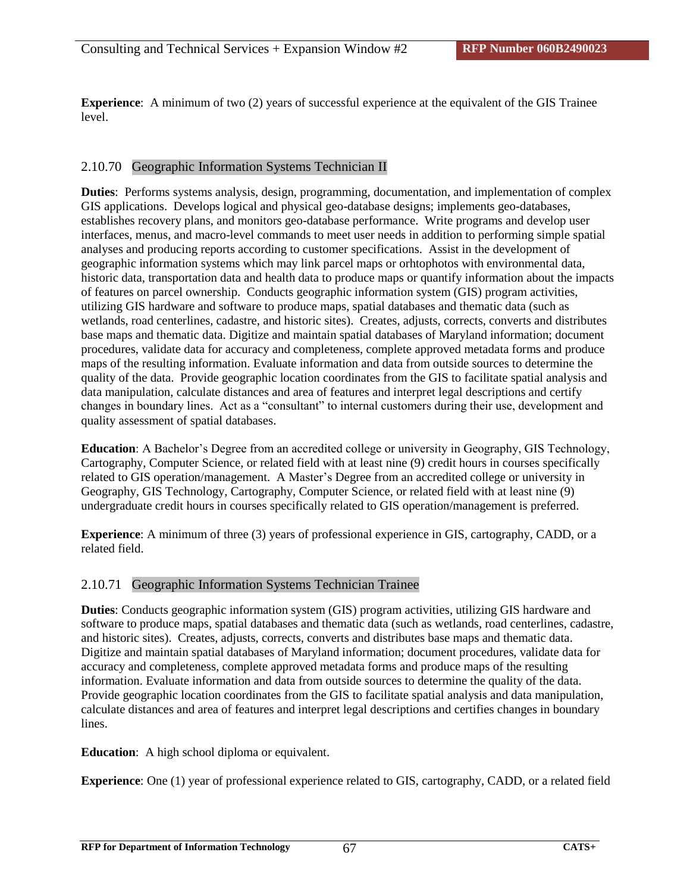**Experience**: A minimum of two (2) years of successful experience at the equivalent of the GIS Trainee level.

## 2.10.70 Geographic Information Systems Technician II

**Duties**: Performs systems analysis, design, programming, documentation, and implementation of complex GIS applications. Develops logical and physical geo-database designs; implements geo-databases, establishes recovery plans, and monitors geo-database performance. Write programs and develop user interfaces, menus, and macro-level commands to meet user needs in addition to performing simple spatial analyses and producing reports according to customer specifications. Assist in the development of geographic information systems which may link parcel maps or orhtophotos with environmental data, historic data, transportation data and health data to produce maps or quantify information about the impacts of features on parcel ownership. Conducts geographic information system (GIS) program activities, utilizing GIS hardware and software to produce maps, spatial databases and thematic data (such as wetlands, road centerlines, cadastre, and historic sites). Creates, adjusts, corrects, converts and distributes base maps and thematic data. Digitize and maintain spatial databases of Maryland information; document procedures, validate data for accuracy and completeness, complete approved metadata forms and produce maps of the resulting information. Evaluate information and data from outside sources to determine the quality of the data. Provide geographic location coordinates from the GIS to facilitate spatial analysis and data manipulation, calculate distances and area of features and interpret legal descriptions and certify changes in boundary lines. Act as a "consultant" to internal customers during their use, development and quality assessment of spatial databases.

**Education**: A Bachelor's Degree from an accredited college or university in Geography, GIS Technology, Cartography, Computer Science, or related field with at least nine (9) credit hours in courses specifically related to GIS operation/management. A Master's Degree from an accredited college or university in Geography, GIS Technology, Cartography, Computer Science, or related field with at least nine (9) undergraduate credit hours in courses specifically related to GIS operation/management is preferred.

**Experience**: A minimum of three (3) years of professional experience in GIS, cartography, CADD, or a related field.

## 2.10.71 Geographic Information Systems Technician Trainee

**Duties**: Conducts geographic information system (GIS) program activities, utilizing GIS hardware and software to produce maps, spatial databases and thematic data (such as wetlands, road centerlines, cadastre, and historic sites). Creates, adjusts, corrects, converts and distributes base maps and thematic data. Digitize and maintain spatial databases of Maryland information; document procedures, validate data for accuracy and completeness, complete approved metadata forms and produce maps of the resulting information. Evaluate information and data from outside sources to determine the quality of the data. Provide geographic location coordinates from the GIS to facilitate spatial analysis and data manipulation, calculate distances and area of features and interpret legal descriptions and certifies changes in boundary lines.

**Education**: A high school diploma or equivalent.

**Experience**: One (1) year of professional experience related to GIS, cartography, CADD, or a related field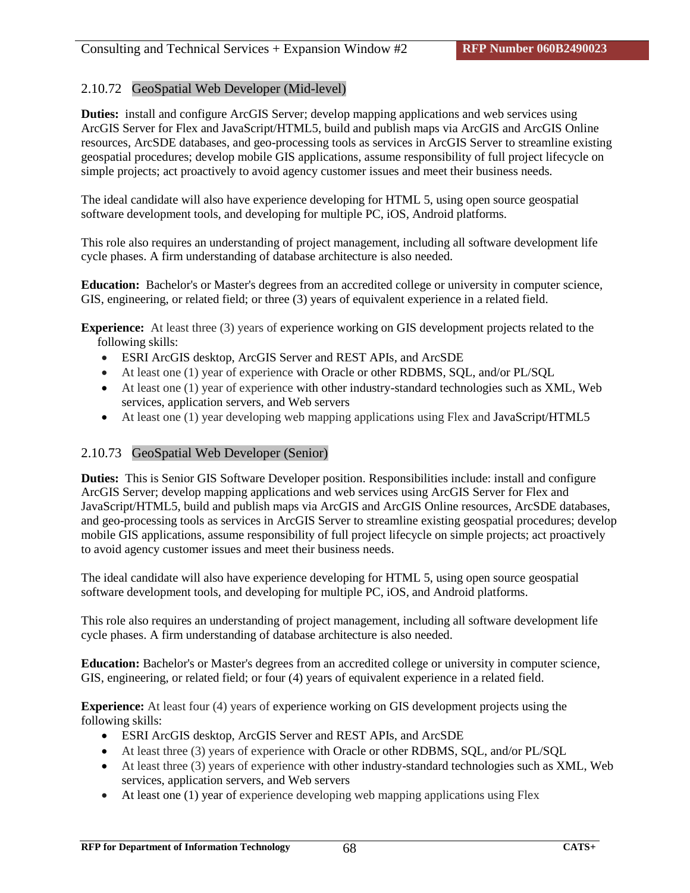# 2.10.72 GeoSpatial Web Developer (Mid-level)

**Duties:** install and configure ArcGIS Server; develop mapping applications and web services using ArcGIS Server for Flex and JavaScript/HTML5, build and publish maps via ArcGIS and ArcGIS Online resources, ArcSDE databases, and geo-processing tools as services in ArcGIS Server to streamline existing geospatial procedures; develop mobile GIS applications, assume responsibility of full project lifecycle on simple projects; act proactively to avoid agency customer issues and meet their business needs.

The ideal candidate will also have experience developing for HTML 5, using open source geospatial software development tools, and developing for multiple PC, iOS, Android platforms.

This role also requires an understanding of project management, including all software development life cycle phases. A firm understanding of database architecture is also needed.

**Education:** Bachelor's or Master's degrees from an accredited college or university in computer science, GIS, engineering, or related field; or three (3) years of equivalent experience in a related field.

**Experience:** At least three (3) years of experience working on GIS development projects related to the following skills:

- ESRI ArcGIS desktop, ArcGIS Server and REST APIs, and ArcSDE
- At least one (1) year of experience with Oracle or other RDBMS, SQL, and/or PL/SQL
- At least one (1) year of experience with other industry-standard technologies such as XML, Web services, application servers, and Web servers
- At least one (1) year developing web mapping applications using Flex and JavaScript/HTML5

## 2.10.73 GeoSpatial Web Developer (Senior)

**Duties:** This is Senior GIS Software Developer position. Responsibilities include: install and configure ArcGIS Server; develop mapping applications and web services using ArcGIS Server for Flex and JavaScript/HTML5, build and publish maps via ArcGIS and ArcGIS Online resources, ArcSDE databases, and geo-processing tools as services in ArcGIS Server to streamline existing geospatial procedures; develop mobile GIS applications, assume responsibility of full project lifecycle on simple projects; act proactively to avoid agency customer issues and meet their business needs.

The ideal candidate will also have experience developing for HTML 5, using open source geospatial software development tools, and developing for multiple PC, iOS, and Android platforms.

This role also requires an understanding of project management, including all software development life cycle phases. A firm understanding of database architecture is also needed.

**Education:** Bachelor's or Master's degrees from an accredited college or university in computer science, GIS, engineering, or related field; or four (4) years of equivalent experience in a related field.

**Experience:** At least four (4) years of experience working on GIS development projects using the following skills:

- ESRI ArcGIS desktop, ArcGIS Server and REST APIs, and ArcSDE
- At least three (3) years of experience with Oracle or other RDBMS, SQL, and/or PL/SQL
- At least three (3) years of experience with other industry-standard technologies such as XML, Web services, application servers, and Web servers
- At least one (1) year of experience developing web mapping applications using Flex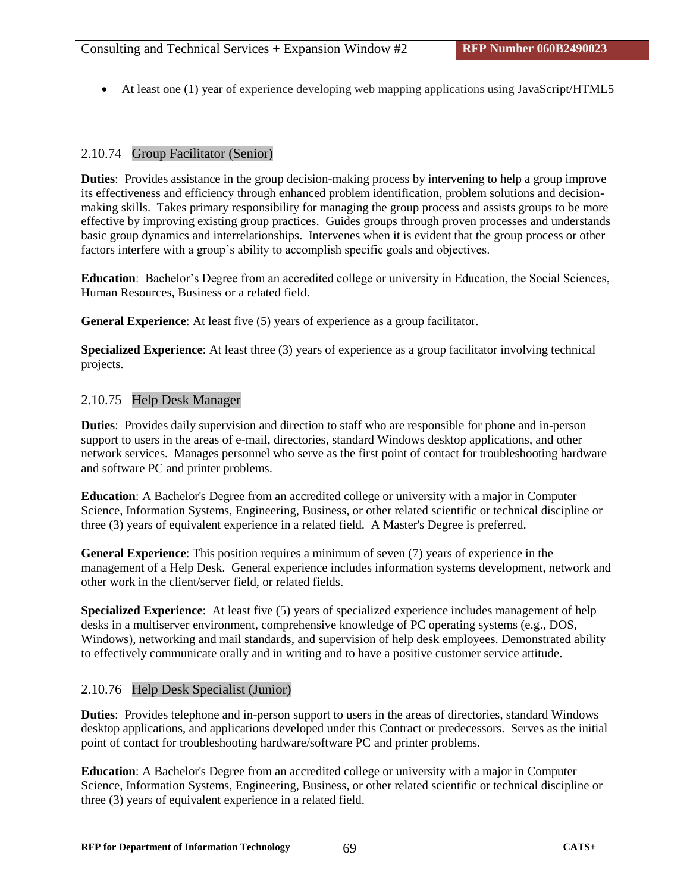At least one (1) year of experience developing web mapping applications using JavaScript/HTML5

## 2.10.74 Group Facilitator (Senior)

**Duties**: Provides assistance in the group decision-making process by intervening to help a group improve its effectiveness and efficiency through enhanced problem identification, problem solutions and decisionmaking skills. Takes primary responsibility for managing the group process and assists groups to be more effective by improving existing group practices. Guides groups through proven processes and understands basic group dynamics and interrelationships. Intervenes when it is evident that the group process or other factors interfere with a group's ability to accomplish specific goals and objectives.

**Education**: Bachelor's Degree from an accredited college or university in Education, the Social Sciences, Human Resources, Business or a related field.

**General Experience**: At least five (5) years of experience as a group facilitator.

**Specialized Experience**: At least three (3) years of experience as a group facilitator involving technical projects.

## 2.10.75 Help Desk Manager

**Duties**: Provides daily supervision and direction to staff who are responsible for phone and in-person support to users in the areas of e-mail, directories, standard Windows desktop applications, and other network services. Manages personnel who serve as the first point of contact for troubleshooting hardware and software PC and printer problems.

**Education**: A Bachelor's Degree from an accredited college or university with a major in Computer Science, Information Systems, Engineering, Business, or other related scientific or technical discipline or three (3) years of equivalent experience in a related field. A Master's Degree is preferred.

**General Experience**: This position requires a minimum of seven (7) years of experience in the management of a Help Desk. General experience includes information systems development, network and other work in the client/server field, or related fields.

**Specialized Experience**: At least five (5) years of specialized experience includes management of help desks in a multiserver environment, comprehensive knowledge of PC operating systems (e.g., DOS, Windows), networking and mail standards, and supervision of help desk employees. Demonstrated ability to effectively communicate orally and in writing and to have a positive customer service attitude.

## 2.10.76 Help Desk Specialist (Junior)

**Duties**: Provides telephone and in-person support to users in the areas of directories, standard Windows desktop applications, and applications developed under this Contract or predecessors. Serves as the initial point of contact for troubleshooting hardware/software PC and printer problems.

**Education**: A Bachelor's Degree from an accredited college or university with a major in Computer Science, Information Systems, Engineering, Business, or other related scientific or technical discipline or three (3) years of equivalent experience in a related field.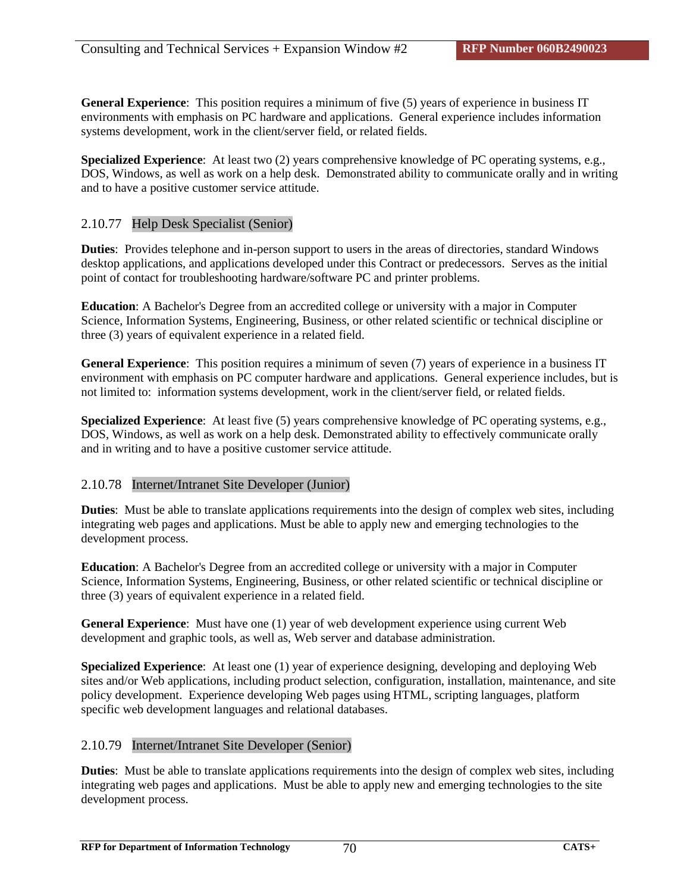**General Experience**: This position requires a minimum of five (5) years of experience in business IT environments with emphasis on PC hardware and applications. General experience includes information systems development, work in the client/server field, or related fields.

**Specialized Experience**: At least two (2) years comprehensive knowledge of PC operating systems, e.g., DOS, Windows, as well as work on a help desk. Demonstrated ability to communicate orally and in writing and to have a positive customer service attitude.

## 2.10.77 Help Desk Specialist (Senior)

**Duties**: Provides telephone and in-person support to users in the areas of directories, standard Windows desktop applications, and applications developed under this Contract or predecessors. Serves as the initial point of contact for troubleshooting hardware/software PC and printer problems.

**Education**: A Bachelor's Degree from an accredited college or university with a major in Computer Science, Information Systems, Engineering, Business, or other related scientific or technical discipline or three (3) years of equivalent experience in a related field.

**General Experience**: This position requires a minimum of seven (7) years of experience in a business IT environment with emphasis on PC computer hardware and applications. General experience includes, but is not limited to: information systems development, work in the client/server field, or related fields.

**Specialized Experience**: At least five (5) years comprehensive knowledge of PC operating systems, e.g., DOS, Windows, as well as work on a help desk. Demonstrated ability to effectively communicate orally and in writing and to have a positive customer service attitude.

## 2.10.78 Internet/Intranet Site Developer (Junior)

**Duties**: Must be able to translate applications requirements into the design of complex web sites, including integrating web pages and applications. Must be able to apply new and emerging technologies to the development process.

**Education**: A Bachelor's Degree from an accredited college or university with a major in Computer Science, Information Systems, Engineering, Business, or other related scientific or technical discipline or three (3) years of equivalent experience in a related field.

**General Experience**: Must have one (1) year of web development experience using current Web development and graphic tools, as well as, Web server and database administration.

**Specialized Experience**: At least one (1) year of experience designing, developing and deploying Web sites and/or Web applications, including product selection, configuration, installation, maintenance, and site policy development. Experience developing Web pages using HTML, scripting languages, platform specific web development languages and relational databases.

## 2.10.79 Internet/Intranet Site Developer (Senior)

**Duties**: Must be able to translate applications requirements into the design of complex web sites, including integrating web pages and applications. Must be able to apply new and emerging technologies to the site development process.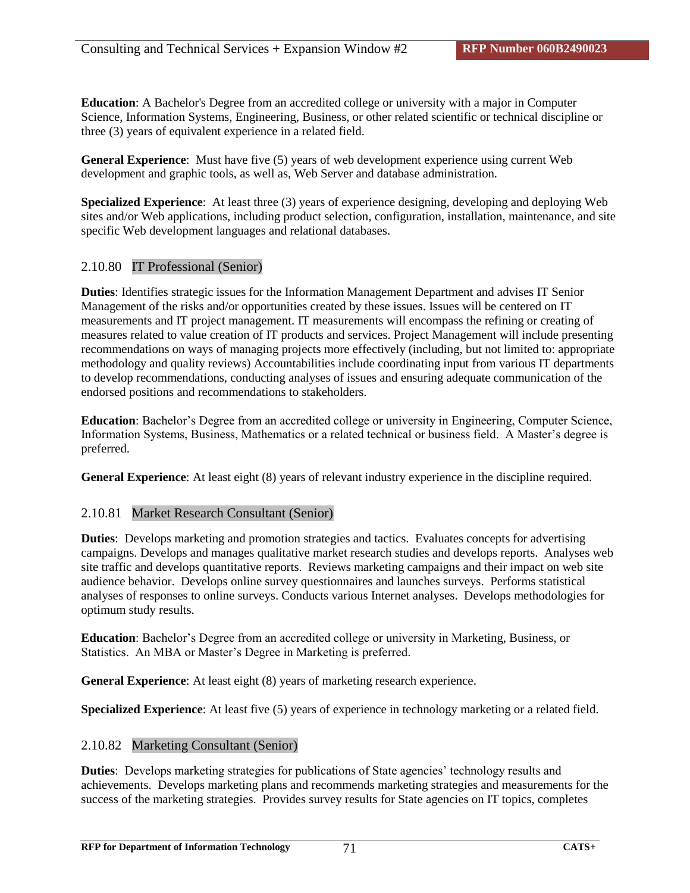**Education**: A Bachelor's Degree from an accredited college or university with a major in Computer Science, Information Systems, Engineering, Business, or other related scientific or technical discipline or three (3) years of equivalent experience in a related field.

**General Experience**: Must have five (5) years of web development experience using current Web development and graphic tools, as well as, Web Server and database administration.

**Specialized Experience**: At least three (3) years of experience designing, developing and deploying Web sites and/or Web applications, including product selection, configuration, installation, maintenance, and site specific Web development languages and relational databases.

## 2.10.80 IT Professional (Senior)

**Duties**: Identifies strategic issues for the Information Management Department and advises IT Senior Management of the risks and/or opportunities created by these issues. Issues will be centered on IT measurements and IT project management. IT measurements will encompass the refining or creating of measures related to value creation of IT products and services. Project Management will include presenting recommendations on ways of managing projects more effectively (including, but not limited to: appropriate methodology and quality reviews) Accountabilities include coordinating input from various IT departments to develop recommendations, conducting analyses of issues and ensuring adequate communication of the endorsed positions and recommendations to stakeholders.

**Education**: Bachelor's Degree from an accredited college or university in Engineering, Computer Science, Information Systems, Business, Mathematics or a related technical or business field. A Master's degree is preferred.

**General Experience**: At least eight (8) years of relevant industry experience in the discipline required.

## 2.10.81 Market Research Consultant (Senior)

**Duties**: Develops marketing and promotion strategies and tactics. Evaluates concepts for advertising campaigns. Develops and manages qualitative market research studies and develops reports. Analyses web site traffic and develops quantitative reports. Reviews marketing campaigns and their impact on web site audience behavior. Develops online survey questionnaires and launches surveys. Performs statistical analyses of responses to online surveys. Conducts various Internet analyses. Develops methodologies for optimum study results.

**Education**: Bachelor's Degree from an accredited college or university in Marketing, Business, or Statistics. An MBA or Master's Degree in Marketing is preferred.

**General Experience**: At least eight (8) years of marketing research experience.

**Specialized Experience**: At least five (5) years of experience in technology marketing or a related field.

## 2.10.82 Marketing Consultant (Senior)

**Duties**: Develops marketing strategies for publications of State agencies' technology results and achievements. Develops marketing plans and recommends marketing strategies and measurements for the success of the marketing strategies. Provides survey results for State agencies on IT topics, completes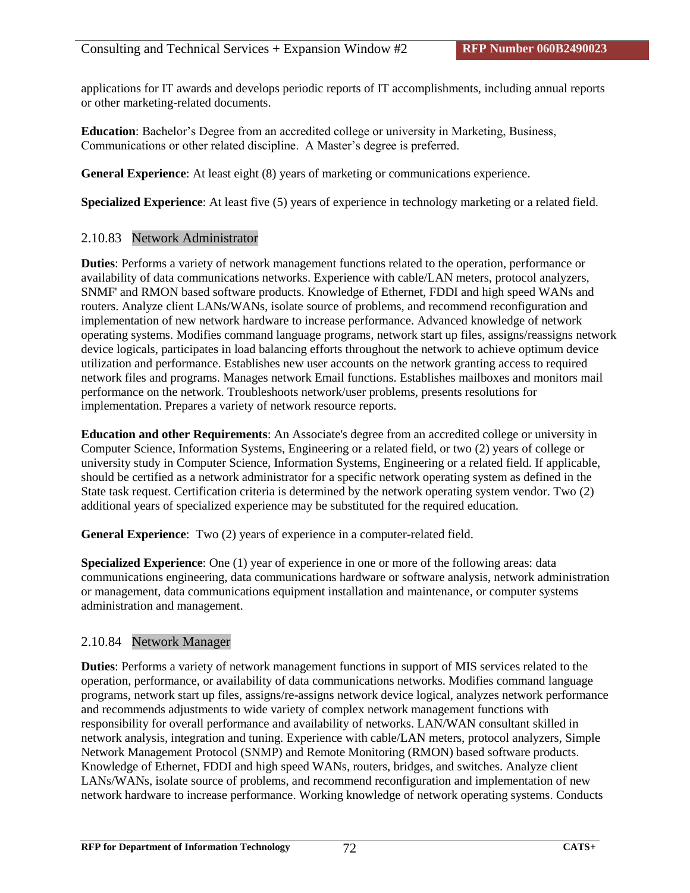applications for IT awards and develops periodic reports of IT accomplishments, including annual reports or other marketing-related documents.

**Education**: Bachelor's Degree from an accredited college or university in Marketing, Business, Communications or other related discipline. A Master's degree is preferred.

**General Experience**: At least eight (8) years of marketing or communications experience.

**Specialized Experience**: At least five (5) years of experience in technology marketing or a related field.

## 2.10.83 Network Administrator

**Duties**: Performs a variety of network management functions related to the operation, performance or availability of data communications networks. Experience with cable/LAN meters, protocol analyzers, SNMF' and RMON based software products. Knowledge of Ethernet, FDDI and high speed WANs and routers. Analyze client LANs/WANs, isolate source of problems, and recommend reconfiguration and implementation of new network hardware to increase performance. Advanced knowledge of network operating systems. Modifies command language programs, network start up files, assigns/reassigns network device logicals, participates in load balancing efforts throughout the network to achieve optimum device utilization and performance. Establishes new user accounts on the network granting access to required network files and programs. Manages network Email functions. Establishes mailboxes and monitors mail performance on the network. Troubleshoots network/user problems, presents resolutions for implementation. Prepares a variety of network resource reports.

**Education and other Requirements**: An Associate's degree from an accredited college or university in Computer Science, Information Systems, Engineering or a related field, or two (2) years of college or university study in Computer Science, Information Systems, Engineering or a related field. If applicable, should be certified as a network administrator for a specific network operating system as defined in the State task request. Certification criteria is determined by the network operating system vendor. Two (2) additional years of specialized experience may be substituted for the required education.

**General Experience**: Two (2) years of experience in a computer-related field.

**Specialized Experience**: One (1) year of experience in one or more of the following areas: data communications engineering, data communications hardware or software analysis, network administration or management, data communications equipment installation and maintenance, or computer systems administration and management.

# 2.10.84 Network Manager

**Duties**: Performs a variety of network management functions in support of MIS services related to the operation, performance, or availability of data communications networks. Modifies command language programs, network start up files, assigns/re-assigns network device logical, analyzes network performance and recommends adjustments to wide variety of complex network management functions with responsibility for overall performance and availability of networks. LAN/WAN consultant skilled in network analysis, integration and tuning. Experience with cable/LAN meters, protocol analyzers, Simple Network Management Protocol (SNMP) and Remote Monitoring (RMON) based software products. Knowledge of Ethernet, FDDI and high speed WANs, routers, bridges, and switches. Analyze client LANs/WANs, isolate source of problems, and recommend reconfiguration and implementation of new network hardware to increase performance. Working knowledge of network operating systems. Conducts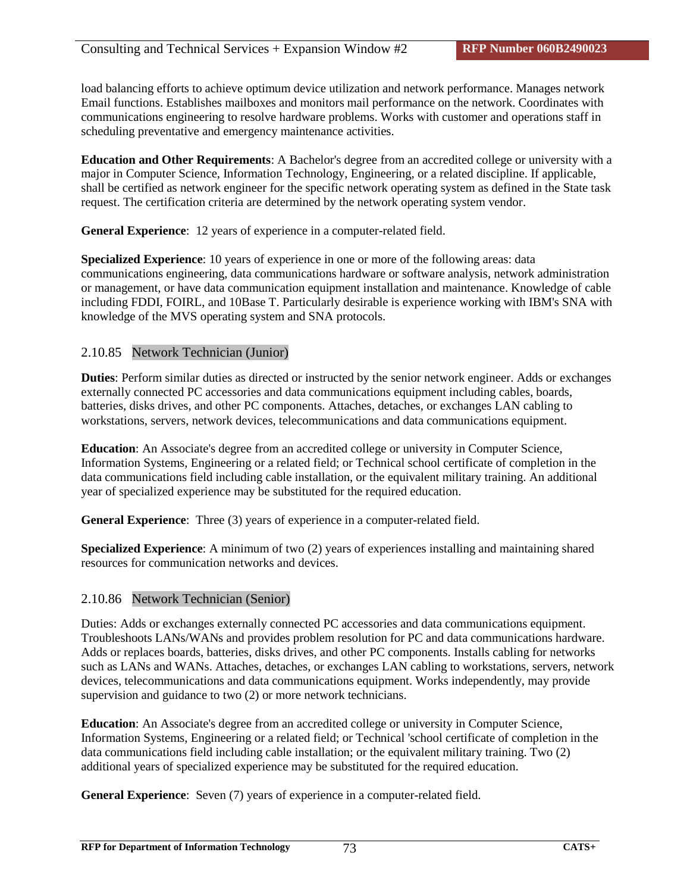load balancing efforts to achieve optimum device utilization and network performance. Manages network Email functions. Establishes mailboxes and monitors mail performance on the network. Coordinates with communications engineering to resolve hardware problems. Works with customer and operations staff in scheduling preventative and emergency maintenance activities.

**Education and Other Requirements**: A Bachelor's degree from an accredited college or university with a major in Computer Science, Information Technology, Engineering, or a related discipline. If applicable, shall be certified as network engineer for the specific network operating system as defined in the State task request. The certification criteria are determined by the network operating system vendor.

**General Experience**: 12 years of experience in a computer-related field.

**Specialized Experience**: 10 years of experience in one or more of the following areas: data communications engineering, data communications hardware or software analysis, network administration or management, or have data communication equipment installation and maintenance. Knowledge of cable including FDDI, FOIRL, and 10Base T. Particularly desirable is experience working with IBM's SNA with knowledge of the MVS operating system and SNA protocols.

# 2.10.85 Network Technician (Junior)

**Duties**: Perform similar duties as directed or instructed by the senior network engineer. Adds or exchanges externally connected PC accessories and data communications equipment including cables, boards, batteries, disks drives, and other PC components. Attaches, detaches, or exchanges LAN cabling to workstations, servers, network devices, telecommunications and data communications equipment.

**Education**: An Associate's degree from an accredited college or university in Computer Science, Information Systems, Engineering or a related field; or Technical school certificate of completion in the data communications field including cable installation, or the equivalent military training. An additional year of specialized experience may be substituted for the required education.

**General Experience**: Three (3) years of experience in a computer-related field.

**Specialized Experience**: A minimum of two (2) years of experiences installing and maintaining shared resources for communication networks and devices.

# 2.10.86 Network Technician (Senior)

Duties: Adds or exchanges externally connected PC accessories and data communications equipment. Troubleshoots LANs/WANs and provides problem resolution for PC and data communications hardware. Adds or replaces boards, batteries, disks drives, and other PC components. Installs cabling for networks such as LANs and WANs. Attaches, detaches, or exchanges LAN cabling to workstations, servers, network devices, telecommunications and data communications equipment. Works independently, may provide supervision and guidance to two  $(2)$  or more network technicians.

**Education**: An Associate's degree from an accredited college or university in Computer Science, Information Systems, Engineering or a related field; or Technical 'school certificate of completion in the data communications field including cable installation; or the equivalent military training. Two (2) additional years of specialized experience may be substituted for the required education.

**General Experience**: Seven (7) years of experience in a computer-related field.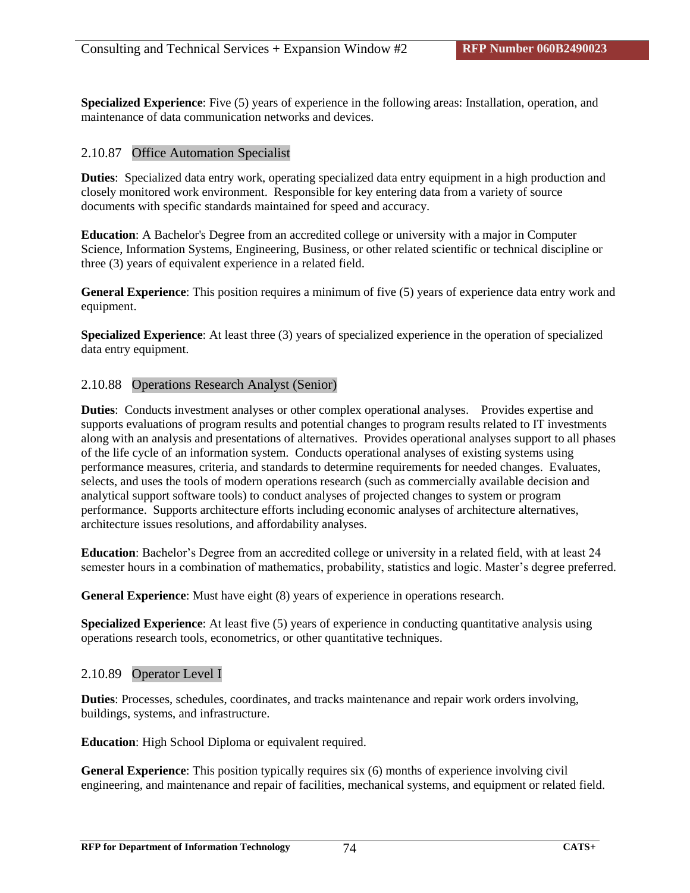**Specialized Experience**: Five (5) years of experience in the following areas: Installation, operation, and maintenance of data communication networks and devices.

## 2.10.87 Office Automation Specialist

**Duties**: Specialized data entry work, operating specialized data entry equipment in a high production and closely monitored work environment. Responsible for key entering data from a variety of source documents with specific standards maintained for speed and accuracy.

**Education**: A Bachelor's Degree from an accredited college or university with a major in Computer Science, Information Systems, Engineering, Business, or other related scientific or technical discipline or three (3) years of equivalent experience in a related field.

**General Experience**: This position requires a minimum of five (5) years of experience data entry work and equipment.

**Specialized Experience**: At least three (3) years of specialized experience in the operation of specialized data entry equipment.

## 2.10.88 Operations Research Analyst (Senior)

**Duties**: Conducts investment analyses or other complex operational analyses. Provides expertise and supports evaluations of program results and potential changes to program results related to IT investments along with an analysis and presentations of alternatives. Provides operational analyses support to all phases of the life cycle of an information system. Conducts operational analyses of existing systems using performance measures, criteria, and standards to determine requirements for needed changes. Evaluates, selects, and uses the tools of modern operations research (such as commercially available decision and analytical support software tools) to conduct analyses of projected changes to system or program performance. Supports architecture efforts including economic analyses of architecture alternatives, architecture issues resolutions, and affordability analyses.

**Education**: Bachelor's Degree from an accredited college or university in a related field, with at least 24 semester hours in a combination of mathematics, probability, statistics and logic. Master's degree preferred.

**General Experience**: Must have eight (8) years of experience in operations research.

**Specialized Experience**: At least five (5) years of experience in conducting quantitative analysis using operations research tools, econometrics, or other quantitative techniques.

## 2.10.89 Operator Level I

**Duties**: Processes, schedules, coordinates, and tracks maintenance and repair work orders involving, buildings, systems, and infrastructure.

**Education**: High School Diploma or equivalent required.

**General Experience**: This position typically requires six (6) months of experience involving civil engineering, and maintenance and repair of facilities, mechanical systems, and equipment or related field.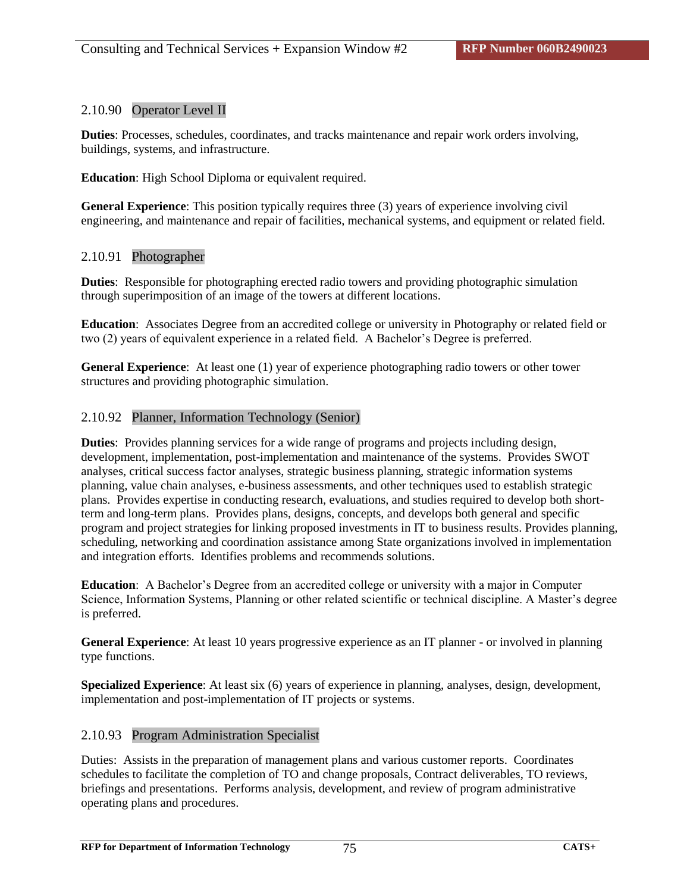## 2.10.90 Operator Level II

**Duties**: Processes, schedules, coordinates, and tracks maintenance and repair work orders involving, buildings, systems, and infrastructure.

**Education**: High School Diploma or equivalent required.

**General Experience**: This position typically requires three (3) years of experience involving civil engineering, and maintenance and repair of facilities, mechanical systems, and equipment or related field.

## 2.10.91 Photographer

**Duties**: Responsible for photographing erected radio towers and providing photographic simulation through superimposition of an image of the towers at different locations.

**Education**: Associates Degree from an accredited college or university in Photography or related field or two (2) years of equivalent experience in a related field. A Bachelor's Degree is preferred.

**General Experience**: At least one (1) year of experience photographing radio towers or other tower structures and providing photographic simulation.

#### 2.10.92 Planner, Information Technology (Senior)

**Duties**: Provides planning services for a wide range of programs and projects including design, development, implementation, post-implementation and maintenance of the systems. Provides SWOT analyses, critical success factor analyses, strategic business planning, strategic information systems planning, value chain analyses, e-business assessments, and other techniques used to establish strategic plans. Provides expertise in conducting research, evaluations, and studies required to develop both shortterm and long-term plans. Provides plans, designs, concepts, and develops both general and specific program and project strategies for linking proposed investments in IT to business results. Provides planning, scheduling, networking and coordination assistance among State organizations involved in implementation and integration efforts. Identifies problems and recommends solutions.

**Education**: A Bachelor's Degree from an accredited college or university with a major in Computer Science, Information Systems, Planning or other related scientific or technical discipline. A Master's degree is preferred.

**General Experience**: At least 10 years progressive experience as an IT planner - or involved in planning type functions.

**Specialized Experience**: At least six (6) years of experience in planning, analyses, design, development, implementation and post-implementation of IT projects or systems.

## 2.10.93 Program Administration Specialist

Duties: Assists in the preparation of management plans and various customer reports. Coordinates schedules to facilitate the completion of TO and change proposals, Contract deliverables, TO reviews, briefings and presentations. Performs analysis, development, and review of program administrative operating plans and procedures.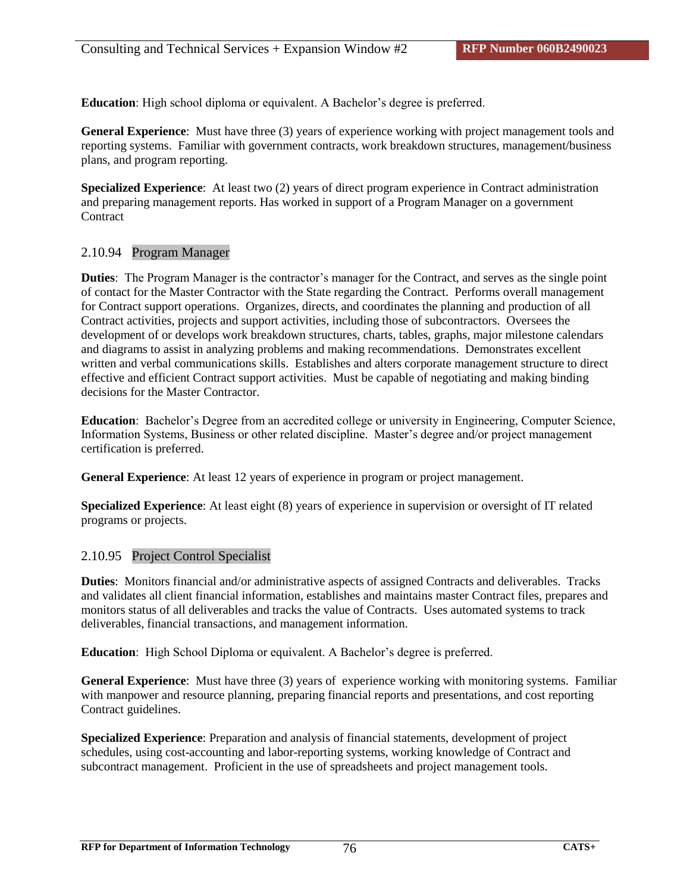**Education**: High school diploma or equivalent. A Bachelor's degree is preferred.

**General Experience**: Must have three (3) years of experience working with project management tools and reporting systems. Familiar with government contracts, work breakdown structures, management/business plans, and program reporting.

**Specialized Experience**: At least two (2) years of direct program experience in Contract administration and preparing management reports. Has worked in support of a Program Manager on a government **Contract** 

# 2.10.94 Program Manager

**Duties**: The Program Manager is the contractor's manager for the Contract, and serves as the single point of contact for the Master Contractor with the State regarding the Contract. Performs overall management for Contract support operations. Organizes, directs, and coordinates the planning and production of all Contract activities, projects and support activities, including those of subcontractors. Oversees the development of or develops work breakdown structures, charts, tables, graphs, major milestone calendars and diagrams to assist in analyzing problems and making recommendations. Demonstrates excellent written and verbal communications skills. Establishes and alters corporate management structure to direct effective and efficient Contract support activities. Must be capable of negotiating and making binding decisions for the Master Contractor.

**Education**: Bachelor's Degree from an accredited college or university in Engineering, Computer Science, Information Systems, Business or other related discipline. Master's degree and/or project management certification is preferred.

**General Experience**: At least 12 years of experience in program or project management.

**Specialized Experience**: At least eight (8) years of experience in supervision or oversight of IT related programs or projects.

## 2.10.95 Project Control Specialist

**Duties**: Monitors financial and/or administrative aspects of assigned Contracts and deliverables. Tracks and validates all client financial information, establishes and maintains master Contract files, prepares and monitors status of all deliverables and tracks the value of Contracts. Uses automated systems to track deliverables, financial transactions, and management information.

**Education**: High School Diploma or equivalent. A Bachelor's degree is preferred.

**General Experience**: Must have three (3) years of experience working with monitoring systems. Familiar with manpower and resource planning, preparing financial reports and presentations, and cost reporting Contract guidelines.

**Specialized Experience**: Preparation and analysis of financial statements, development of project schedules, using cost-accounting and labor-reporting systems, working knowledge of Contract and subcontract management. Proficient in the use of spreadsheets and project management tools.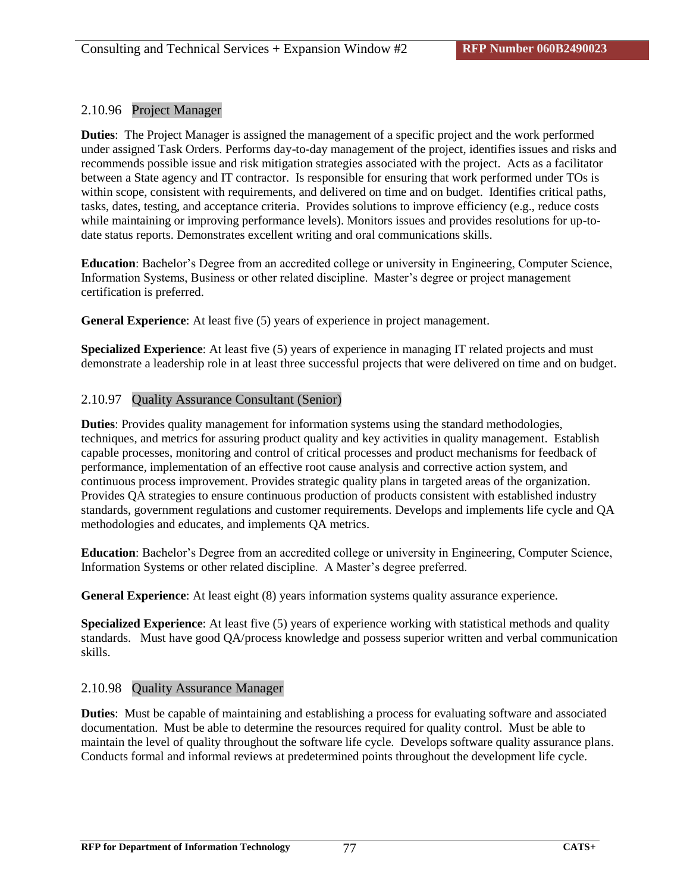## 2.10.96 Project Manager

**Duties**: The Project Manager is assigned the management of a specific project and the work performed under assigned Task Orders. Performs day-to-day management of the project, identifies issues and risks and recommends possible issue and risk mitigation strategies associated with the project. Acts as a facilitator between a State agency and IT contractor. Is responsible for ensuring that work performed under TOs is within scope, consistent with requirements, and delivered on time and on budget. Identifies critical paths, tasks, dates, testing, and acceptance criteria. Provides solutions to improve efficiency (e.g., reduce costs while maintaining or improving performance levels). Monitors issues and provides resolutions for up-todate status reports. Demonstrates excellent writing and oral communications skills.

**Education**: Bachelor's Degree from an accredited college or university in Engineering, Computer Science, Information Systems, Business or other related discipline. Master's degree or project management certification is preferred.

**General Experience**: At least five (5) years of experience in project management.

**Specialized Experience**: At least five (5) years of experience in managing IT related projects and must demonstrate a leadership role in at least three successful projects that were delivered on time and on budget.

## 2.10.97 Quality Assurance Consultant (Senior)

**Duties**: Provides quality management for information systems using the standard methodologies, techniques, and metrics for assuring product quality and key activities in quality management. Establish capable processes, monitoring and control of critical processes and product mechanisms for feedback of performance, implementation of an effective root cause analysis and corrective action system, and continuous process improvement. Provides strategic quality plans in targeted areas of the organization. Provides QA strategies to ensure continuous production of products consistent with established industry standards, government regulations and customer requirements. Develops and implements life cycle and QA methodologies and educates, and implements QA metrics.

**Education**: Bachelor's Degree from an accredited college or university in Engineering, Computer Science, Information Systems or other related discipline. A Master's degree preferred.

**General Experience**: At least eight (8) years information systems quality assurance experience.

**Specialized Experience**: At least five (5) years of experience working with statistical methods and quality standards. Must have good QA/process knowledge and possess superior written and verbal communication skills.

## 2.10.98 Quality Assurance Manager

**Duties**: Must be capable of maintaining and establishing a process for evaluating software and associated documentation. Must be able to determine the resources required for quality control. Must be able to maintain the level of quality throughout the software life cycle. Develops software quality assurance plans. Conducts formal and informal reviews at predetermined points throughout the development life cycle.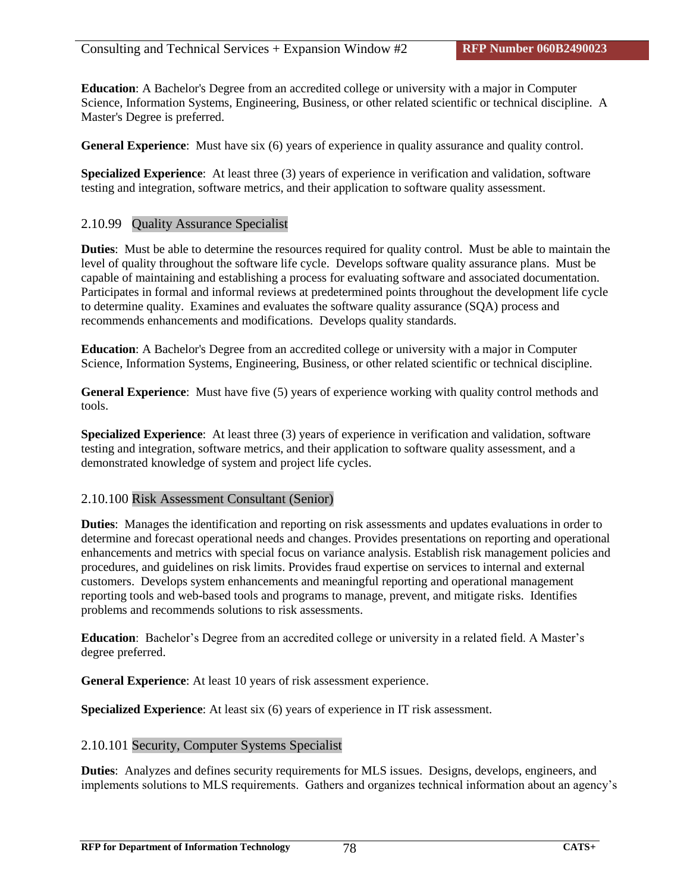**Education**: A Bachelor's Degree from an accredited college or university with a major in Computer Science, Information Systems, Engineering, Business, or other related scientific or technical discipline. A Master's Degree is preferred.

**General Experience**: Must have six (6) years of experience in quality assurance and quality control.

**Specialized Experience**: At least three (3) years of experience in verification and validation, software testing and integration, software metrics, and their application to software quality assessment.

#### 2.10.99 Quality Assurance Specialist

**Duties**: Must be able to determine the resources required for quality control. Must be able to maintain the level of quality throughout the software life cycle. Develops software quality assurance plans. Must be capable of maintaining and establishing a process for evaluating software and associated documentation. Participates in formal and informal reviews at predetermined points throughout the development life cycle to determine quality. Examines and evaluates the software quality assurance (SQA) process and recommends enhancements and modifications. Develops quality standards.

**Education**: A Bachelor's Degree from an accredited college or university with a major in Computer Science, Information Systems, Engineering, Business, or other related scientific or technical discipline.

**General Experience**: Must have five (5) years of experience working with quality control methods and tools.

**Specialized Experience**: At least three (3) years of experience in verification and validation, software testing and integration, software metrics, and their application to software quality assessment, and a demonstrated knowledge of system and project life cycles.

## 2.10.100 Risk Assessment Consultant (Senior)

**Duties**: Manages the identification and reporting on risk assessments and updates evaluations in order to determine and forecast operational needs and changes. Provides presentations on reporting and operational enhancements and metrics with special focus on variance analysis. Establish risk management policies and procedures, and guidelines on risk limits. Provides fraud expertise on services to internal and external customers. Develops system enhancements and meaningful reporting and operational management reporting tools and web-based tools and programs to manage, prevent, and mitigate risks. Identifies problems and recommends solutions to risk assessments.

**Education**: Bachelor's Degree from an accredited college or university in a related field. A Master's degree preferred.

**General Experience**: At least 10 years of risk assessment experience.

**Specialized Experience**: At least six (6) years of experience in IT risk assessment.

#### 2.10.101 Security, Computer Systems Specialist

**Duties**: Analyzes and defines security requirements for MLS issues. Designs, develops, engineers, and implements solutions to MLS requirements. Gathers and organizes technical information about an agency's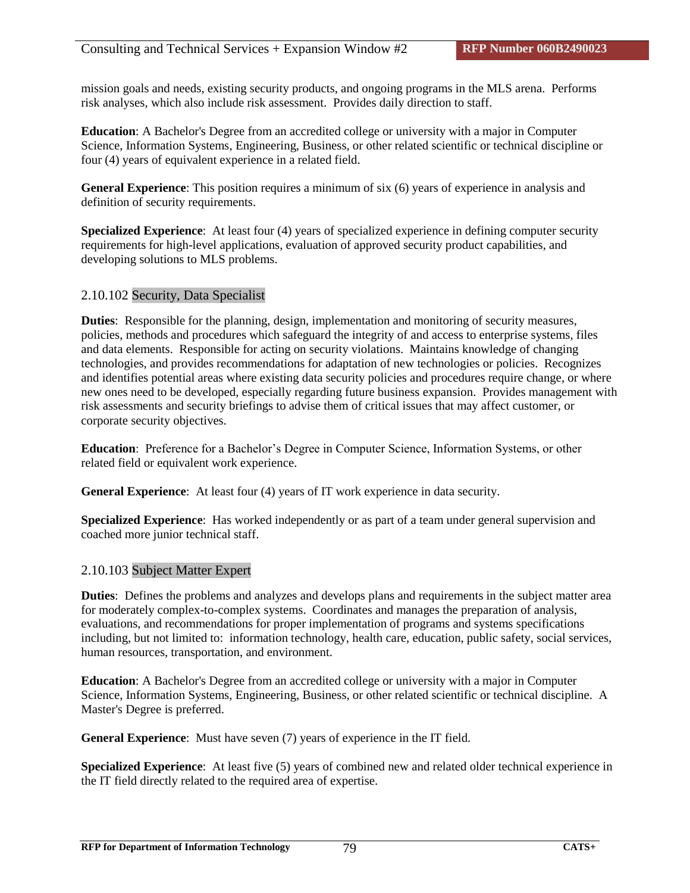mission goals and needs, existing security products, and ongoing programs in the MLS arena. Performs risk analyses, which also include risk assessment. Provides daily direction to staff.

**Education**: A Bachelor's Degree from an accredited college or university with a major in Computer Science, Information Systems, Engineering, Business, or other related scientific or technical discipline or four (4) years of equivalent experience in a related field.

**General Experience**: This position requires a minimum of six (6) years of experience in analysis and definition of security requirements.

**Specialized Experience**: At least four (4) years of specialized experience in defining computer security requirements for high-level applications, evaluation of approved security product capabilities, and developing solutions to MLS problems.

#### 2.10.102 Security, Data Specialist

**Duties**: Responsible for the planning, design, implementation and monitoring of security measures, policies, methods and procedures which safeguard the integrity of and access to enterprise systems, files and data elements. Responsible for acting on security violations. Maintains knowledge of changing technologies, and provides recommendations for adaptation of new technologies or policies. Recognizes and identifies potential areas where existing data security policies and procedures require change, or where new ones need to be developed, especially regarding future business expansion. Provides management with risk assessments and security briefings to advise them of critical issues that may affect customer, or corporate security objectives.

**Education**: Preference for a Bachelor's Degree in Computer Science, Information Systems, or other related field or equivalent work experience.

**General Experience**: At least four (4) years of IT work experience in data security.

**Specialized Experience**: Has worked independently or as part of a team under general supervision and coached more junior technical staff.

## 2.10.103 Subject Matter Expert

**Duties**: Defines the problems and analyzes and develops plans and requirements in the subject matter area for moderately complex-to-complex systems. Coordinates and manages the preparation of analysis, evaluations, and recommendations for proper implementation of programs and systems specifications including, but not limited to: information technology, health care, education, public safety, social services, human resources, transportation, and environment.

**Education**: A Bachelor's Degree from an accredited college or university with a major in Computer Science, Information Systems, Engineering, Business, or other related scientific or technical discipline. A Master's Degree is preferred.

**General Experience**: Must have seven (7) years of experience in the IT field.

**Specialized Experience**: At least five (5) years of combined new and related older technical experience in the IT field directly related to the required area of expertise.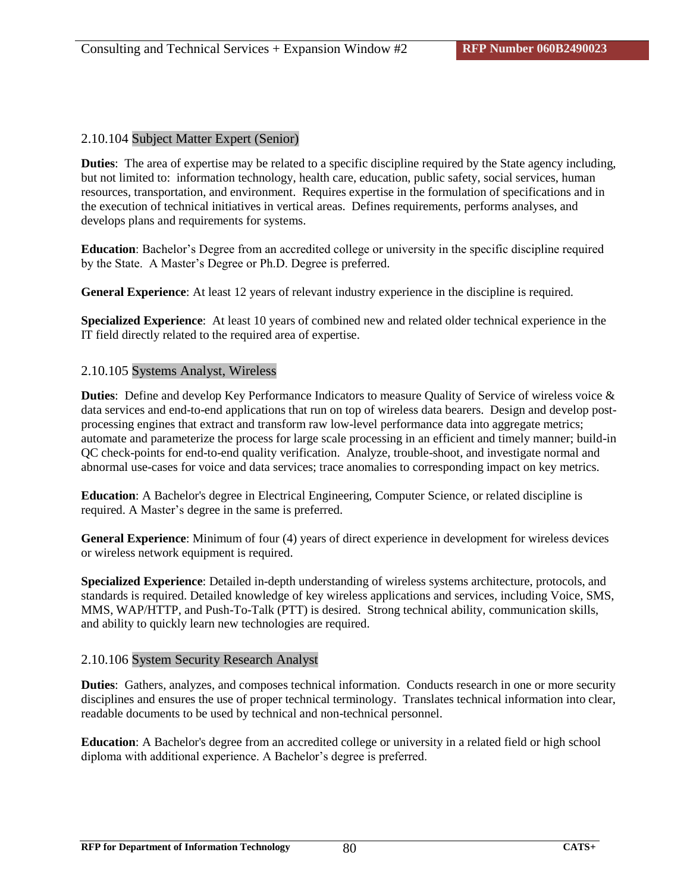## 2.10.104 Subject Matter Expert (Senior)

**Duties**: The area of expertise may be related to a specific discipline required by the State agency including, but not limited to: information technology, health care, education, public safety, social services, human resources, transportation, and environment. Requires expertise in the formulation of specifications and in the execution of technical initiatives in vertical areas. Defines requirements, performs analyses, and develops plans and requirements for systems.

**Education**: Bachelor's Degree from an accredited college or university in the specific discipline required by the State. A Master's Degree or Ph.D. Degree is preferred.

**General Experience**: At least 12 years of relevant industry experience in the discipline is required.

**Specialized Experience**: At least 10 years of combined new and related older technical experience in the IT field directly related to the required area of expertise.

## 2.10.105 Systems Analyst, Wireless

**Duties**: Define and develop Key Performance Indicators to measure Quality of Service of wireless voice & data services and end-to-end applications that run on top of wireless data bearers. Design and develop postprocessing engines that extract and transform raw low-level performance data into aggregate metrics; automate and parameterize the process for large scale processing in an efficient and timely manner; build-in QC check-points for end-to-end quality verification. Analyze, trouble-shoot, and investigate normal and abnormal use-cases for voice and data services; trace anomalies to corresponding impact on key metrics.

**Education**: A Bachelor's degree in Electrical Engineering, Computer Science, or related discipline is required. A Master's degree in the same is preferred.

**General Experience**: Minimum of four (4) years of direct experience in development for wireless devices or wireless network equipment is required.

**Specialized Experience**: Detailed in-depth understanding of wireless systems architecture, protocols, and standards is required. Detailed knowledge of key wireless applications and services, including Voice, SMS, MMS, WAP/HTTP, and Push-To-Talk (PTT) is desired. Strong technical ability, communication skills, and ability to quickly learn new technologies are required.

#### 2.10.106 System Security Research Analyst

**Duties**: Gathers, analyzes, and composes technical information. Conducts research in one or more security disciplines and ensures the use of proper technical terminology. Translates technical information into clear, readable documents to be used by technical and non-technical personnel.

**Education**: A Bachelor's degree from an accredited college or university in a related field or high school diploma with additional experience. A Bachelor's degree is preferred.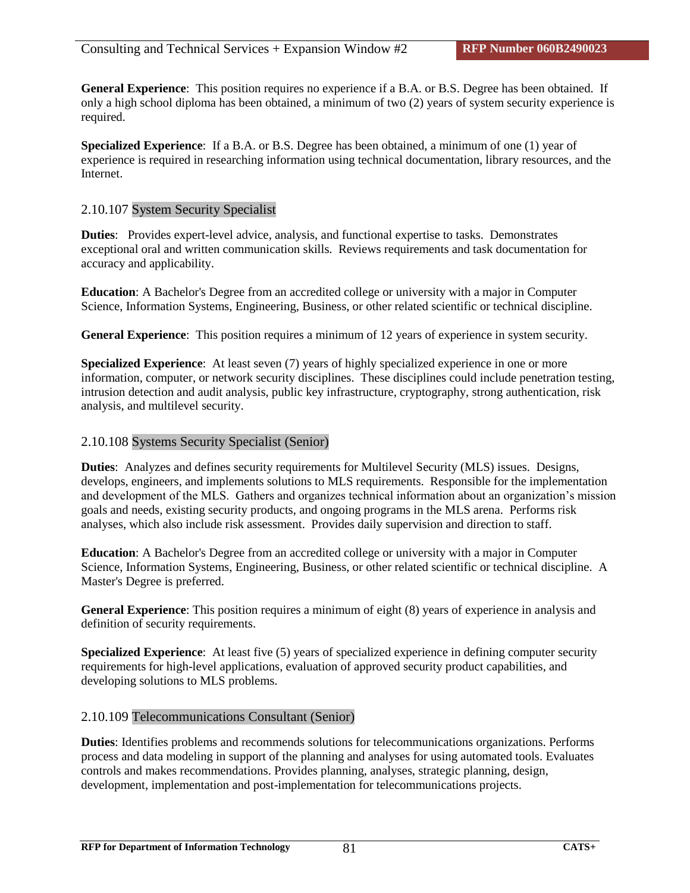**General Experience**: This position requires no experience if a B.A. or B.S. Degree has been obtained. If only a high school diploma has been obtained, a minimum of two (2) years of system security experience is required.

**Specialized Experience**: If a B.A. or B.S. Degree has been obtained, a minimum of one (1) year of experience is required in researching information using technical documentation, library resources, and the Internet.

## 2.10.107 System Security Specialist

**Duties**: Provides expert-level advice, analysis, and functional expertise to tasks. Demonstrates exceptional oral and written communication skills. Reviews requirements and task documentation for accuracy and applicability.

**Education**: A Bachelor's Degree from an accredited college or university with a major in Computer Science, Information Systems, Engineering, Business, or other related scientific or technical discipline.

**General Experience**: This position requires a minimum of 12 years of experience in system security.

**Specialized Experience:** At least seven (7) years of highly specialized experience in one or more information, computer, or network security disciplines. These disciplines could include penetration testing, intrusion detection and audit analysis, public key infrastructure, cryptography, strong authentication, risk analysis, and multilevel security.

#### 2.10.108 Systems Security Specialist (Senior)

**Duties**: Analyzes and defines security requirements for Multilevel Security (MLS) issues. Designs, develops, engineers, and implements solutions to MLS requirements. Responsible for the implementation and development of the MLS. Gathers and organizes technical information about an organization's mission goals and needs, existing security products, and ongoing programs in the MLS arena. Performs risk analyses, which also include risk assessment. Provides daily supervision and direction to staff.

**Education**: A Bachelor's Degree from an accredited college or university with a major in Computer Science, Information Systems, Engineering, Business, or other related scientific or technical discipline. A Master's Degree is preferred.

**General Experience**: This position requires a minimum of eight (8) years of experience in analysis and definition of security requirements.

**Specialized Experience**: At least five (5) years of specialized experience in defining computer security requirements for high-level applications, evaluation of approved security product capabilities, and developing solutions to MLS problems.

#### 2.10.109 Telecommunications Consultant (Senior)

**Duties**: Identifies problems and recommends solutions for telecommunications organizations. Performs process and data modeling in support of the planning and analyses for using automated tools. Evaluates controls and makes recommendations. Provides planning, analyses, strategic planning, design, development, implementation and post-implementation for telecommunications projects.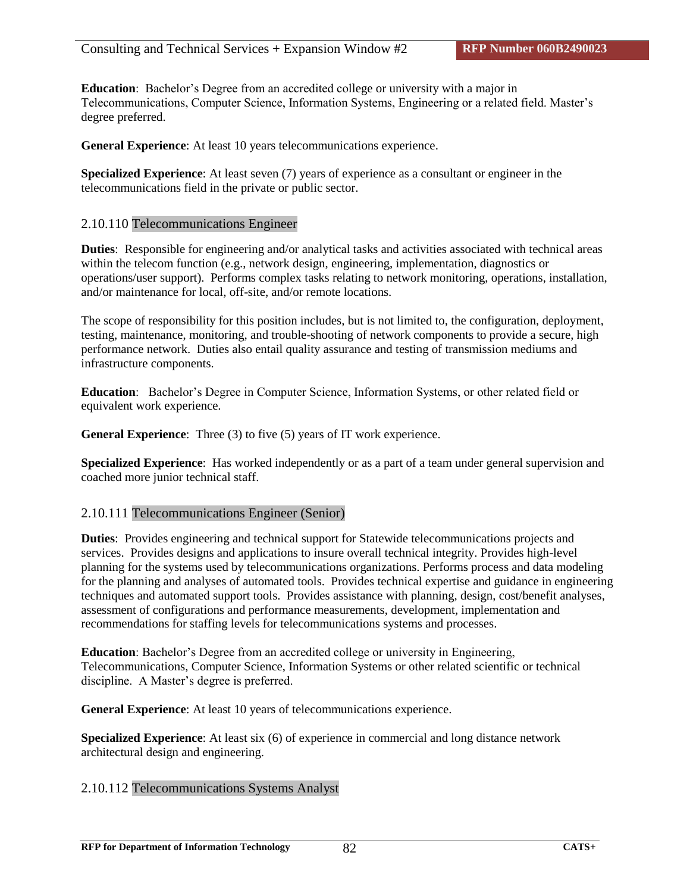**Education**: Bachelor's Degree from an accredited college or university with a major in Telecommunications, Computer Science, Information Systems, Engineering or a related field. Master's degree preferred.

**General Experience**: At least 10 years telecommunications experience.

**Specialized Experience**: At least seven (7) years of experience as a consultant or engineer in the telecommunications field in the private or public sector.

## 2.10.110 Telecommunications Engineer

**Duties**: Responsible for engineering and/or analytical tasks and activities associated with technical areas within the telecom function (e.g., network design, engineering, implementation, diagnostics or operations/user support). Performs complex tasks relating to network monitoring, operations, installation, and/or maintenance for local, off-site, and/or remote locations.

The scope of responsibility for this position includes, but is not limited to, the configuration, deployment, testing, maintenance, monitoring, and trouble-shooting of network components to provide a secure, high performance network. Duties also entail quality assurance and testing of transmission mediums and infrastructure components.

**Education**: Bachelor's Degree in Computer Science, Information Systems, or other related field or equivalent work experience.

**General Experience**: Three (3) to five (5) years of IT work experience.

**Specialized Experience**: Has worked independently or as a part of a team under general supervision and coached more junior technical staff.

# 2.10.111 Telecommunications Engineer (Senior)

**Duties**: Provides engineering and technical support for Statewide telecommunications projects and services. Provides designs and applications to insure overall technical integrity. Provides high-level planning for the systems used by telecommunications organizations. Performs process and data modeling for the planning and analyses of automated tools. Provides technical expertise and guidance in engineering techniques and automated support tools. Provides assistance with planning, design, cost/benefit analyses, assessment of configurations and performance measurements, development, implementation and recommendations for staffing levels for telecommunications systems and processes.

**Education**: Bachelor's Degree from an accredited college or university in Engineering, Telecommunications, Computer Science, Information Systems or other related scientific or technical discipline. A Master's degree is preferred.

**General Experience**: At least 10 years of telecommunications experience.

**Specialized Experience**: At least six (6) of experience in commercial and long distance network architectural design and engineering.

## 2.10.112 Telecommunications Systems Analyst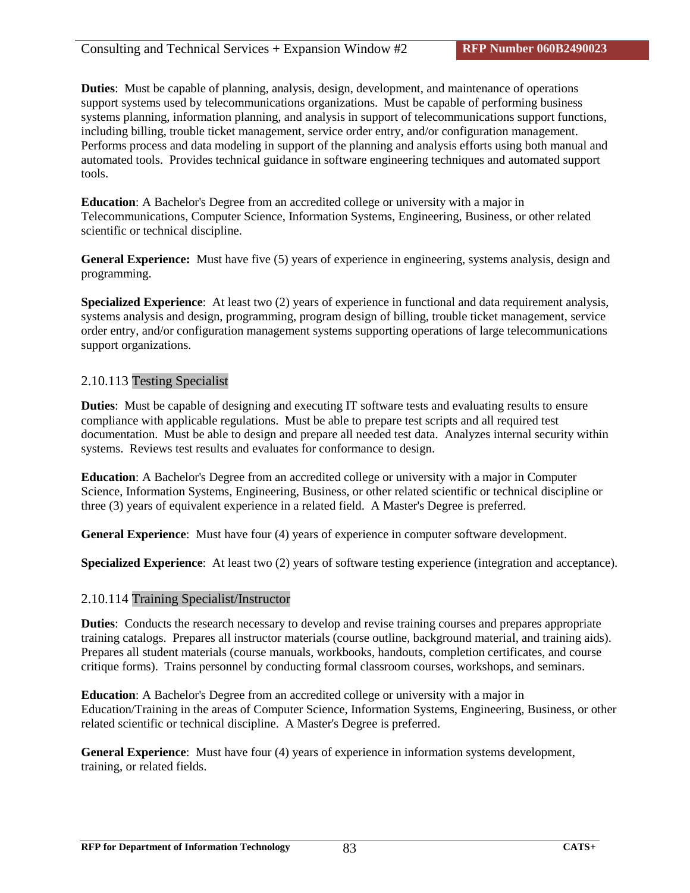**Duties**: Must be capable of planning, analysis, design, development, and maintenance of operations support systems used by telecommunications organizations. Must be capable of performing business systems planning, information planning, and analysis in support of telecommunications support functions, including billing, trouble ticket management, service order entry, and/or configuration management. Performs process and data modeling in support of the planning and analysis efforts using both manual and automated tools. Provides technical guidance in software engineering techniques and automated support tools.

**Education**: A Bachelor's Degree from an accredited college or university with a major in Telecommunications, Computer Science, Information Systems, Engineering, Business, or other related scientific or technical discipline.

**General Experience:** Must have five (5) years of experience in engineering, systems analysis, design and programming.

**Specialized Experience**: At least two (2) years of experience in functional and data requirement analysis, systems analysis and design, programming, program design of billing, trouble ticket management, service order entry, and/or configuration management systems supporting operations of large telecommunications support organizations.

## 2.10.113 Testing Specialist

**Duties**: Must be capable of designing and executing IT software tests and evaluating results to ensure compliance with applicable regulations. Must be able to prepare test scripts and all required test documentation. Must be able to design and prepare all needed test data. Analyzes internal security within systems. Reviews test results and evaluates for conformance to design.

**Education**: A Bachelor's Degree from an accredited college or university with a major in Computer Science, Information Systems, Engineering, Business, or other related scientific or technical discipline or three (3) years of equivalent experience in a related field. A Master's Degree is preferred.

**General Experience**: Must have four (4) years of experience in computer software development.

**Specialized Experience**: At least two (2) years of software testing experience (integration and acceptance).

## 2.10.114 Training Specialist/Instructor

**Duties**: Conducts the research necessary to develop and revise training courses and prepares appropriate training catalogs. Prepares all instructor materials (course outline, background material, and training aids). Prepares all student materials (course manuals, workbooks, handouts, completion certificates, and course critique forms). Trains personnel by conducting formal classroom courses, workshops, and seminars.

**Education**: A Bachelor's Degree from an accredited college or university with a major in Education/Training in the areas of Computer Science, Information Systems, Engineering, Business, or other related scientific or technical discipline. A Master's Degree is preferred.

**General Experience**: Must have four (4) years of experience in information systems development, training, or related fields.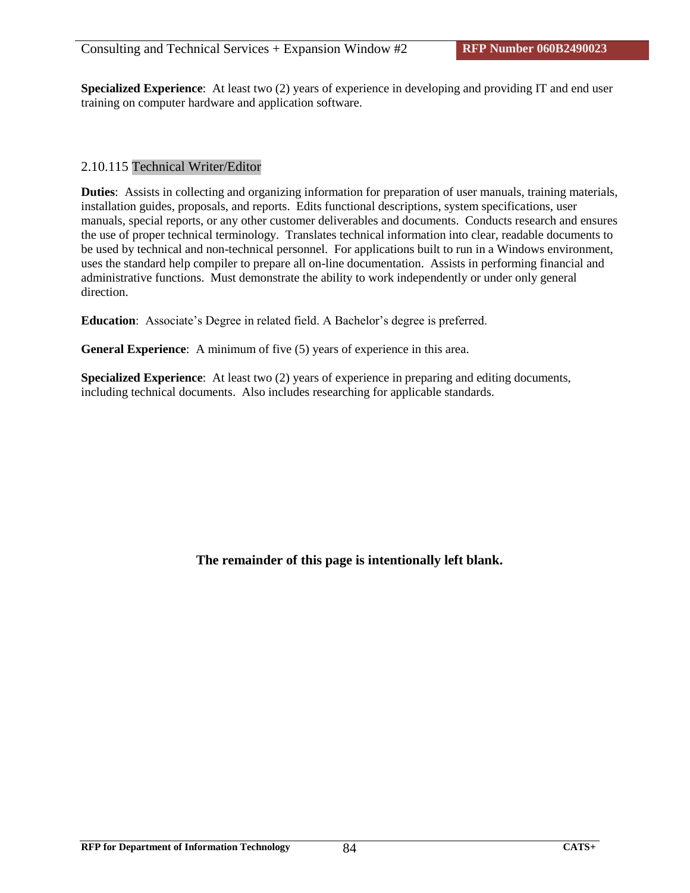**Specialized Experience**: At least two (2) years of experience in developing and providing IT and end user training on computer hardware and application software.

## 2.10.115 Technical Writer/Editor

**Duties**: Assists in collecting and organizing information for preparation of user manuals, training materials, installation guides, proposals, and reports. Edits functional descriptions, system specifications, user manuals, special reports, or any other customer deliverables and documents. Conducts research and ensures the use of proper technical terminology. Translates technical information into clear, readable documents to be used by technical and non-technical personnel. For applications built to run in a Windows environment, uses the standard help compiler to prepare all on-line documentation. Assists in performing financial and administrative functions. Must demonstrate the ability to work independently or under only general direction.

**Education**: Associate's Degree in related field. A Bachelor's degree is preferred.

**General Experience**: A minimum of five (5) years of experience in this area.

**Specialized Experience**: At least two (2) years of experience in preparing and editing documents, including technical documents. Also includes researching for applicable standards.

**The remainder of this page is intentionally left blank.**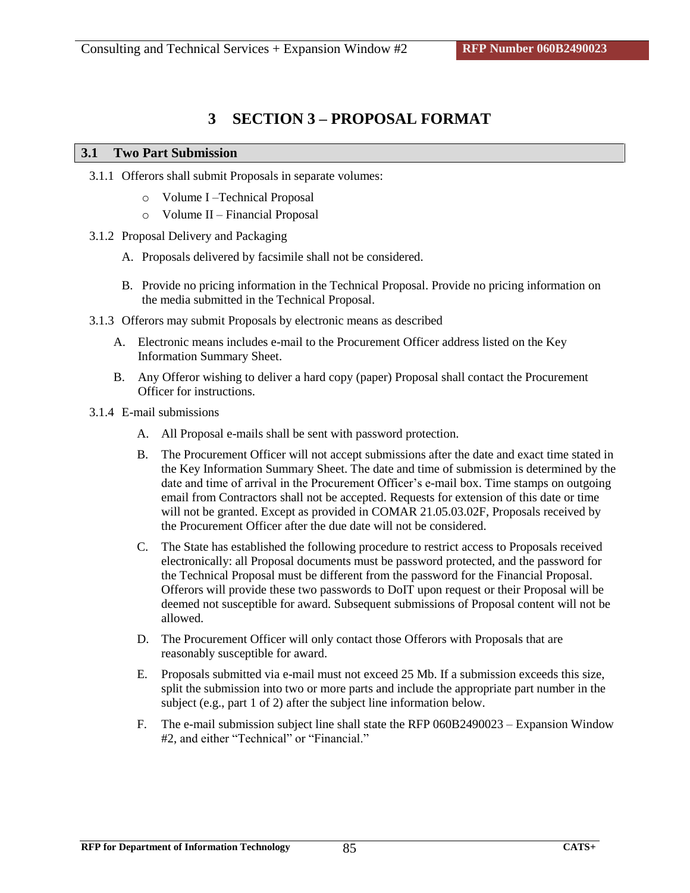# **3 SECTION 3 – PROPOSAL FORMAT**

#### **3.1 Two Part Submission**

- 3.1.1 Offerors shall submit Proposals in separate volumes:
	- o Volume I –Technical Proposal
	- o Volume II Financial Proposal
- 3.1.2 Proposal Delivery and Packaging
	- A. Proposals delivered by facsimile shall not be considered.
	- B. Provide no pricing information in the Technical Proposal. Provide no pricing information on the media submitted in the Technical Proposal.
- 3.1.3 Offerors may submit Proposals by electronic means as described
	- A. Electronic means includes e-mail to the Procurement Officer address listed on the Key Information Summary Sheet.
	- B. Any Offeror wishing to deliver a hard copy (paper) Proposal shall contact the Procurement Officer for instructions.
- 3.1.4 E-mail submissions
	- A. All Proposal e-mails shall be sent with password protection.
	- B. The Procurement Officer will not accept submissions after the date and exact time stated in the Key Information Summary Sheet. The date and time of submission is determined by the date and time of arrival in the Procurement Officer's e-mail box. Time stamps on outgoing email from Contractors shall not be accepted. Requests for extension of this date or time will not be granted. Except as provided in COMAR 21.05.03.02F, Proposals received by the Procurement Officer after the due date will not be considered.
	- C. The State has established the following procedure to restrict access to Proposals received electronically: all Proposal documents must be password protected, and the password for the Technical Proposal must be different from the password for the Financial Proposal. Offerors will provide these two passwords to DoIT upon request or their Proposal will be deemed not susceptible for award. Subsequent submissions of Proposal content will not be allowed.
	- D. The Procurement Officer will only contact those Offerors with Proposals that are reasonably susceptible for award.
	- E. Proposals submitted via e-mail must not exceed 25 Mb. If a submission exceeds this size, split the submission into two or more parts and include the appropriate part number in the subject (e.g., part 1 of 2) after the subject line information below.
	- F. The e-mail submission subject line shall state the RFP 060B2490023 Expansion Window #2, and either "Technical" or "Financial."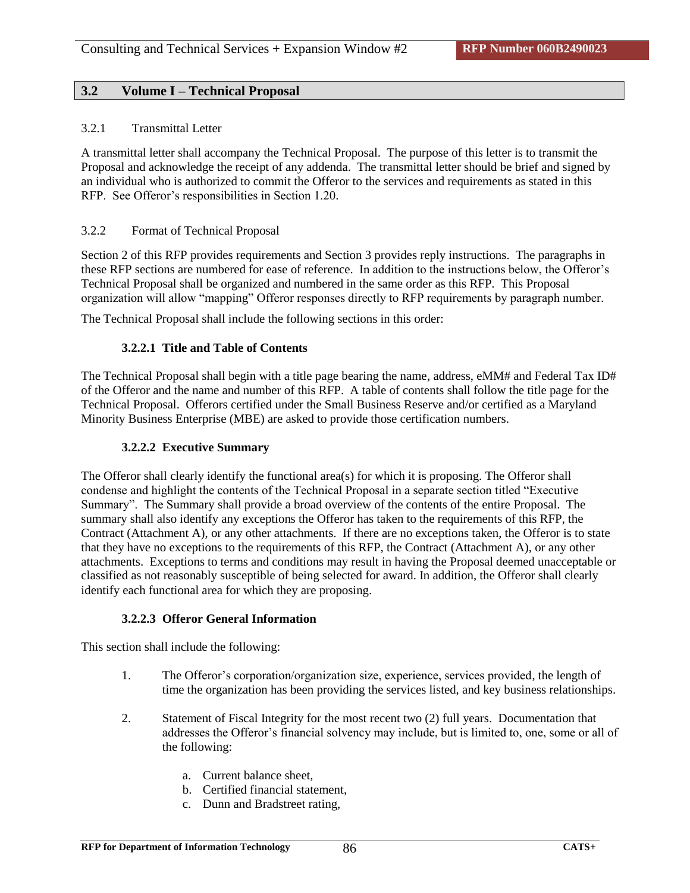## **3.2 Volume I – Technical Proposal**

#### 3.2.1 Transmittal Letter

A transmittal letter shall accompany the Technical Proposal. The purpose of this letter is to transmit the Proposal and acknowledge the receipt of any addenda. The transmittal letter should be brief and signed by an individual who is authorized to commit the Offeror to the services and requirements as stated in this RFP. See Offeror's responsibilities in Section 1.20.

#### 3.2.2 Format of Technical Proposal

Section 2 of this RFP provides requirements and Section 3 provides reply instructions. The paragraphs in these RFP sections are numbered for ease of reference. In addition to the instructions below, the Offeror's Technical Proposal shall be organized and numbered in the same order as this RFP. This Proposal organization will allow "mapping" Offeror responses directly to RFP requirements by paragraph number.

The Technical Proposal shall include the following sections in this order:

#### **3.2.2.1 Title and Table of Contents**

The Technical Proposal shall begin with a title page bearing the name, address, eMM# and Federal Tax ID# of the Offeror and the name and number of this RFP. A table of contents shall follow the title page for the Technical Proposal. Offerors certified under the Small Business Reserve and/or certified as a Maryland Minority Business Enterprise (MBE) are asked to provide those certification numbers.

#### **3.2.2.2 Executive Summary**

The Offeror shall clearly identify the functional area(s) for which it is proposing. The Offeror shall condense and highlight the contents of the Technical Proposal in a separate section titled "Executive Summary". The Summary shall provide a broad overview of the contents of the entire Proposal. The summary shall also identify any exceptions the Offeror has taken to the requirements of this RFP, the Contract (Attachment A), or any other attachments. If there are no exceptions taken, the Offeror is to state that they have no exceptions to the requirements of this RFP, the Contract (Attachment A), or any other attachments. Exceptions to terms and conditions may result in having the Proposal deemed unacceptable or classified as not reasonably susceptible of being selected for award. In addition, the Offeror shall clearly identify each functional area for which they are proposing.

#### **3.2.2.3 Offeror General Information**

This section shall include the following:

- 1. The Offeror's corporation/organization size, experience, services provided, the length of time the organization has been providing the services listed, and key business relationships.
- 2. Statement of Fiscal Integrity for the most recent two (2) full years. Documentation that addresses the Offeror's financial solvency may include, but is limited to, one, some or all of the following:
	- a. Current balance sheet,
	- b. Certified financial statement,
	- c. Dunn and Bradstreet rating,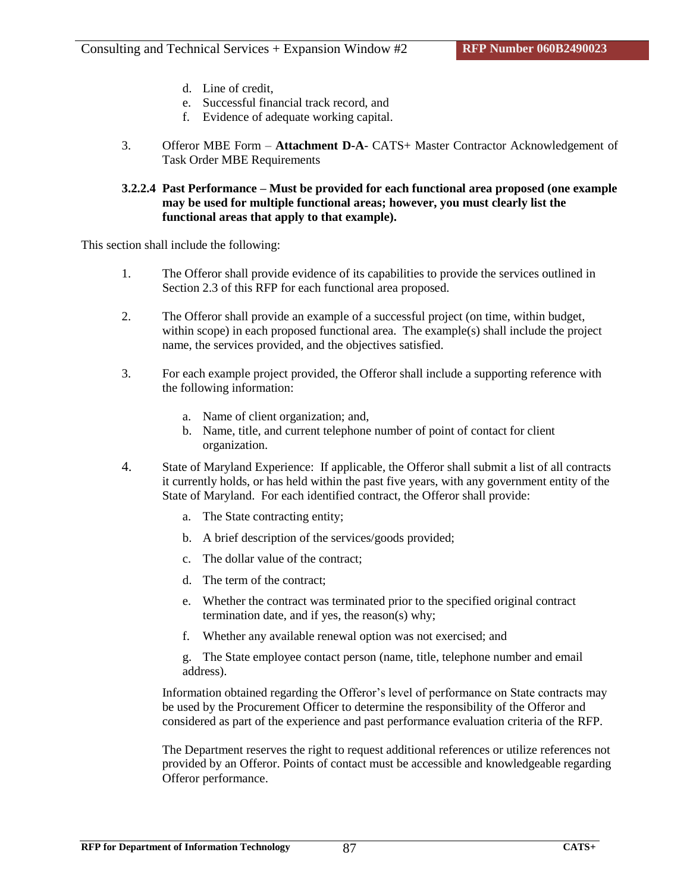- d. Line of credit,
- e. Successful financial track record, and
- f. Evidence of adequate working capital.
- 3. Offeror MBE Form **Attachment D-A** CATS+ Master Contractor Acknowledgement of Task Order MBE Requirements

#### **3.2.2.4 Past Performance – Must be provided for each functional area proposed (one example may be used for multiple functional areas; however, you must clearly list the functional areas that apply to that example).**

This section shall include the following:

- 1. The Offeror shall provide evidence of its capabilities to provide the services outlined in Section 2.3 of this RFP for each functional area proposed.
- 2. The Offeror shall provide an example of a successful project (on time, within budget, within scope) in each proposed functional area. The example $(s)$  shall include the project name, the services provided, and the objectives satisfied.
- 3. For each example project provided, the Offeror shall include a supporting reference with the following information:
	- a. Name of client organization; and,
	- b. Name, title, and current telephone number of point of contact for client organization.
- 4. State of Maryland Experience: If applicable, the Offeror shall submit a list of all contracts it currently holds, or has held within the past five years, with any government entity of the State of Maryland. For each identified contract, the Offeror shall provide:
	- a. The State contracting entity;
	- b. A brief description of the services/goods provided;
	- c. The dollar value of the contract;
	- d. The term of the contract;
	- e. Whether the contract was terminated prior to the specified original contract termination date, and if yes, the reason(s) why;
	- f. Whether any available renewal option was not exercised; and

g. The State employee contact person (name, title, telephone number and email address).

Information obtained regarding the Offeror's level of performance on State contracts may be used by the Procurement Officer to determine the responsibility of the Offeror and considered as part of the experience and past performance evaluation criteria of the RFP.

The Department reserves the right to request additional references or utilize references not provided by an Offeror. Points of contact must be accessible and knowledgeable regarding Offeror performance.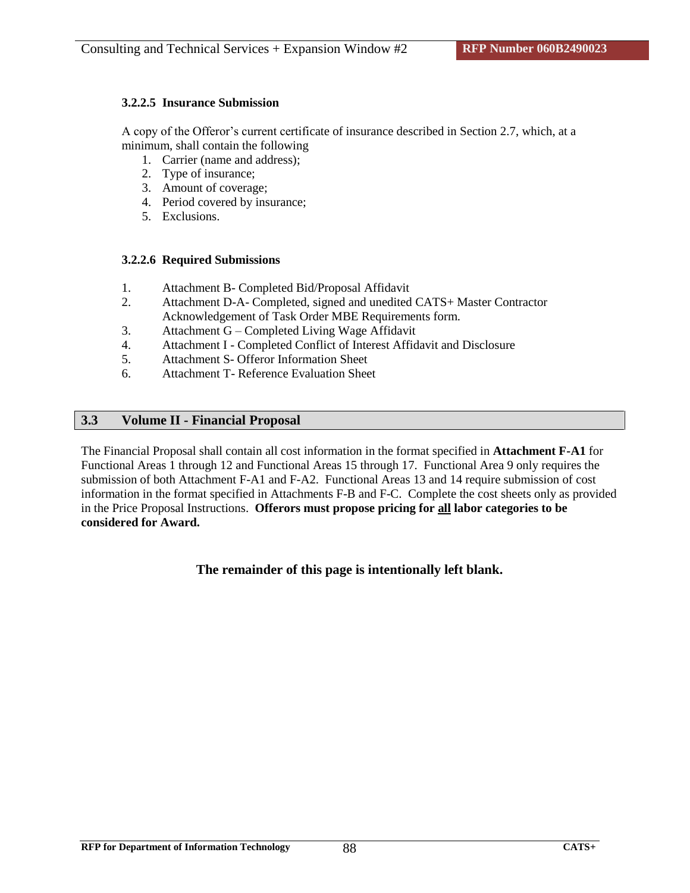#### **3.2.2.5 Insurance Submission**

A copy of the Offeror's current certificate of insurance described in Section 2.7, which, at a minimum, shall contain the following

- 1. Carrier (name and address);
- 2. Type of insurance;
- 3. Amount of coverage;
- 4. Period covered by insurance;
- 5. Exclusions.

#### **3.2.2.6 Required Submissions**

- 1. Attachment B- Completed Bid/Proposal Affidavit
- 2. Attachment D-A- Completed, signed and unedited CATS+ Master Contractor Acknowledgement of Task Order MBE Requirements form.
- 3. Attachment G Completed Living Wage Affidavit
- 4. Attachment I Completed Conflict of Interest Affidavit and Disclosure
- 5. Attachment S- Offeror Information Sheet
- 6. Attachment T- Reference Evaluation Sheet

## **3.3 Volume II - Financial Proposal**

The Financial Proposal shall contain all cost information in the format specified in **Attachment F-A1** for Functional Areas 1 through 12 and Functional Areas 15 through 17. Functional Area 9 only requires the submission of both Attachment F-A1 and F-A2. Functional Areas 13 and 14 require submission of cost information in the format specified in Attachments F-B and F-C. Complete the cost sheets only as provided in the Price Proposal Instructions. **Offerors must propose pricing for all labor categories to be considered for Award.**

**The remainder of this page is intentionally left blank.**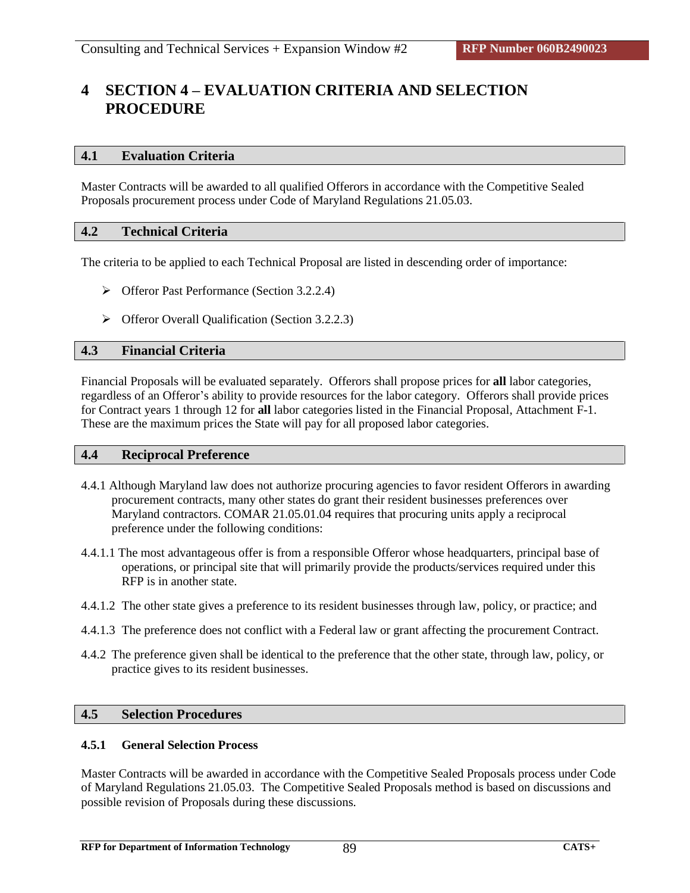# **4 SECTION 4 – EVALUATION CRITERIA AND SELECTION PROCEDURE**

#### **4.1 Evaluation Criteria**

Master Contracts will be awarded to all qualified Offerors in accordance with the Competitive Sealed Proposals procurement process under Code of Maryland Regulations 21.05.03.

#### **4.2 Technical Criteria**

The criteria to be applied to each Technical Proposal are listed in descending order of importance:

- Offeror Past Performance (Section 3.2.2.4)
- Offeror Overall Qualification (Section 3.2.2.3)

## **4.3 Financial Criteria**

Financial Proposals will be evaluated separately. Offerors shall propose prices for **all** labor categories, regardless of an Offeror's ability to provide resources for the labor category. Offerors shall provide prices for Contract years 1 through 12 for **all** labor categories listed in the Financial Proposal, Attachment F-1. These are the maximum prices the State will pay for all proposed labor categories.

#### **4.4 Reciprocal Preference**

- 4.4.1 Although Maryland law does not authorize procuring agencies to favor resident Offerors in awarding procurement contracts, many other states do grant their resident businesses preferences over Maryland contractors. COMAR 21.05.01.04 requires that procuring units apply a reciprocal preference under the following conditions:
- 4.4.1.1 The most advantageous offer is from a responsible Offeror whose headquarters, principal base of operations, or principal site that will primarily provide the products/services required under this RFP is in another state.
- 4.4.1.2 The other state gives a preference to its resident businesses through law, policy, or practice; and
- 4.4.1.3 The preference does not conflict with a Federal law or grant affecting the procurement Contract.
- 4.4.2 The preference given shall be identical to the preference that the other state, through law, policy, or practice gives to its resident businesses.

## **4.5 Selection Procedures**

#### **4.5.1 General Selection Process**

Master Contracts will be awarded in accordance with the Competitive Sealed Proposals process under Code of Maryland Regulations 21.05.03. The Competitive Sealed Proposals method is based on discussions and possible revision of Proposals during these discussions.